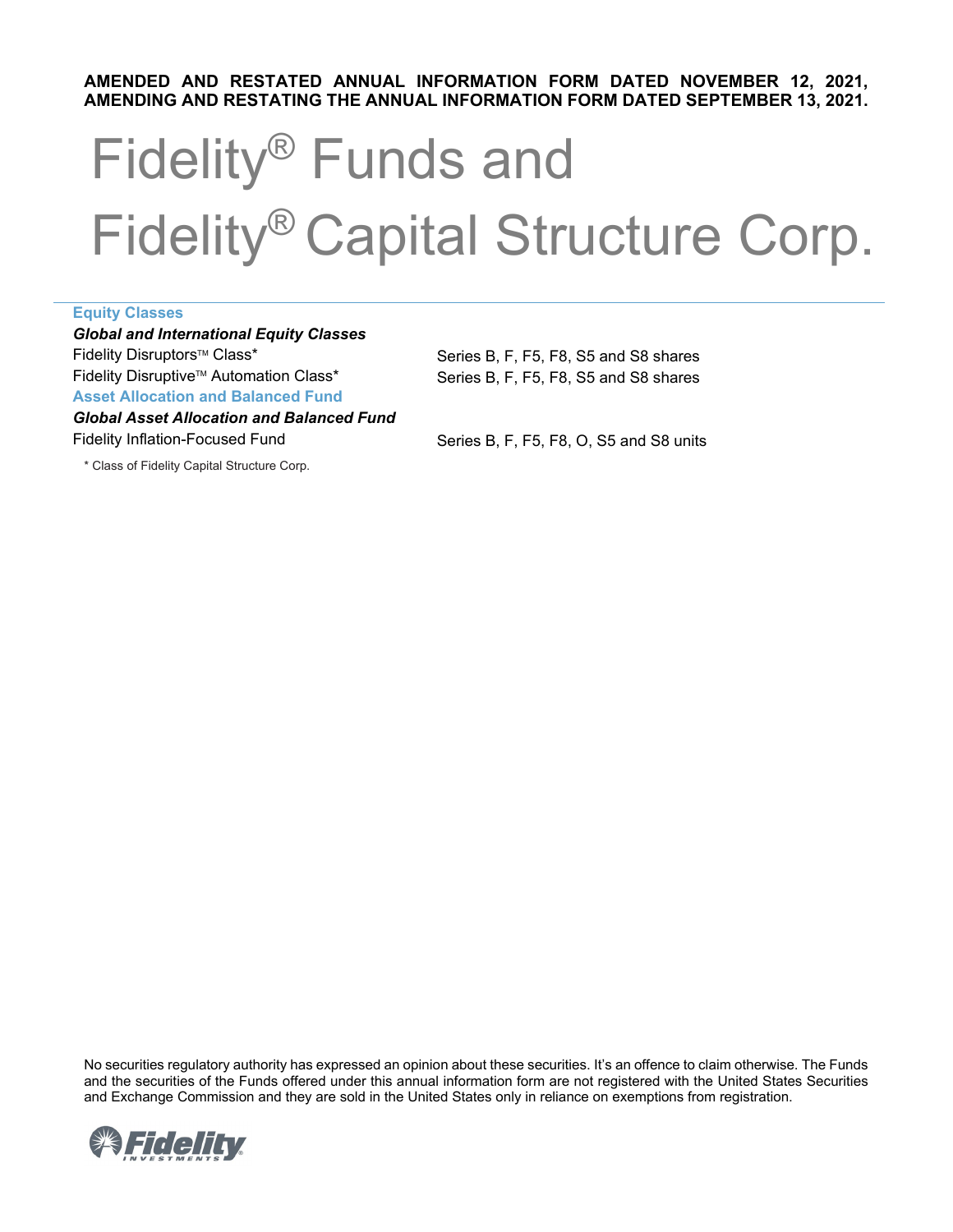# **AMENDING AND RESTATING THE ANNUAL INFORMATION FORM DATED SEPTEMBER 13, 2021. AMENDED AND RESTATED ANNUAL INFORMATION FORM DATED NOVEMBER 12, 2021,**

# Fidelity® Funds and Fidelity® Capital Structure Corp.

| <b>Equity Classes</b>                            |                                         |  |
|--------------------------------------------------|-----------------------------------------|--|
| <b>Global and International Equity Classes</b>   |                                         |  |
| Fidelity Disruptors™ Class*                      | Series B, F, F5, F8, S5 and S8 shares   |  |
| Fidelity Disruptive™ Automation Class*           | Series B. F. F5. F8. S5 and S8 shares   |  |
| <b>Asset Allocation and Balanced Fund</b>        |                                         |  |
| <b>Global Asset Allocation and Balanced Fund</b> |                                         |  |
| <b>Fidelity Inflation-Focused Fund</b>           | Series B, F, F5, F8, O, S5 and S8 units |  |
|                                                  |                                         |  |

\* Class of Fidelity Capital Structure Corp.

 and the securities of the Funds offered under this annual information form are not registered with the United States Securities No securities regulatory authority has expressed an opinion about these securities. It's an offence to claim otherwise. The Funds and Exchange Commission and they are sold in the United States only in reliance on exemptions from registration.

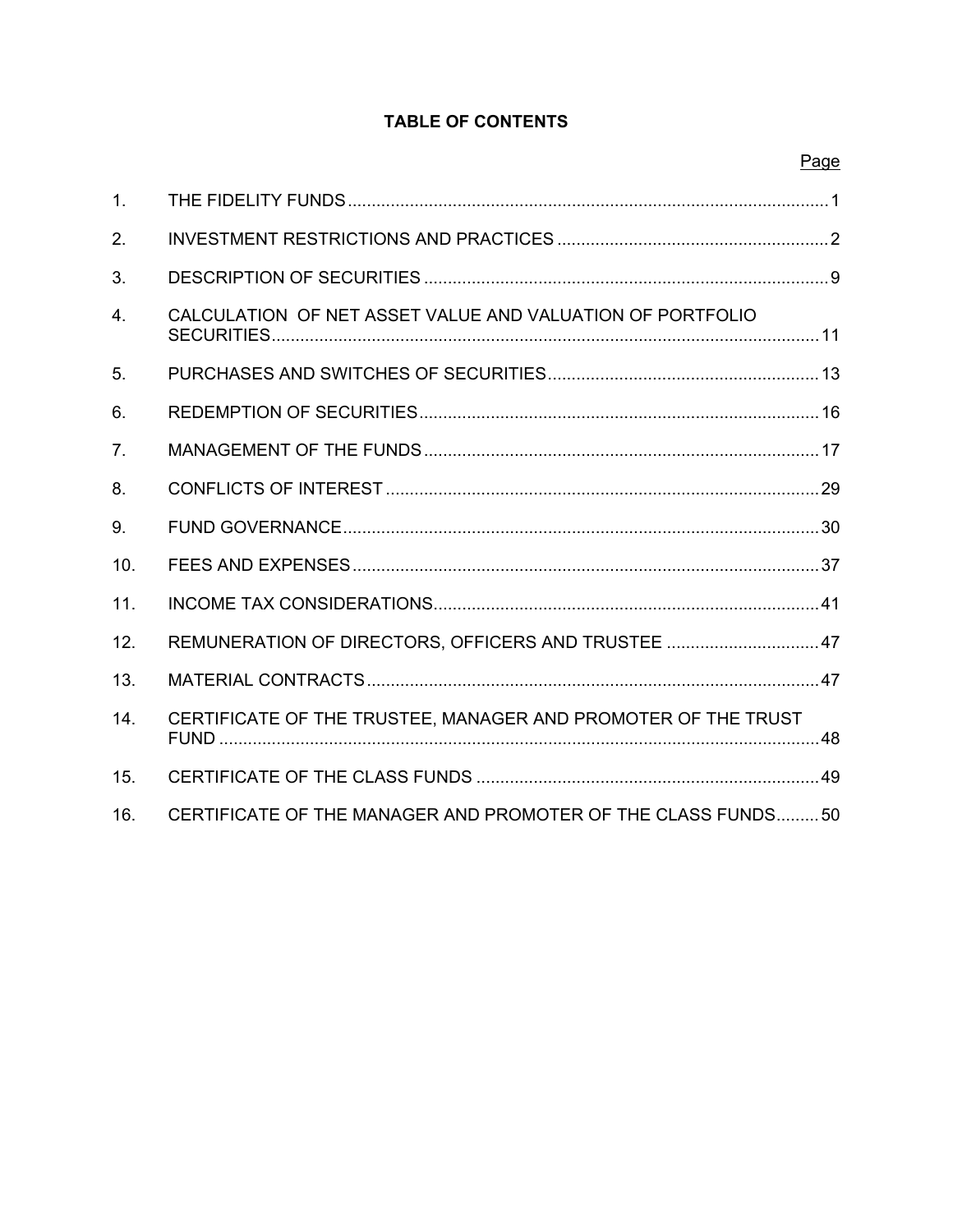# **TABLE OF CONTENTS**

| Page |
|------|
|------|

| $\mathbf{1}$ .   |                                                               |
|------------------|---------------------------------------------------------------|
| 2.               |                                                               |
| 3.               |                                                               |
| $\overline{4}$ . | CALCULATION OF NET ASSET VALUE AND VALUATION OF PORTFOLIO     |
| 5.               |                                                               |
| 6.               |                                                               |
| 7 <sub>1</sub>   |                                                               |
| 8.               |                                                               |
| 9.               |                                                               |
| 10.              |                                                               |
| 11.              |                                                               |
| 12.              | REMUNERATION OF DIRECTORS, OFFICERS AND TRUSTEE  47           |
| 13.              |                                                               |
| 14.              | CERTIFICATE OF THE TRUSTEE, MANAGER AND PROMOTER OF THE TRUST |
| 15.              |                                                               |
| 16.              | CERTIFICATE OF THE MANAGER AND PROMOTER OF THE CLASS FUNDS50  |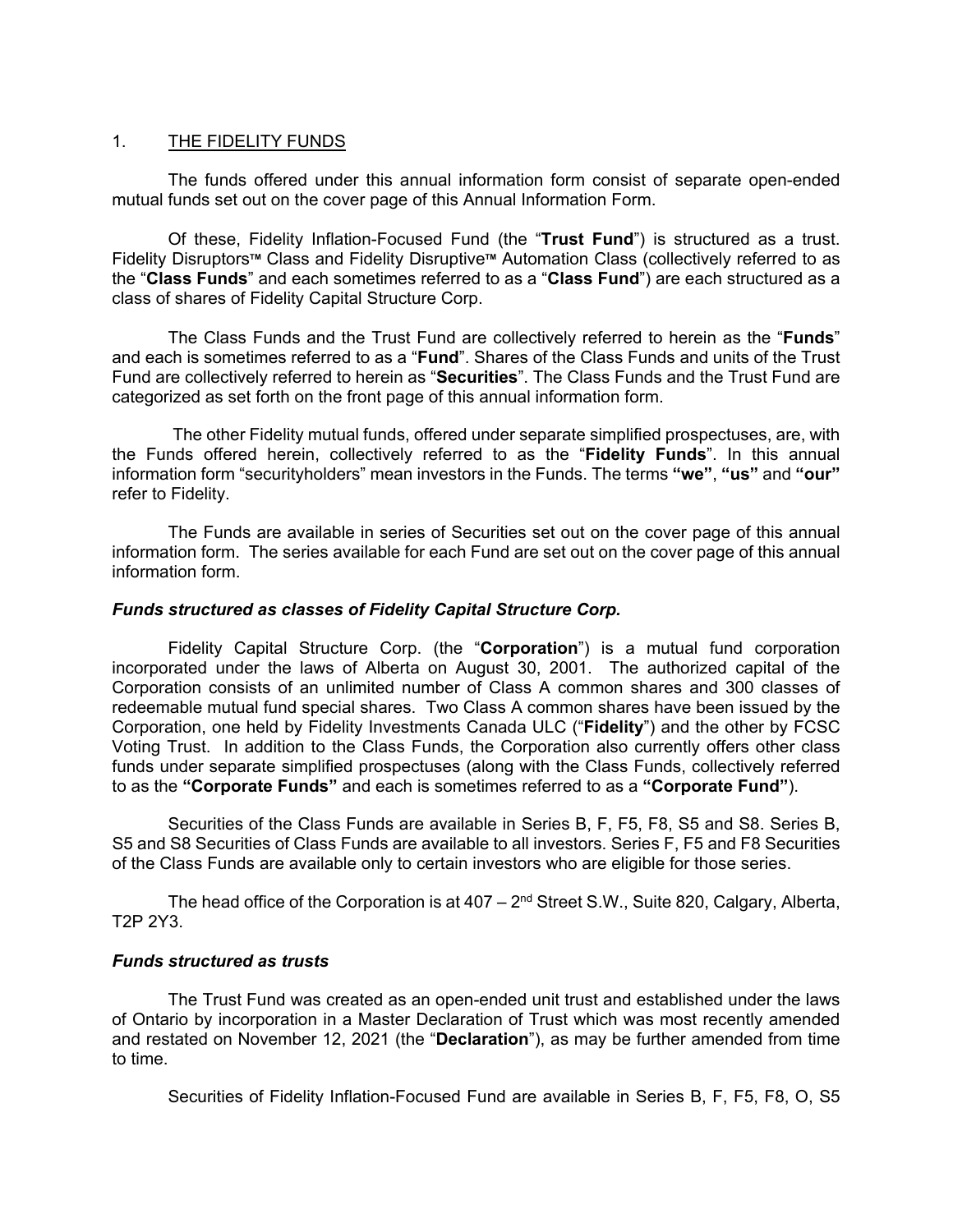## <span id="page-2-0"></span>1. THE FIDELITY FUNDS

The funds offered under this annual information form consist of separate open-ended mutual funds set out on the cover page of this Annual Information Form.

Of these, Fidelity Inflation-Focused Fund (the "**Trust Fund**") is structured as a trust. Fidelity Disruptors**TM** Class and Fidelity Disruptive**TM** Automation Class (collectively referred to as the "**Class Funds**" and each sometimes referred to as a "**Class Fund**") are each structured as a class of shares of Fidelity Capital Structure Corp.

The Class Funds and the Trust Fund are collectively referred to herein as the "**Funds**" and each is sometimes referred to as a "**Fund**". Shares of the Class Funds and units of the Trust Fund are collectively referred to herein as "**Securities**". The Class Funds and the Trust Fund are categorized as set forth on the front page of this annual information form.

 The other Fidelity mutual funds, offered under separate simplified prospectuses, are, with information form "securityholders" mean investors in the Funds. The terms **"we"**, **"us"** and **"our"**  the Funds offered herein, collectively referred to as the "**Fidelity Funds**". In this annual refer to Fidelity.

The Funds are available in series of Securities set out on the cover page of this annual information form. The series available for each Fund are set out on the cover page of this annual information form.

## *Funds structured as classes of Fidelity Capital Structure Corp.*

 Voting Trust. In addition to the Class Funds, the Corporation also currently offers other class Fidelity Capital Structure Corp. (the "**Corporation**") is a mutual fund corporation incorporated under the laws of Alberta on August 30, 2001. The authorized capital of the Corporation consists of an unlimited number of Class A common shares and 300 classes of redeemable mutual fund special shares. Two Class A common shares have been issued by the Corporation, one held by Fidelity Investments Canada ULC ("**Fidelity**") and the other by FCSC funds under separate simplified prospectuses (along with the Class Funds, collectively referred

 to as the **"Corporate Funds"** and each is sometimes referred to as a **"Corporate Fund"**). Securities of the Class Funds are available in Series B, F, F5, F8, S5 and S8. Series B, Securities of the Class Funds are available in Series B, F, F5, F8, S5 and S8. Series B, S5 and S8 Securities of Class Funds are available to all investors. Series F, F5 and F8 Securities of the Class Funds are available only to certain investors who are eligible for those series.

The head office of the Corporation is at  $407 - 2<sup>nd</sup>$  Street S.W., Suite 820, Calgary, Alberta, T2P 2Y3.

## *Funds structured as trusts*

 of Ontario by incorporation in a Master Declaration of Trust which was most recently amended and restated on November 12, 2021 (the "**Declaration**"), as may be further amended from time to time. The Trust Fund was created as an open-ended unit trust and established under the laws

Securities of Fidelity Inflation-Focused Fund are available in Series B, F, F5, F8, O, S5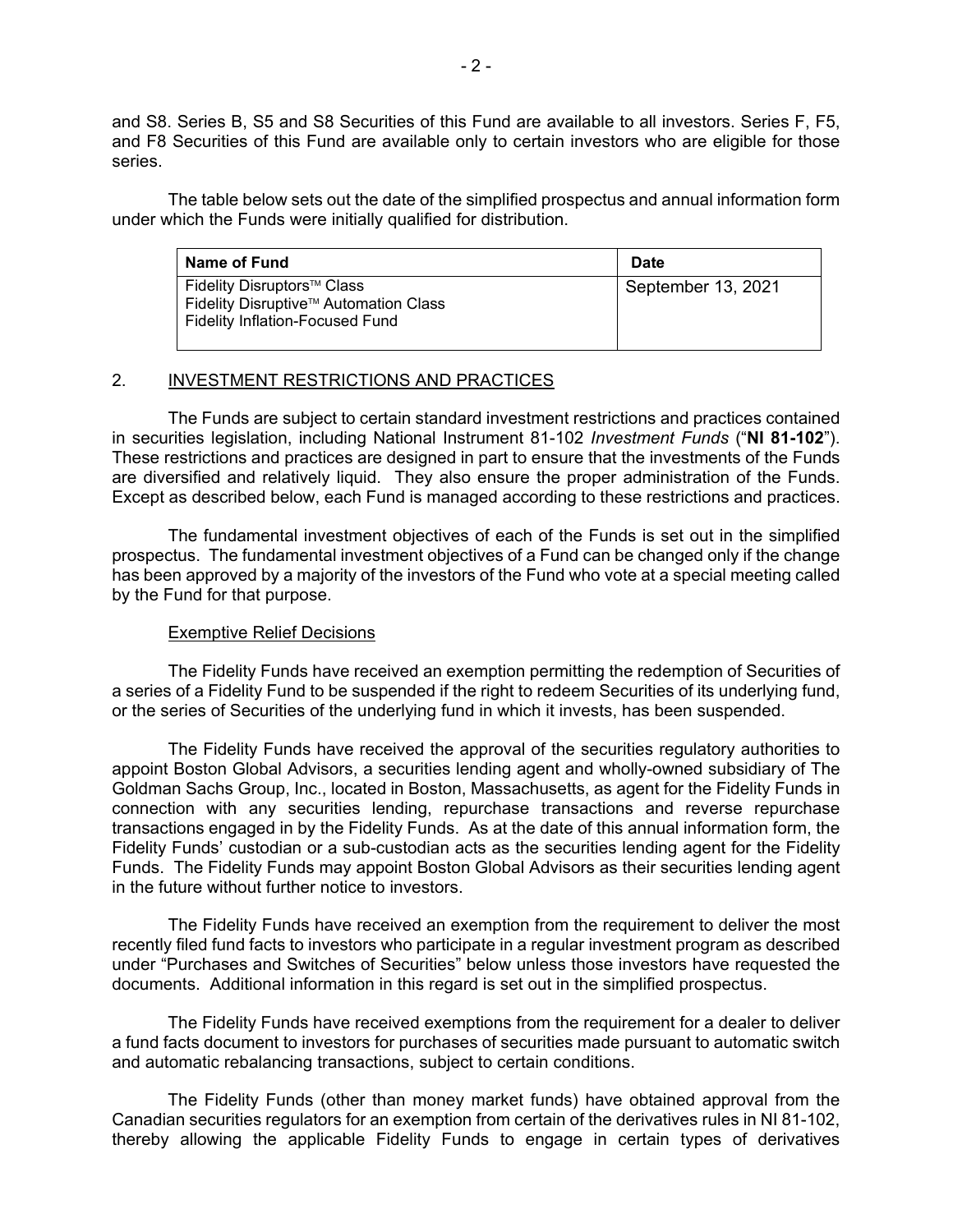<span id="page-3-0"></span> and S8. Series B, S5 and S8 Securities of this Fund are available to all investors. Series F, F5, series. and F8 Securities of this Fund are available only to certain investors who are eligible for those

The table below sets out the date of the simplified prospectus and annual information form under which the Funds were initially qualified for distribution.

| Name of Fund                                                                                                  | <b>Date</b>        |
|---------------------------------------------------------------------------------------------------------------|--------------------|
| Fidelity Disruptors™ Class<br>Fidelity Disruptive™ Automation Class<br><b>Fidelity Inflation-Focused Fund</b> | September 13, 2021 |

## 2. INVESTMENT RESTRICTIONS AND PRACTICES

 The Funds are subject to certain standard investment restrictions and practices contained in securities legislation, including National Instrument 81-102 Investment Funds ("NI 81-102"). are diversified and relatively liquid. They also ensure the proper administration of the Funds. Except as described below, each Fund is managed according to these restrictions and practices. These restrictions and practices are designed in part to ensure that the investments of the Funds

 has been approved by a majority of the investors of the Fund who vote at a special meeting called The fundamental investment objectives of each of the Funds is set out in the simplified prospectus. The fundamental investment objectives of a Fund can be changed only if the change by the Fund for that purpose.

## Exemptive Relief Decisions

 a series of a Fidelity Fund to be suspended if the right to redeem Securities of its underlying fund, The Fidelity Funds have received an exemption permitting the redemption of Securities of or the series of Securities of the underlying fund in which it invests, has been suspended.

 connection with any securities lending, repurchase transactions and reverse repurchase transactions engaged in by the Fidelity Funds. As at the date of this annual information form, the Fidelity Funds' custodian or a sub-custodian acts as the securities lending agent for the Fidelity The Fidelity Funds have received the approval of the securities regulatory authorities to appoint Boston Global Advisors, a securities lending agent and wholly-owned subsidiary of The Goldman Sachs Group, Inc., located in Boston, Massachusetts, as agent for the Fidelity Funds in Funds. The Fidelity Funds may appoint Boston Global Advisors as their securities lending agent in the future without further notice to investors.

 under "Purchases and Switches of Securities" below unless those investors have requested the The Fidelity Funds have received an exemption from the requirement to deliver the most recently filed fund facts to investors who participate in a regular investment program as described documents. Additional information in this regard is set out in the simplified prospectus.

 a fund facts document to investors for purchases of securities made pursuant to automatic switch The Fidelity Funds have received exemptions from the requirement for a dealer to deliver and automatic rebalancing transactions, subject to certain conditions.

 The Fidelity Funds (other than money market funds) have obtained approval from the Canadian securities regulators for an exemption from certain of the derivatives rules in NI 81-102, thereby allowing the applicable Fidelity Funds to engage in certain types of derivatives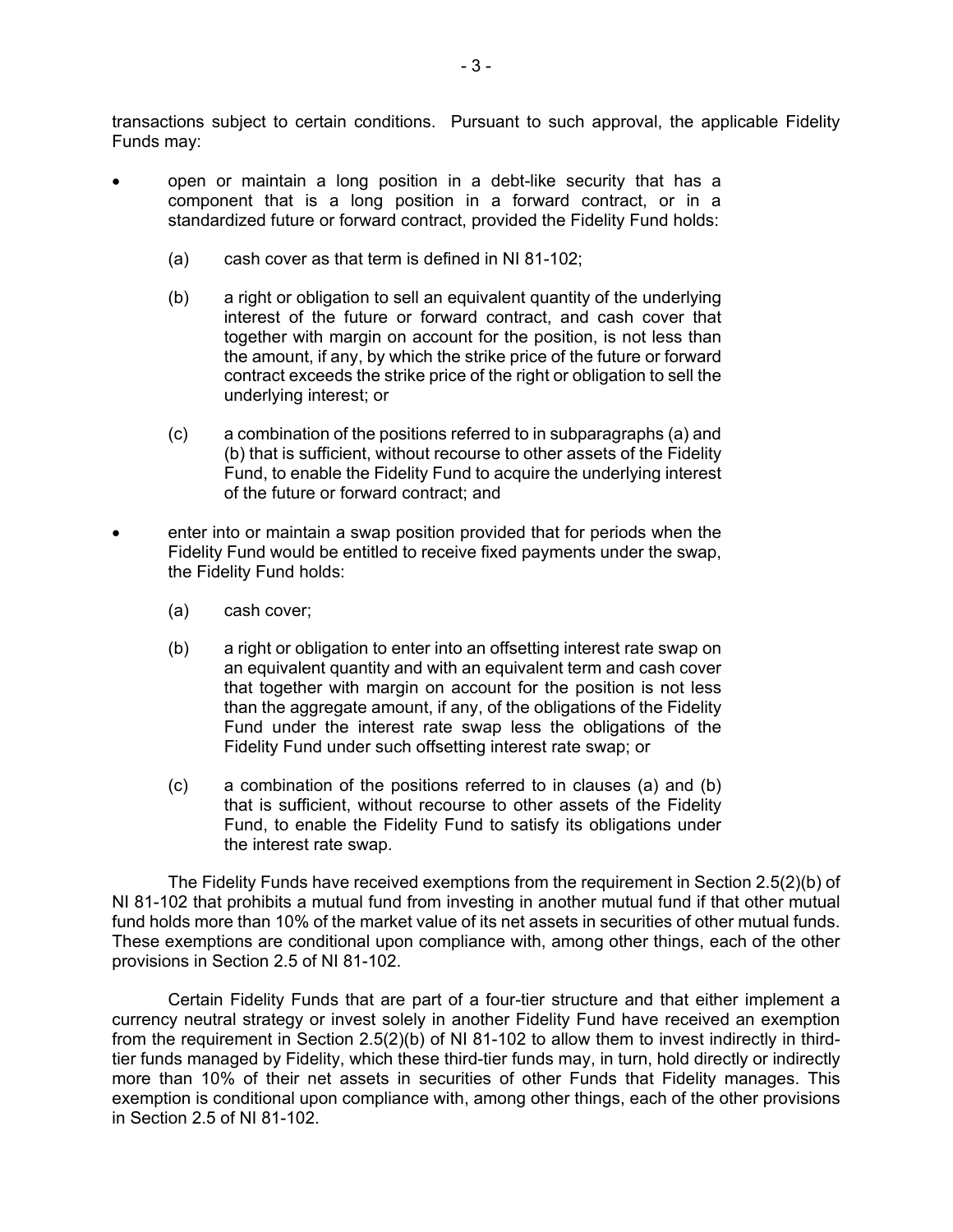transactions subject to certain conditions. Pursuant to such approval, the applicable Fidelity Funds may:

- open or maintain a long position in a debt-like security that has a component that is a long position in a forward contract, or in a standardized future or forward contract, provided the Fidelity Fund holds:
	- (a) cash cover as that term is defined in NI 81-102;
	- together with margin on account for the position, is not less than (b) a right or obligation to sell an equivalent quantity of the underlying interest of the future or forward contract, and cash cover that the amount, if any, by which the strike price of the future or forward contract exceeds the strike price of the right or obligation to sell the underlying interest; or
	- (c) a combination of the positions referred to in subparagraphs (a) and (b) that is sufficient, without recourse to other assets of the Fidelity Fund, to enable the Fidelity Fund to acquire the underlying interest of the future or forward contract; and
- • enter into or maintain a swap position provided that for periods when the Fidelity Fund would be entitled to receive fixed payments under the swap, the Fidelity Fund holds:
	- (a) cash cover;
	- Fund under the interest rate swap less the obligations of the (b) a right or obligation to enter into an offsetting interest rate swap on an equivalent quantity and with an equivalent term and cash cover that together with margin on account for the position is not less than the aggregate amount, if any, of the obligations of the Fidelity Fidelity Fund under such offsetting interest rate swap; or
	- (c) a combination of the positions referred to in clauses (a) and (b) Fund, to enable the Fidelity Fund to satisfy its obligations under that is sufficient, without recourse to other assets of the Fidelity the interest rate swap.

 The Fidelity Funds have received exemptions from the requirement in Section 2.5(2)(b) of NI 81-102 that prohibits a mutual fund from investing in another mutual fund if that other mutual fund holds more than 10% of the market value of its net assets in securities of other mutual funds. These exemptions are conditional upon compliance with, among other things, each of the other provisions in Section 2.5 of NI 81-102.

 from the requirement in Section 2.5(2)(b) of NI 81-102 to allow them to invest indirectly in third- more than 10% of their net assets in securities of other Funds that Fidelity manages. This Certain Fidelity Funds that are part of a four-tier structure and that either implement a currency neutral strategy or invest solely in another Fidelity Fund have received an exemption tier funds managed by Fidelity, which these third-tier funds may, in turn, hold directly or indirectly exemption is conditional upon compliance with, among other things, each of the other provisions in Section 2.5 of NI 81-102.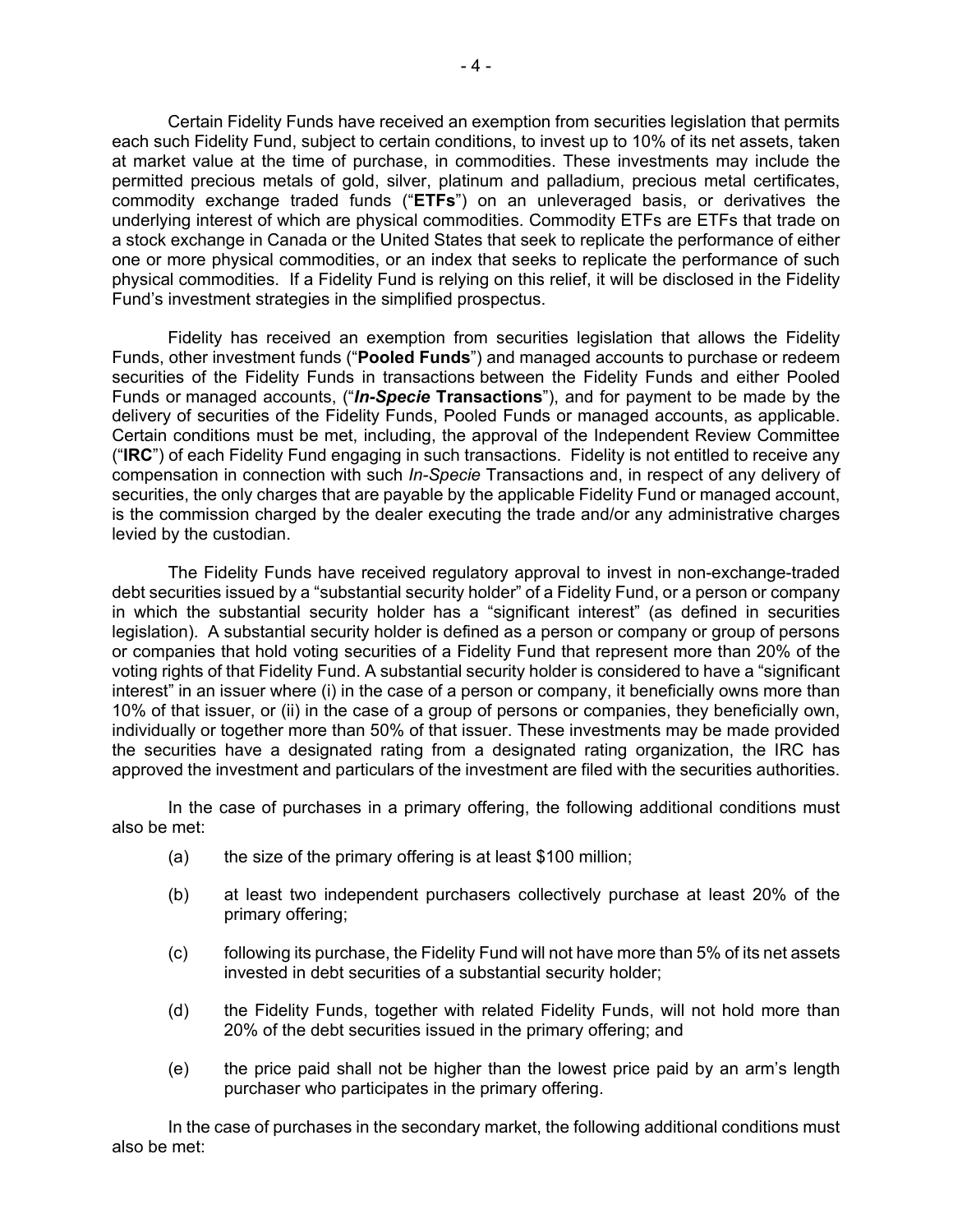commodity exchange traded funds ("**ETFs**") on an unleveraged basis, or derivatives the one or more physical commodities, or an index that seeks to replicate the performance of such Certain Fidelity Funds have received an exemption from securities legislation that permits each such Fidelity Fund, subject to certain conditions, to invest up to 10% of its net assets, taken at market value at the time of purchase, in commodities. These investments may include the permitted precious metals of gold, silver, platinum and palladium, precious metal certificates, underlying interest of which are physical commodities. Commodity ETFs are ETFs that trade on a stock exchange in Canada or the United States that seek to replicate the performance of either physical commodities. If a Fidelity Fund is relying on this relief, it will be disclosed in the Fidelity Fund's investment strategies in the simplified prospectus.

 Fidelity has received an exemption from securities legislation that allows the Fidelity delivery of securities of the Fidelity Funds, Pooled Funds or managed accounts, as applicable. ("**IRC**") of each Fidelity Fund engaging in such transactions. Fidelity is not entitled to receive any is the commission charged by the dealer executing the trade and/or any administrative charges Funds, other investment funds ("**Pooled Funds**") and managed accounts to purchase or redeem securities of the Fidelity Funds in transactions between the Fidelity Funds and either Pooled Funds or managed accounts, ("*In-Specie* **Transactions**"), and for payment to be made by the Certain conditions must be met, including, the approval of the Independent Review Committee compensation in connection with such *In-Specie* Transactions and, in respect of any delivery of securities, the only charges that are payable by the applicable Fidelity Fund or managed account, levied by the custodian.

 debt securities issued by a "substantial security holder" of a Fidelity Fund, or a person or company in which the substantial security holder has a "significant interest" (as defined in securities voting rights of that Fidelity Fund. A substantial security holder is considered to have a "significant approved the investment and particulars of the investment are filed with the securities authorities. The Fidelity Funds have received regulatory approval to invest in non-exchange-traded legislation). A substantial security holder is defined as a person or company or group of persons or companies that hold voting securities of a Fidelity Fund that represent more than 20% of the interest" in an issuer where (i) in the case of a person or company, it beneficially owns more than 10% of that issuer, or (ii) in the case of a group of persons or companies, they beneficially own, individually or together more than 50% of that issuer. These investments may be made provided the securities have a designated rating from a designated rating organization, the IRC has

In the case of purchases in a primary offering, the following additional conditions must also be met:

- $(a)$  the size of the primary offering is at least \$100 million;
- (b) at least two independent purchasers collectively purchase at least 20% of the primary offering;
- (c) following its purchase, the Fidelity Fund will not have more than 5% of its net assets invested in debt securities of a substantial security holder;
- (d) the Fidelity Funds, together with related Fidelity Funds, will not hold more than 20% of the debt securities issued in the primary offering; and
- (e) the price paid shall not be higher than the lowest price paid by an arm's length purchaser who participates in the primary offering.

 In the case of purchases in the secondary market, the following additional conditions must also be met: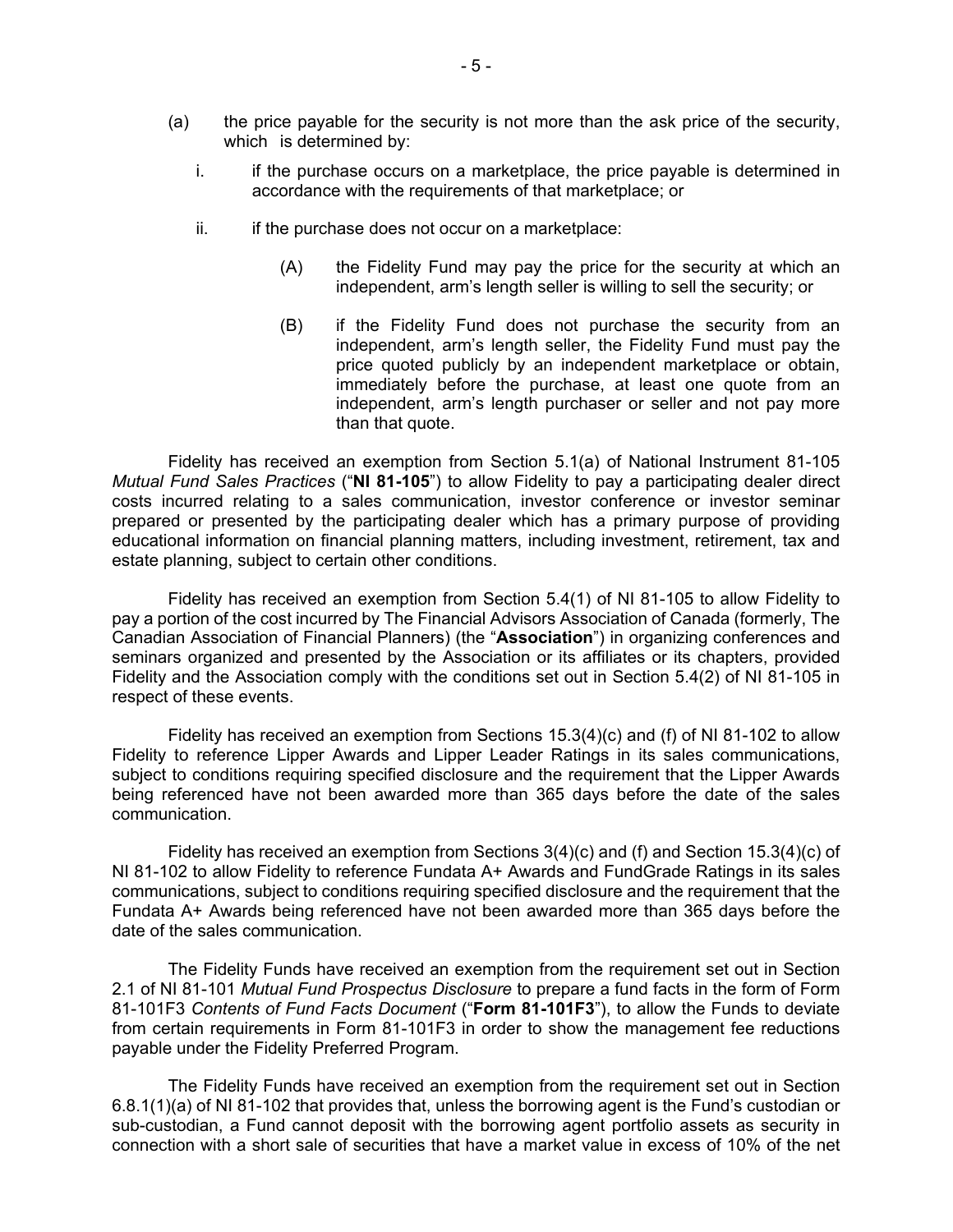- (a) the price payable for the security is not more than the ask price of the security, which is determined by:
	- i. if the purchase occurs on a marketplace, the price payable is determined in accordance with the requirements of that marketplace; or
	- $ii.$  if the purchase does not occur on a marketplace:
		- (A) the Fidelity Fund may pay the price for the security at which an independent, arm's length seller is willing to sell the security; or
		- price quoted publicly by an independent marketplace or obtain, independent, arm's length purchaser or seller and not pay more (B) if the Fidelity Fund does not purchase the security from an independent, arm's length seller, the Fidelity Fund must pay the immediately before the purchase, at least one quote from an than that quote.

 *Mutual Fund Sales Practices* ("**NI 81-105**") to allow Fidelity to pay a participating dealer direct prepared or presented by the participating dealer which has a primary purpose of providing Fidelity has received an exemption from Section 5.1(a) of National Instrument 81-105 costs incurred relating to a sales communication, investor conference or investor seminar educational information on financial planning matters, including investment, retirement, tax and estate planning, subject to certain other conditions.

Fidelity has received an exemption from Section 5.4(1) of NI 81-105 to allow Fidelity to pay a portion of the cost incurred by The Financial Advisors Association of Canada (formerly, The Canadian Association of Financial Planners) (the "**Association**") in organizing conferences and seminars organized and presented by the Association or its affiliates or its chapters, provided Fidelity and the Association comply with the conditions set out in Section 5.4(2) of NI 81-105 in respect of these events.

 being referenced have not been awarded more than 365 days before the date of the sales Fidelity has received an exemption from Sections 15.3(4)(c) and (f) of NI 81-102 to allow Fidelity to reference Lipper Awards and Lipper Leader Ratings in its sales communications, subject to conditions requiring specified disclosure and the requirement that the Lipper Awards communication.

 Fidelity has received an exemption from Sections 3(4)(c) and (f) and Section 15.3(4)(c) of communications, subject to conditions requiring specified disclosure and the requirement that the NI 81-102 to allow Fidelity to reference Fundata A+ Awards and FundGrade Ratings in its sales Fundata A+ Awards being referenced have not been awarded more than 365 days before the date of the sales communication.

The Fidelity Funds have received an exemption from the requirement set out in Section 2.1 of NI 81-101 *Mutual Fund Prospectus Disclosure* to prepare a fund facts in the form of Form 81-101F3 *Contents of Fund Facts Document* ("**Form 81-101F3**"), to allow the Funds to deviate from certain requirements in Form 81-101F3 in order to show the management fee reductions payable under the Fidelity Preferred Program.

The Fidelity Funds have received an exemption from the requirement set out in Section 6.8.1(1)(a) of NI 81-102 that provides that, unless the borrowing agent is the Fund's custodian or sub-custodian, a Fund cannot deposit with the borrowing agent portfolio assets as security in connection with a short sale of securities that have a market value in excess of 10% of the net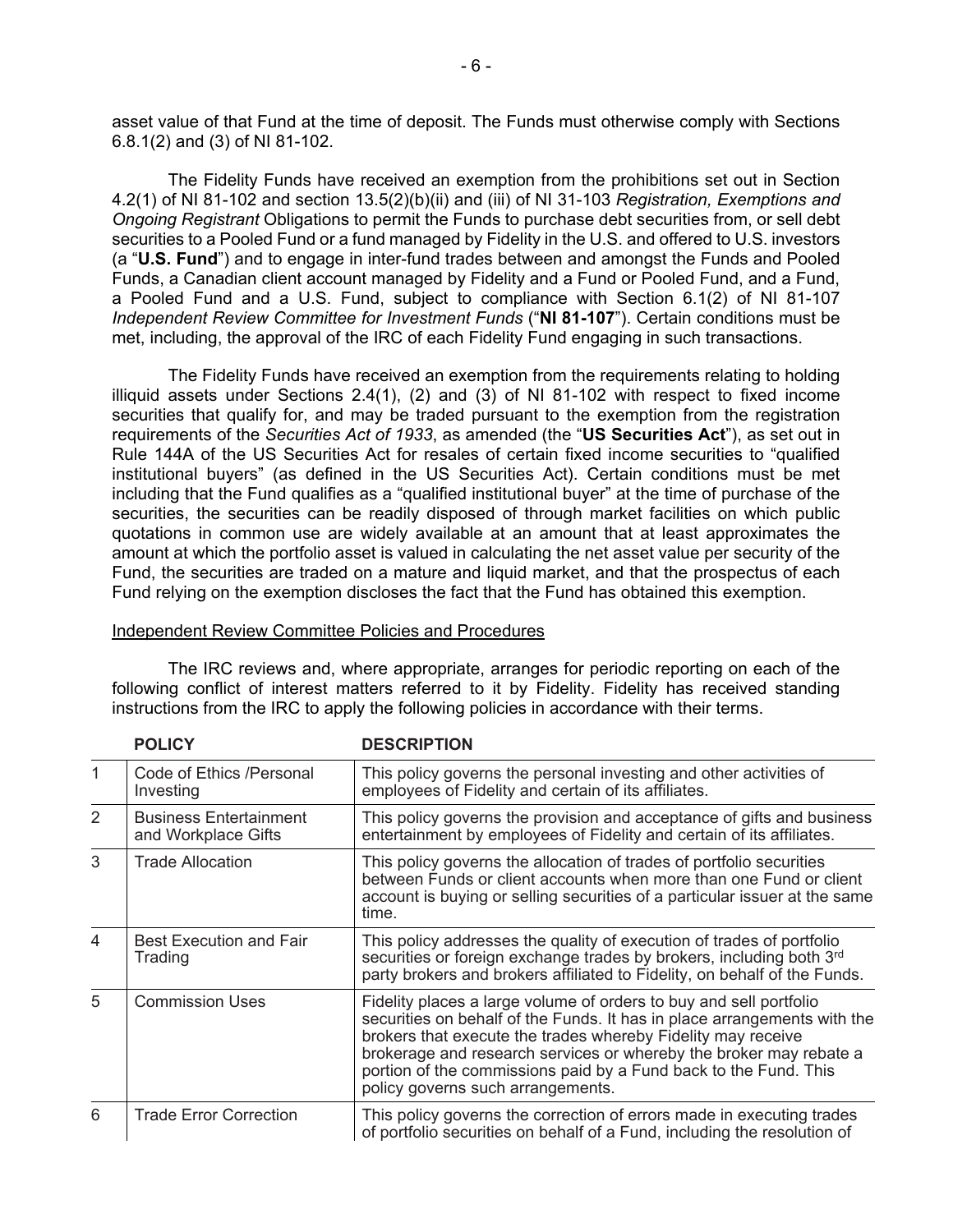asset value of that Fund at the time of deposit. The Funds must otherwise comply with Sections 6.8.1(2) and (3) of NI 81-102.

 4.2(1) of NI 81-102 and section 13.5(2)(b)(ii) and (iii) of NI 31-103 *Registration, Exemptions and Ongoing Registrant* Obligations to permit the Funds to purchase debt securities from, or sell debt securities to a Pooled Fund or a fund managed by Fidelity in the U.S. and offered to U.S. investors The Fidelity Funds have received an exemption from the prohibitions set out in Section (a "**U.S. Fund**") and to engage in inter-fund trades between and amongst the Funds and Pooled Funds, a Canadian client account managed by Fidelity and a Fund or Pooled Fund, and a Fund, a Pooled Fund and a U.S. Fund, subject to compliance with Section 6.1(2) of NI 81-107 *Independent Review Committee for Investment Funds* ("**NI 81-107**"). Certain conditions must be met, including, the approval of the IRC of each Fidelity Fund engaging in such transactions.

 illiquid assets under Sections 2.4(1), (2) and (3) of NI 81-102 with respect to fixed income including that the Fund qualifies as a "qualified institutional buyer" at the time of purchase of the Fund, the securities are traded on a mature and liquid market, and that the prospectus of each The Fidelity Funds have received an exemption from the requirements relating to holding securities that qualify for, and may be traded pursuant to the exemption from the registration requirements of the *Securities Act of 1933*, as amended (the "**US Securities Act**"), as set out in Rule 144A of the US Securities Act for resales of certain fixed income securities to "qualified institutional buyers" (as defined in the US Securities Act). Certain conditions must be met securities, the securities can be readily disposed of through market facilities on which public quotations in common use are widely available at an amount that at least approximates the amount at which the portfolio asset is valued in calculating the net asset value per security of the Fund relying on the exemption discloses the fact that the Fund has obtained this exemption.

|               | <b>POLICY</b>                                        | <b>DESCRIPTION</b>                                                                                                                                                                                                                                                                                                                                                                            |
|---------------|------------------------------------------------------|-----------------------------------------------------------------------------------------------------------------------------------------------------------------------------------------------------------------------------------------------------------------------------------------------------------------------------------------------------------------------------------------------|
|               | Code of Ethics /Personal<br>Investing                | This policy governs the personal investing and other activities of<br>employees of Fidelity and certain of its affiliates.                                                                                                                                                                                                                                                                    |
| $\mathcal{P}$ | <b>Business Entertainment</b><br>and Workplace Gifts | This policy governs the provision and acceptance of gifts and business<br>entertainment by employees of Fidelity and certain of its affiliates.                                                                                                                                                                                                                                               |
| 3             | <b>Trade Allocation</b>                              | This policy governs the allocation of trades of portfolio securities<br>between Funds or client accounts when more than one Fund or client<br>account is buying or selling securities of a particular issuer at the same<br>time.                                                                                                                                                             |
| 4             | <b>Best Execution and Fair</b><br>Trading            | This policy addresses the quality of execution of trades of portfolio<br>securities or foreign exchange trades by brokers, including both 3rd<br>party brokers and brokers affiliated to Fidelity, on behalf of the Funds.                                                                                                                                                                    |
| 5             | <b>Commission Uses</b>                               | Fidelity places a large volume of orders to buy and sell portfolio<br>securities on behalf of the Funds. It has in place arrangements with the<br>brokers that execute the trades whereby Fidelity may receive<br>brokerage and research services or whereby the broker may rebate a<br>portion of the commissions paid by a Fund back to the Fund. This<br>policy governs such arrangements. |
| 6             | <b>Trade Error Correction</b>                        | This policy governs the correction of errors made in executing trades<br>of portfolio securities on behalf of a Fund, including the resolution of                                                                                                                                                                                                                                             |

#### Independent Review Committee Policies and Procedures

 The IRC reviews and, where appropriate, arranges for periodic reporting on each of the following conflict of interest matters referred to it by Fidelity. Fidelity has received standing instructions from the IRC to apply the following policies in accordance with their terms.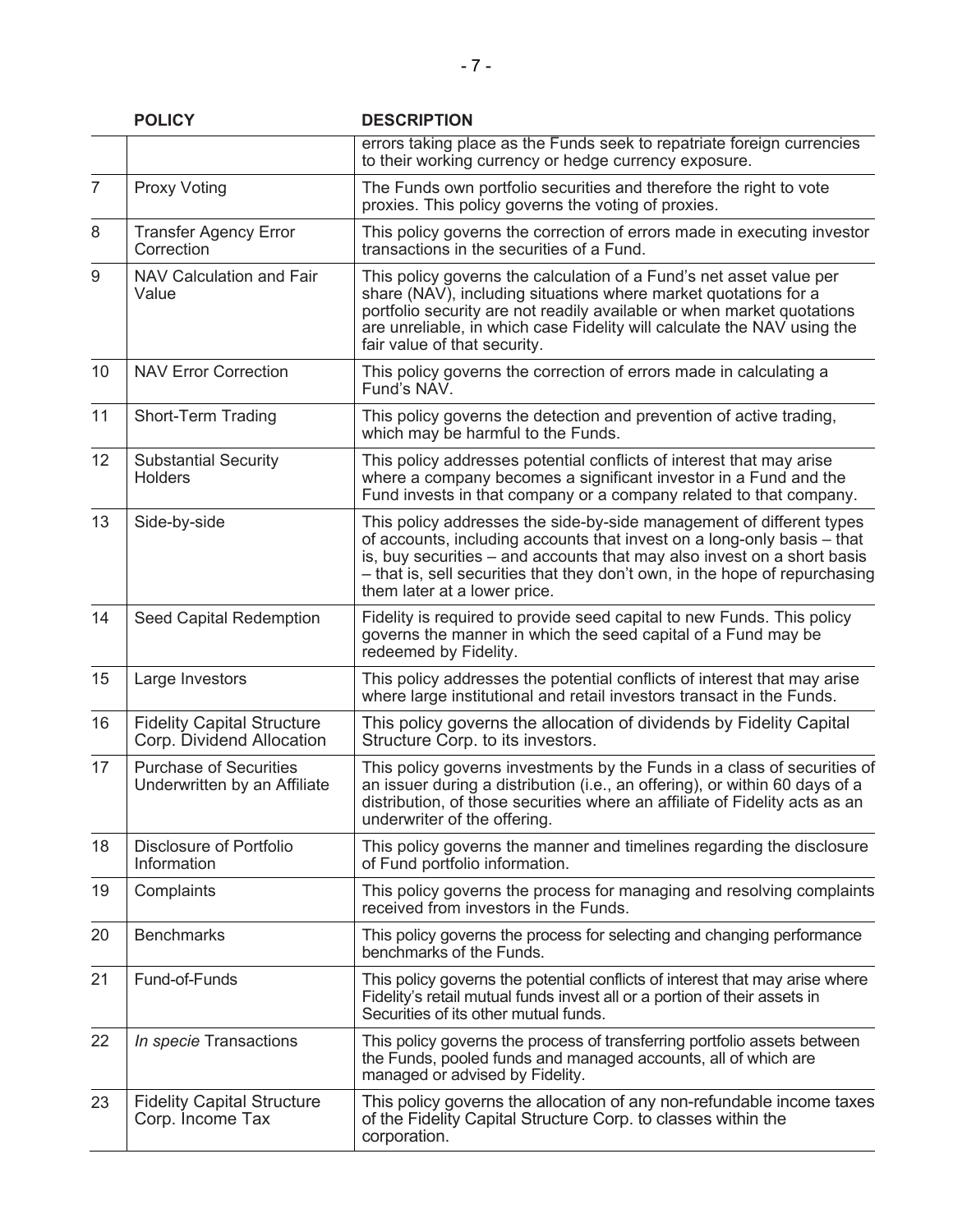|                | <b>POLICY</b>                                                  | <b>DESCRIPTION</b>                                                                                                                                                                                                                                                                                                                        |
|----------------|----------------------------------------------------------------|-------------------------------------------------------------------------------------------------------------------------------------------------------------------------------------------------------------------------------------------------------------------------------------------------------------------------------------------|
|                |                                                                | errors taking place as the Funds seek to repatriate foreign currencies<br>to their working currency or hedge currency exposure.                                                                                                                                                                                                           |
| $\overline{7}$ | <b>Proxy Voting</b>                                            | The Funds own portfolio securities and therefore the right to vote<br>proxies. This policy governs the voting of proxies.                                                                                                                                                                                                                 |
| 8              | <b>Transfer Agency Error</b><br>Correction                     | This policy governs the correction of errors made in executing investor<br>transactions in the securities of a Fund.                                                                                                                                                                                                                      |
| 9              | NAV Calculation and Fair<br>Value                              | This policy governs the calculation of a Fund's net asset value per<br>share (NAV), including situations where market quotations for a<br>portfolio security are not readily available or when market quotations<br>are unreliable, in which case Fidelity will calculate the NAV using the<br>fair value of that security.               |
| 10             | <b>NAV Error Correction</b>                                    | This policy governs the correction of errors made in calculating a<br>Fund's NAV.                                                                                                                                                                                                                                                         |
| 11             | Short-Term Trading                                             | This policy governs the detection and prevention of active trading,<br>which may be harmful to the Funds.                                                                                                                                                                                                                                 |
| 12             | <b>Substantial Security</b><br><b>Holders</b>                  | This policy addresses potential conflicts of interest that may arise<br>where a company becomes a significant investor in a Fund and the<br>Fund invests in that company or a company related to that company.                                                                                                                            |
| 13             | Side-by-side                                                   | This policy addresses the side-by-side management of different types<br>of accounts, including accounts that invest on a long-only basis - that<br>is, buy securities – and accounts that may also invest on a short basis<br>- that is, sell securities that they don't own, in the hope of repurchasing<br>them later at a lower price. |
| 14             | Seed Capital Redemption                                        | Fidelity is required to provide seed capital to new Funds. This policy<br>governs the manner in which the seed capital of a Fund may be<br>redeemed by Fidelity.                                                                                                                                                                          |
| 15             | Large Investors                                                | This policy addresses the potential conflicts of interest that may arise<br>where large institutional and retail investors transact in the Funds.                                                                                                                                                                                         |
| 16             | <b>Fidelity Capital Structure</b><br>Corp. Dividend Allocation | This policy governs the allocation of dividends by Fidelity Capital<br>Structure Corp. to its investors.                                                                                                                                                                                                                                  |
| 17             | <b>Purchase of Securities</b><br>Underwritten by an Affiliate  | This policy governs investments by the Funds in a class of securities of<br>an issuer during a distribution (i.e., an offering), or within 60 days of a<br>distribution, of those securities where an affiliate of Fidelity acts as an<br>underwriter of the offering.                                                                    |
| 18             | Disclosure of Portfolio<br>Information                         | This policy governs the manner and timelines regarding the disclosure<br>of Fund portfolio information.                                                                                                                                                                                                                                   |
| 19             | Complaints                                                     | This policy governs the process for managing and resolving complaints<br>received from investors in the Funds.                                                                                                                                                                                                                            |
| 20             | <b>Benchmarks</b>                                              | This policy governs the process for selecting and changing performance<br>benchmarks of the Funds.                                                                                                                                                                                                                                        |
| 21             | Fund-of-Funds                                                  | This policy governs the potential conflicts of interest that may arise where<br>Fidelity's retail mutual funds invest all or a portion of their assets in<br>Securities of its other mutual funds.                                                                                                                                        |
| 22             | In specie Transactions                                         | This policy governs the process of transferring portfolio assets between<br>the Funds, pooled funds and managed accounts, all of which are<br>managed or advised by Fidelity.                                                                                                                                                             |
| 23             | <b>Fidelity Capital Structure</b><br>Corp. Income Tax          | This policy governs the allocation of any non-refundable income taxes<br>of the Fidelity Capital Structure Corp. to classes within the<br>corporation.                                                                                                                                                                                    |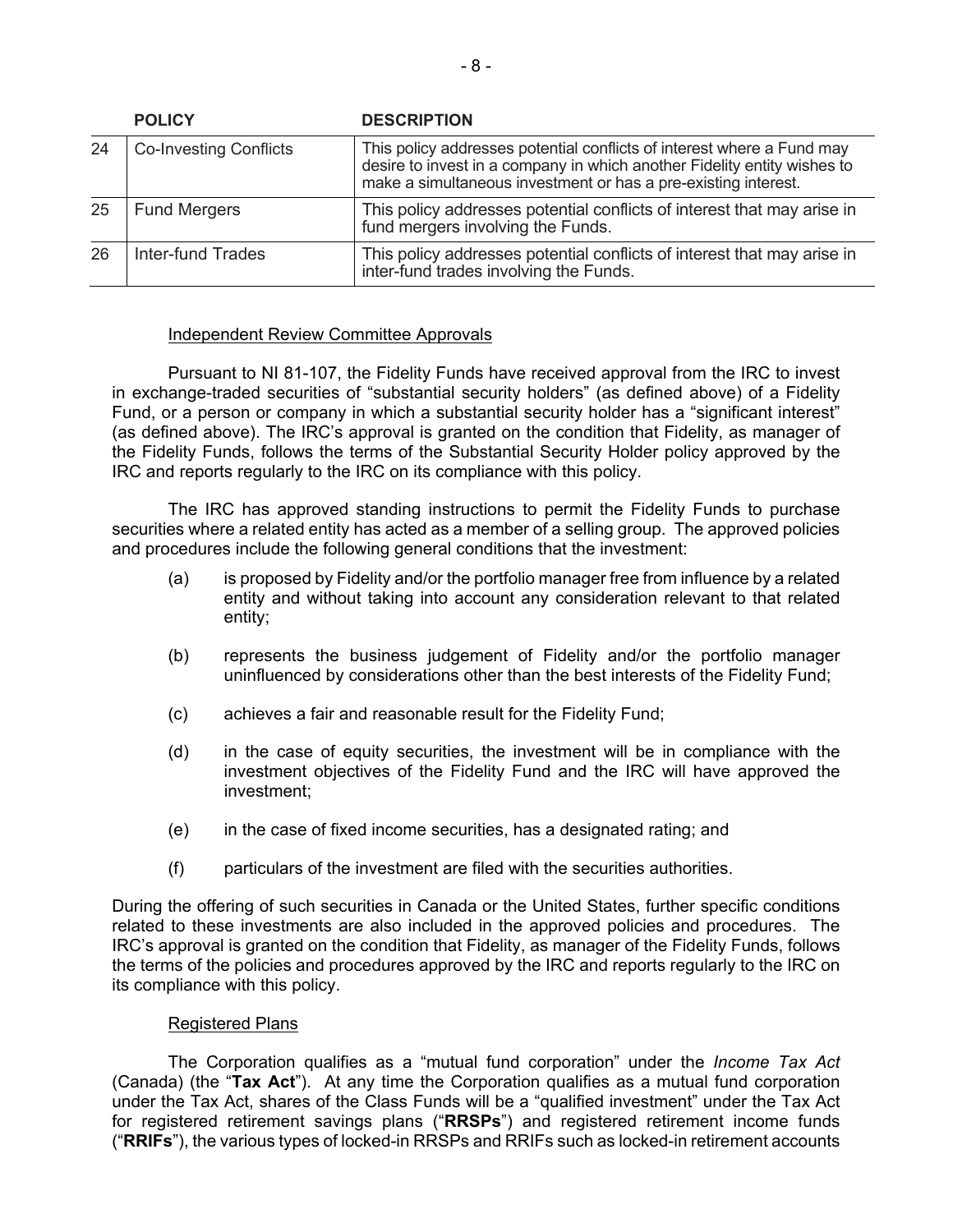| <b>POLICY</b><br><b>DESCRIPTION</b> |                               |                                                                                                                                                                                                                      |
|-------------------------------------|-------------------------------|----------------------------------------------------------------------------------------------------------------------------------------------------------------------------------------------------------------------|
| 24                                  | <b>Co-Investing Conflicts</b> | This policy addresses potential conflicts of interest where a Fund may<br>desire to invest in a company in which another Fidelity entity wishes to<br>make a simultaneous investment or has a pre-existing interest. |
| 25                                  | <b>Fund Mergers</b>           | This policy addresses potential conflicts of interest that may arise in<br>fund mergers involving the Funds.                                                                                                         |
| 26                                  | Inter-fund Trades             | This policy addresses potential conflicts of interest that may arise in<br>inter-fund trades involving the Funds.                                                                                                    |

## Independent Review Committee Approvals

 Pursuant to NI 81-107, the Fidelity Funds have received approval from the IRC to invest (as defined above). The IRC's approval is granted on the condition that Fidelity, as manager of in exchange-traded securities of "substantial security holders" (as defined above) of a Fidelity Fund, or a person or company in which a substantial security holder has a "significant interest" the Fidelity Funds, follows the terms of the Substantial Security Holder policy approved by the IRC and reports regularly to the IRC on its compliance with this policy.

 securities where a related entity has acted as a member of a selling group. The approved policies The IRC has approved standing instructions to permit the Fidelity Funds to purchase and procedures include the following general conditions that the investment:

- (a) is proposed by Fidelity and/or the portfolio manager free from influence by a related entity and without taking into account any consideration relevant to that related entity;
- (b) represents the business judgement of Fidelity and/or the portfolio manager uninfluenced by considerations other than the best interests of the Fidelity Fund;
- (c) achieves a fair and reasonable result for the Fidelity Fund;
- investment objectives of the Fidelity Fund and the IRC will have approved the investment; (d) in the case of equity securities, the investment will be in compliance with the
- $(e)$  in the case of fixed income securities, has a designated rating; and
- (f) particulars of the investment are filed with the securities authorities.

 related to these investments are also included in the approved policies and procedures. The the terms of the policies and procedures approved by the IRC and reports regularly to the IRC on During the offering of such securities in Canada or the United States, further specific conditions IRC's approval is granted on the condition that Fidelity, as manager of the Fidelity Funds, follows its compliance with this policy.

#### Registered Plans

 (Canada) (the "**Tax Act**"). At any time the Corporation qualifies as a mutual fund corporation for registered retirement savings plans ("**RRSPs**") and registered retirement income funds The Corporation qualifies as a "mutual fund corporation" under the *Income Tax Act*  under the Tax Act, shares of the Class Funds will be a "qualified investment" under the Tax Act ("**RRIFs**"), the various types of locked-in RRSPs and RRIFs such as locked-in retirement accounts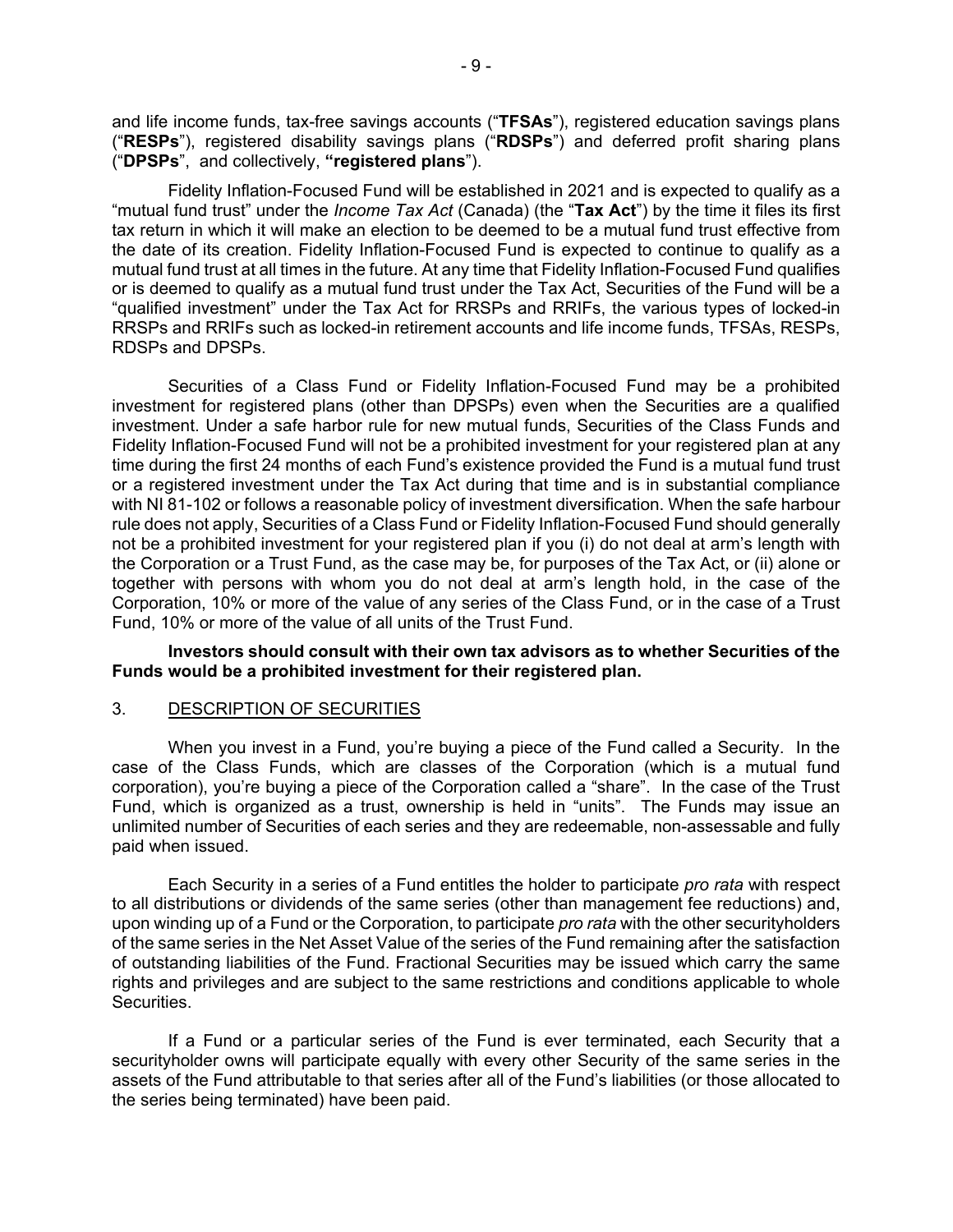<span id="page-10-0"></span> and life income funds, tax-free savings accounts ("**TFSAs**"), registered education savings plans ("**RESPs**"), registered disability savings plans ("**RDSPs**") and deferred profit sharing plans ("DPSPs", and collectively, "registered plans").

 the date of its creation. Fidelity Inflation-Focused Fund is expected to continue to qualify as a RDSPs and DPSPs. Fidelity Inflation-Focused Fund will be established in 2021 and is expected to qualify as a "mutual fund trust" under the *Income Tax Act* (Canada) (the "**Tax Act**") by the time it files its first tax return in which it will make an election to be deemed to be a mutual fund trust effective from mutual fund trust at all times in the future. At any time that Fidelity Inflation-Focused Fund qualifies or is deemed to qualify as a mutual fund trust under the Tax Act, Securities of the Fund will be a "qualified investment" under the Tax Act for RRSPs and RRIFs, the various types of locked-in RRSPs and RRIFs such as locked-in retirement accounts and life income funds, TFSAs, RESPs,

 Securities of a Class Fund or Fidelity Inflation-Focused Fund may be a prohibited not be a prohibited investment for your registered plan if you (i) do not deal at arm's length with investment for registered plans (other than DPSPs) even when the Securities are a qualified investment. Under a safe harbor rule for new mutual funds, Securities of the Class Funds and Fidelity Inflation-Focused Fund will not be a prohibited investment for your registered plan at any time during the first 24 months of each Fund's existence provided the Fund is a mutual fund trust or a registered investment under the Tax Act during that time and is in substantial compliance with NI 81-102 or follows a reasonable policy of investment diversification. When the safe harbour rule does not apply, Securities of a Class Fund or Fidelity Inflation-Focused Fund should generally the Corporation or a Trust Fund, as the case may be, for purposes of the Tax Act, or (ii) alone or together with persons with whom you do not deal at arm's length hold, in the case of the Corporation, 10% or more of the value of any series of the Class Fund, or in the case of a Trust Fund, 10% or more of the value of all units of the Trust Fund.

## **Investors should consult with their own tax advisors as to whether Securities of the Funds would be a prohibited investment for their registered plan.**

## 3. DESCRIPTION OF SECURITIES

 unlimited number of Securities of each series and they are redeemable, non-assessable and fully When you invest in a Fund, you're buying a piece of the Fund called a Security. In the case of the Class Funds, which are classes of the Corporation (which is a mutual fund corporation), you're buying a piece of the Corporation called a "share". In the case of the Trust Fund, which is organized as a trust, ownership is held in "units". The Funds may issue an paid when issued.

Each Security in a series of a Fund entitles the holder to participate *pro rata* with respect to all distributions or dividends of the same series (other than management fee reductions) and, upon winding up of a Fund or the Corporation, to participate *pro rata* with the other securityholders of the same series in the Net Asset Value of the series of the Fund remaining after the satisfaction of outstanding liabilities of the Fund. Fractional Securities may be issued which carry the same rights and privileges and are subject to the same restrictions and conditions applicable to whole Securities.

If a Fund or a particular series of the Fund is ever terminated, each Security that a securityholder owns will participate equally with every other Security of the same series in the assets of the Fund attributable to that series after all of the Fund's liabilities (or those allocated to the series being terminated) have been paid.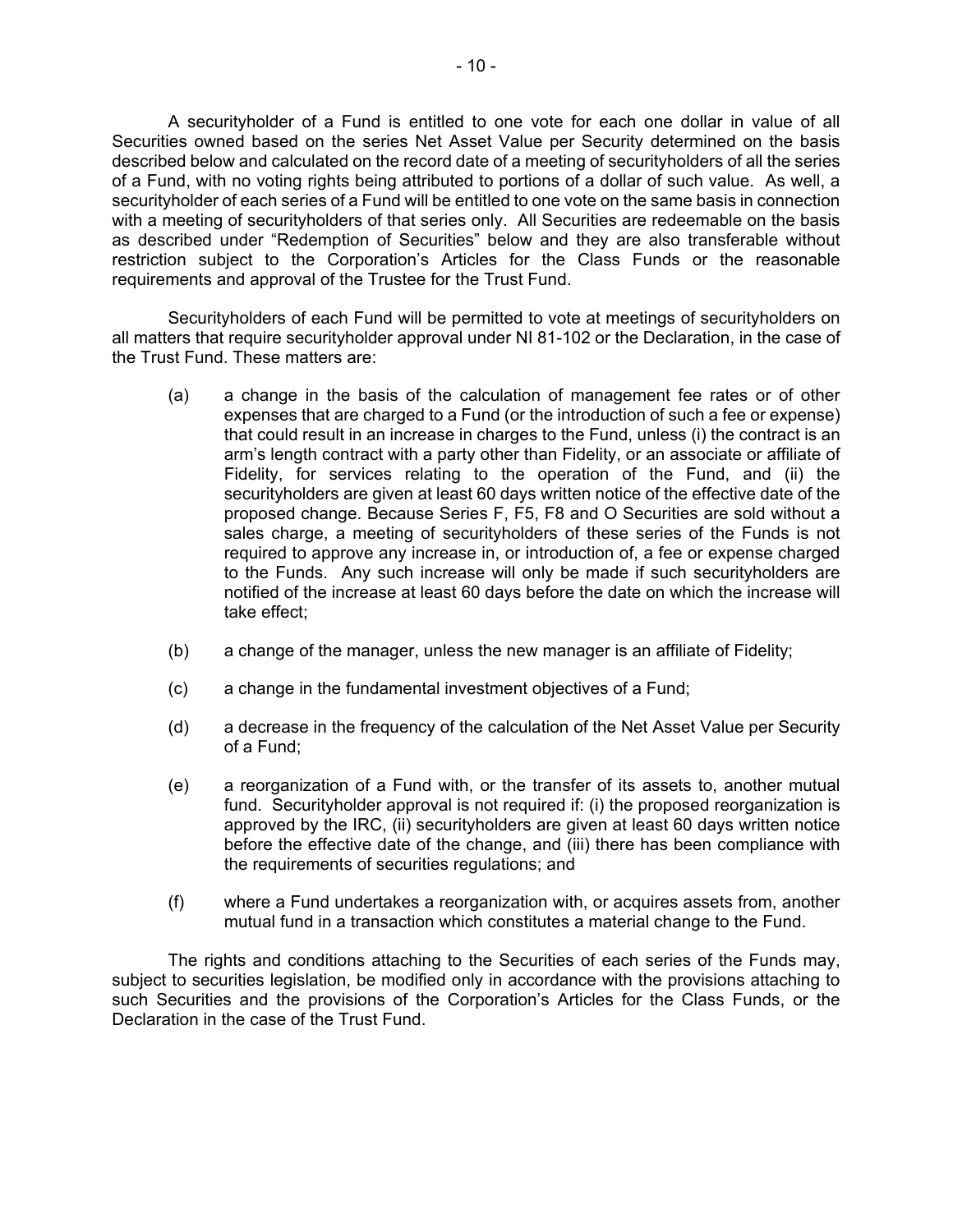Securities owned based on the series Net Asset Value per Security determined on the basis of a Fund, with no voting rights being attributed to portions of a dollar of such value. As well, a restriction subject to the Corporation's Articles for the Class Funds or the reasonable A securityholder of a Fund is entitled to one vote for each one dollar in value of all described below and calculated on the record date of a meeting of securityholders of all the series securityholder of each series of a Fund will be entitled to one vote on the same basis in connection with a meeting of securityholders of that series only. All Securities are redeemable on the basis as described under "Redemption of Securities" below and they are also transferable without requirements and approval of the Trustee for the Trust Fund.

Securityholders of each Fund will be permitted to vote at meetings of securityholders on all matters that require securityholder approval under NI 81-102 or the Declaration, in the case of the Trust Fund. These matters are:

- expenses that are charged to a Fund (or the introduction of such a fee or expense) that could result in an increase in charges to the Fund, unless (i) the contract is an proposed change. Because Series F, F5, F8 and O Securities are sold without a required to approve any increase in, or introduction of, a fee or expense charged to the Funds. Any such increase will only be made if such securityholders are (a) a change in the basis of the calculation of management fee rates or of other arm's length contract with a party other than Fidelity, or an associate or affiliate of Fidelity, for services relating to the operation of the Fund, and (ii) the securityholders are given at least 60 days written notice of the effective date of the sales charge, a meeting of securityholders of these series of the Funds is not notified of the increase at least 60 days before the date on which the increase will take effect;
- $(b)$ a change of the manager, unless the new manager is an affiliate of Fidelity;
- (c) a change in the fundamental investment objectives of a Fund;
- (d) a decrease in the frequency of the calculation of the Net Asset Value per Security of a Fund;
- (e) a reorganization of a Fund with, or the transfer of its assets to, another mutual fund. Securityholder approval is not required if: (i) the proposed reorganization is approved by the IRC, (ii) securityholders are given at least 60 days written notice before the effective date of the change, and (iii) there has been compliance with the requirements of securities regulations; and
- (f) where a Fund undertakes a reorganization with, or acquires assets from, another mutual fund in a transaction which constitutes a material change to the Fund.

 such Securities and the provisions of the Corporation's Articles for the Class Funds, or the The rights and conditions attaching to the Securities of each series of the Funds may, subject to securities legislation, be modified only in accordance with the provisions attaching to Declaration in the case of the Trust Fund.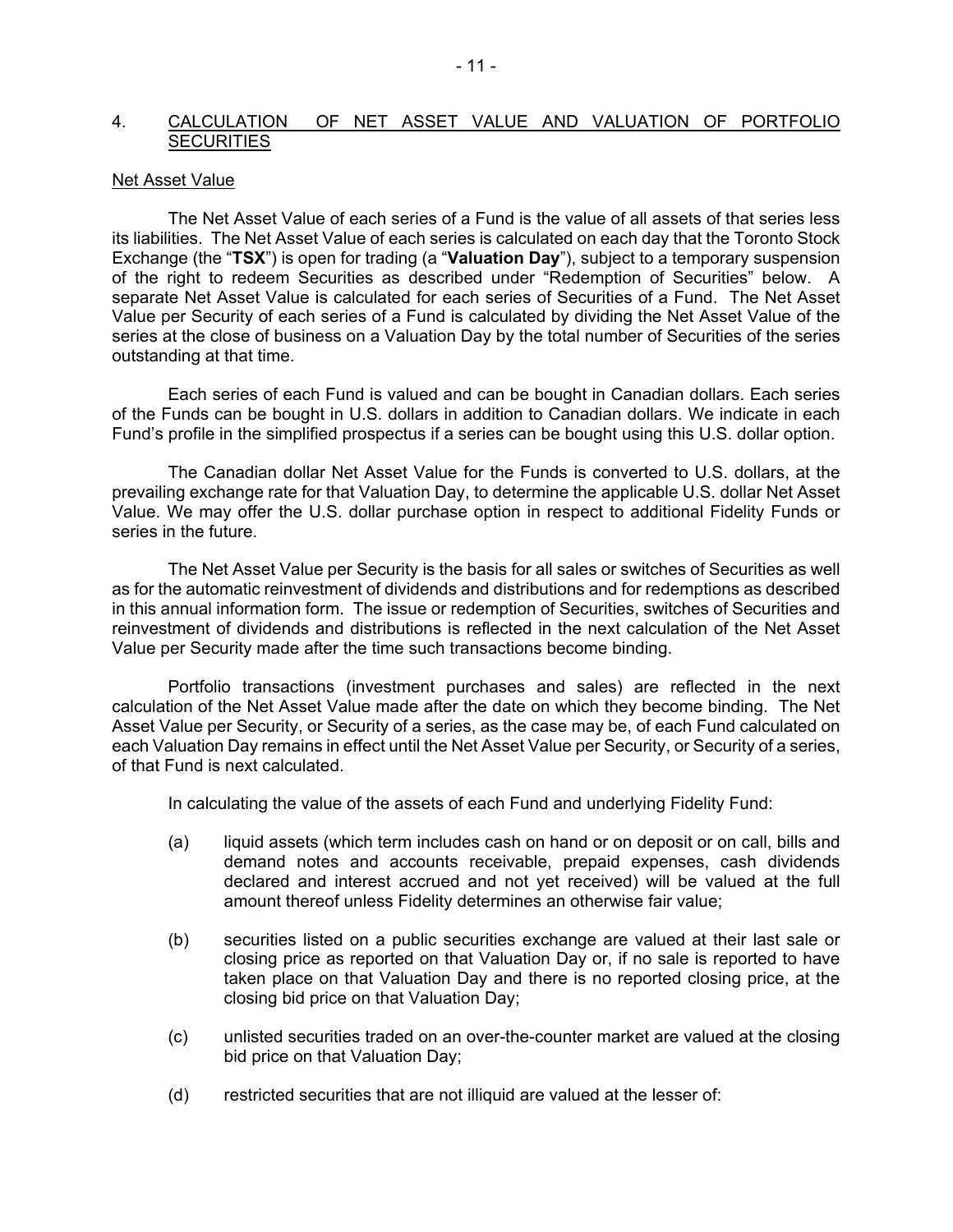#### <span id="page-12-0"></span> 4. CALCULATION OF NET ASSET VALUE AND VALUATION OF PORTFOLIO **SECURITIES**

#### Net Asset Value

 its liabilities. The Net Asset Value of each series is calculated on each day that the Toronto Stock Exchange (the "**TSX**") is open for trading (a "**Valuation Day**"), subject to a temporary suspension The Net Asset Value of each series of a Fund is the value of all assets of that series less of the right to redeem Securities as described under "Redemption of Securities" below. A separate Net Asset Value is calculated for each series of Securities of a Fund. The Net Asset Value per Security of each series of a Fund is calculated by dividing the Net Asset Value of the series at the close of business on a Valuation Day by the total number of Securities of the series outstanding at that time.

Each series of each Fund is valued and can be bought in Canadian dollars. Each series of the Funds can be bought in U.S. dollars in addition to Canadian dollars. We indicate in each Fund's profile in the simplified prospectus if a series can be bought using this U.S. dollar option.

 prevailing exchange rate for that Valuation Day, to determine the applicable U.S. dollar Net Asset Value. We may offer the U.S. dollar purchase option in respect to additional Fidelity Funds or The Canadian dollar Net Asset Value for the Funds is converted to U.S. dollars, at the series in the future.

 The Net Asset Value per Security is the basis for all sales or switches of Securities as well as for the automatic reinvestment of dividends and distributions and for redemptions as described in this annual information form. The issue or redemption of Securities, switches of Securities and reinvestment of dividends and distributions is reflected in the next calculation of the Net Asset Value per Security made after the time such transactions become binding.

 calculation of the Net Asset Value made after the date on which they become binding. The Net each Valuation Day remains in effect until the Net Asset Value per Security, or Security of a series, Portfolio transactions (investment purchases and sales) are reflected in the next Asset Value per Security, or Security of a series, as the case may be, of each Fund calculated on of that Fund is next calculated.

In calculating the value of the assets of each Fund and underlying Fidelity Fund:

- (a) liquid assets (which term includes cash on hand or on deposit or on call, bills and demand notes and accounts receivable, prepaid expenses, cash dividends declared and interest accrued and not yet received) will be valued at the full amount thereof unless Fidelity determines an otherwise fair value;
- (b) securities listed on a public securities exchange are valued at their last sale or closing price as reported on that Valuation Day or, if no sale is reported to have taken place on that Valuation Day and there is no reported closing price, at the closing bid price on that Valuation Day;
- (c) unlisted securities traded on an over-the-counter market are valued at the closing bid price on that Valuation Day;
- (d) restricted securities that are not illiquid are valued at the lesser of: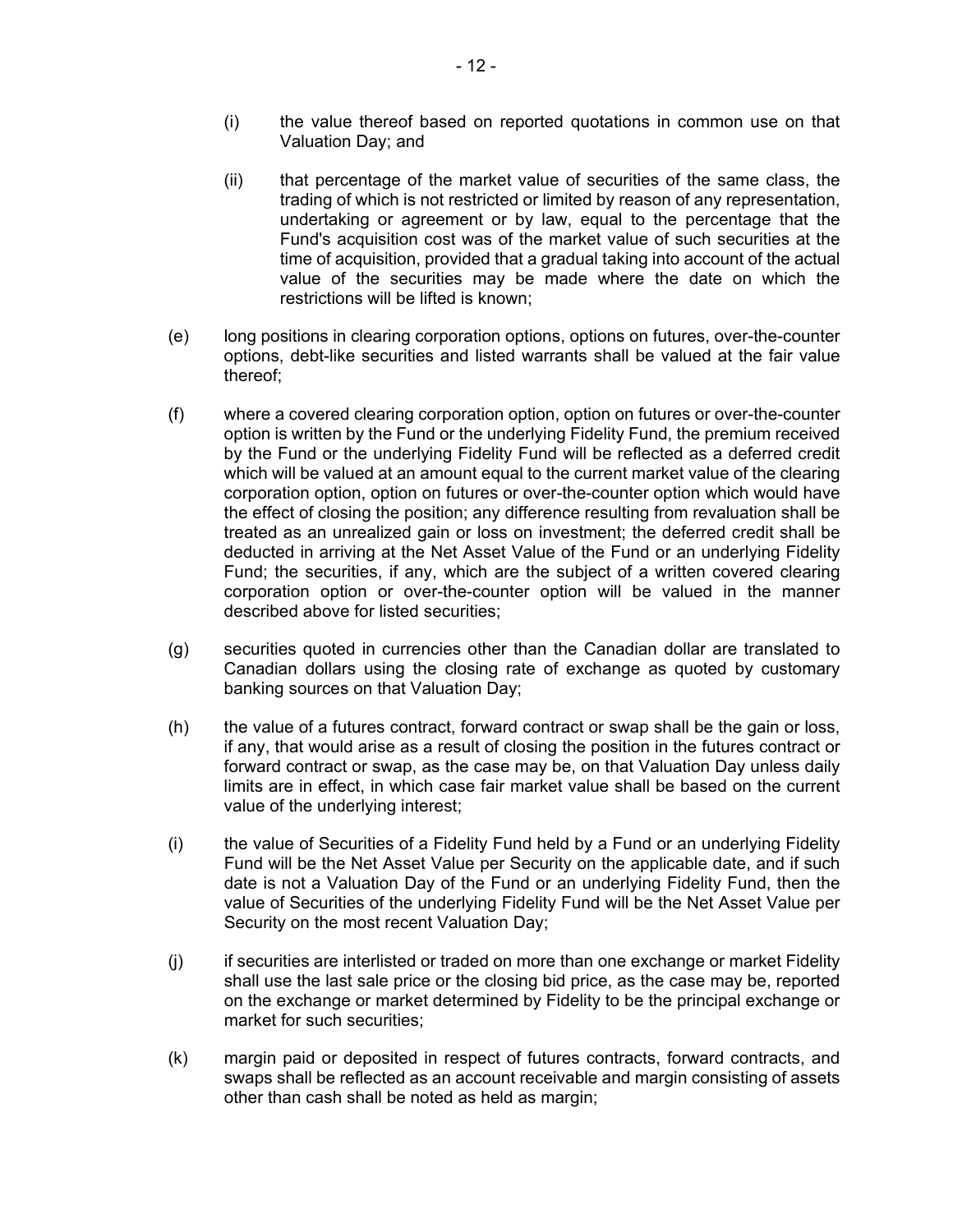- (i) the value thereof based on reported quotations in common use on that Valuation Day; and
- value of the securities may be made where the date on which the (ii) that percentage of the market value of securities of the same class, the trading of which is not restricted or limited by reason of any representation, undertaking or agreement or by law, equal to the percentage that the Fund's acquisition cost was of the market value of such securities at the time of acquisition, provided that a gradual taking into account of the actual restrictions will be lifted is known;
- (e) long positions in clearing corporation options, options on futures, over-the-counter options, debt-like securities and listed warrants shall be valued at the fair value thereof;
- which will be valued at an amount equal to the current market value of the clearing (f) where a covered clearing corporation option, option on futures or over-the-counter option is written by the Fund or the underlying Fidelity Fund, the premium received by the Fund or the underlying Fidelity Fund will be reflected as a deferred credit corporation option, option on futures or over-the-counter option which would have the effect of closing the position; any difference resulting from revaluation shall be treated as an unrealized gain or loss on investment; the deferred credit shall be deducted in arriving at the Net Asset Value of the Fund or an underlying Fidelity Fund; the securities, if any, which are the subject of a written covered clearing corporation option or over-the-counter option will be valued in the manner described above for listed securities;
- (g) securities quoted in currencies other than the Canadian dollar are translated to Canadian dollars using the closing rate of exchange as quoted by customary banking sources on that Valuation Day;
- limits are in effect, in which case fair market value shall be based on the current (h) the value of a futures contract, forward contract or swap shall be the gain or loss, if any, that would arise as a result of closing the position in the futures contract or forward contract or swap, as the case may be, on that Valuation Day unless daily value of the underlying interest;
- Fund will be the Net Asset Value per Security on the applicable date, and if such (i) the value of Securities of a Fidelity Fund held by a Fund or an underlying Fidelity date is not a Valuation Day of the Fund or an underlying Fidelity Fund, then the value of Securities of the underlying Fidelity Fund will be the Net Asset Value per Security on the most recent Valuation Day;
- (j) if securities are interlisted or traded on more than one exchange or market Fidelity shall use the last sale price or the closing bid price, as the case may be, reported on the exchange or market determined by Fidelity to be the principal exchange or market for such securities;
- (k) margin paid or deposited in respect of futures contracts, forward contracts, and swaps shall be reflected as an account receivable and margin consisting of assets other than cash shall be noted as held as margin;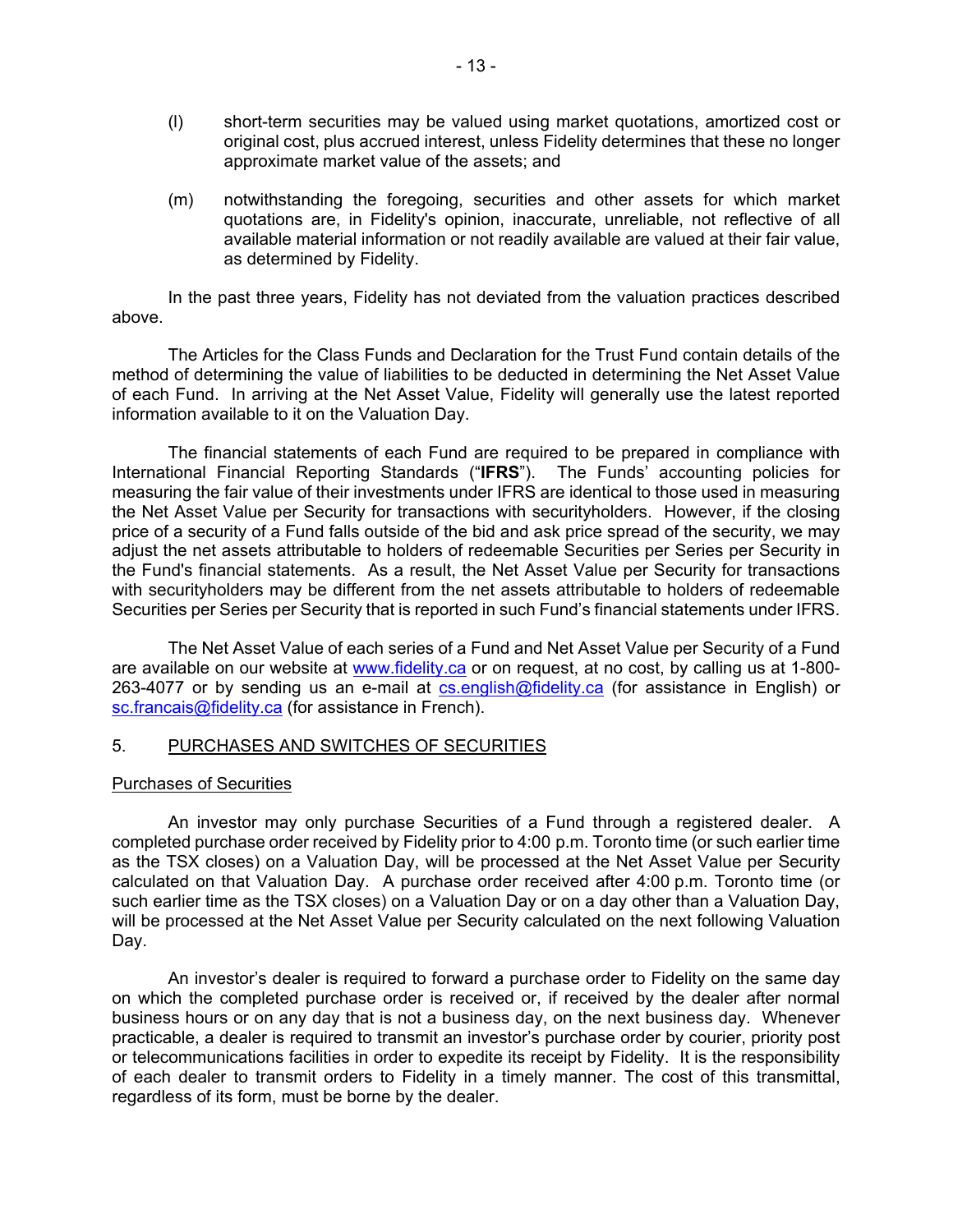- <span id="page-14-0"></span> (l) short-term securities may be valued using market quotations, amortized cost or original cost, plus accrued interest, unless Fidelity determines that these no longer approximate market value of the assets; and
- available material information or not readily available are valued at their fair value, (m) notwithstanding the foregoing, securities and other assets for which market quotations are, in Fidelity's opinion, inaccurate, unreliable, not reflective of all as determined by Fidelity.

In the past three years, Fidelity has not deviated from the valuation practices described above.

The Articles for the Class Funds and Declaration for the Trust Fund contain details of the method of determining the value of liabilities to be deducted in determining the Net Asset Value of each Fund. In arriving at the Net Asset Value, Fidelity will generally use the latest reported information available to it on the Valuation Day.

 International Financial Reporting Standards ("**IFRS**"). The Funds' accounting policies for measuring the fair value of their investments under IFRS are identical to those used in measuring adjust the net assets attributable to holders of redeemable Securities per Series per Security in The financial statements of each Fund are required to be prepared in compliance with the Net Asset Value per Security for transactions with securityholders. However, if the closing price of a security of a Fund falls outside of the bid and ask price spread of the security, we may the Fund's financial statements. As a result, the Net Asset Value per Security for transactions with securityholders may be different from the net assets attributable to holders of redeemable

 Securities per Series per Security that is reported in such Fund's financial statements under IFRS. The Net Asset Value of each series of a Fund and Net Asset Value per Security of a Fund 263-4077 or by sending us an e-mail at <u>cs.english@fidelity.ca</u> (for assistance in English) or are available on our website at [www.fidelity.ca](http://www.fidelity.ca/) or on request, at no cost, by calling us at 1-800 [sc.francais@fidelity.ca](mailto:sc.francais@fidelity.ca) (for assistance in French).

# 5. PURCHASES AND SWITCHES OF SECURITIES

#### Purchases of Securities

An investor may only purchase Securities of a Fund through a registered dealer. A completed purchase order received by Fidelity prior to 4:00 p.m. Toronto time (or such earlier time as the TSX closes) on a Valuation Day, will be processed at the Net Asset Value per Security calculated on that Valuation Day. A purchase order received after 4:00 p.m. Toronto time (or such earlier time as the TSX closes) on a Valuation Day or on a day other than a Valuation Day, will be processed at the Net Asset Value per Security calculated on the next following Valuation Day.

 on which the completed purchase order is received or, if received by the dealer after normal of each dealer to transmit orders to Fidelity in a timely manner. The cost of this transmittal, An investor's dealer is required to forward a purchase order to Fidelity on the same day business hours or on any day that is not a business day, on the next business day. Whenever practicable, a dealer is required to transmit an investor's purchase order by courier, priority post or telecommunications facilities in order to expedite its receipt by Fidelity. It is the responsibility regardless of its form, must be borne by the dealer.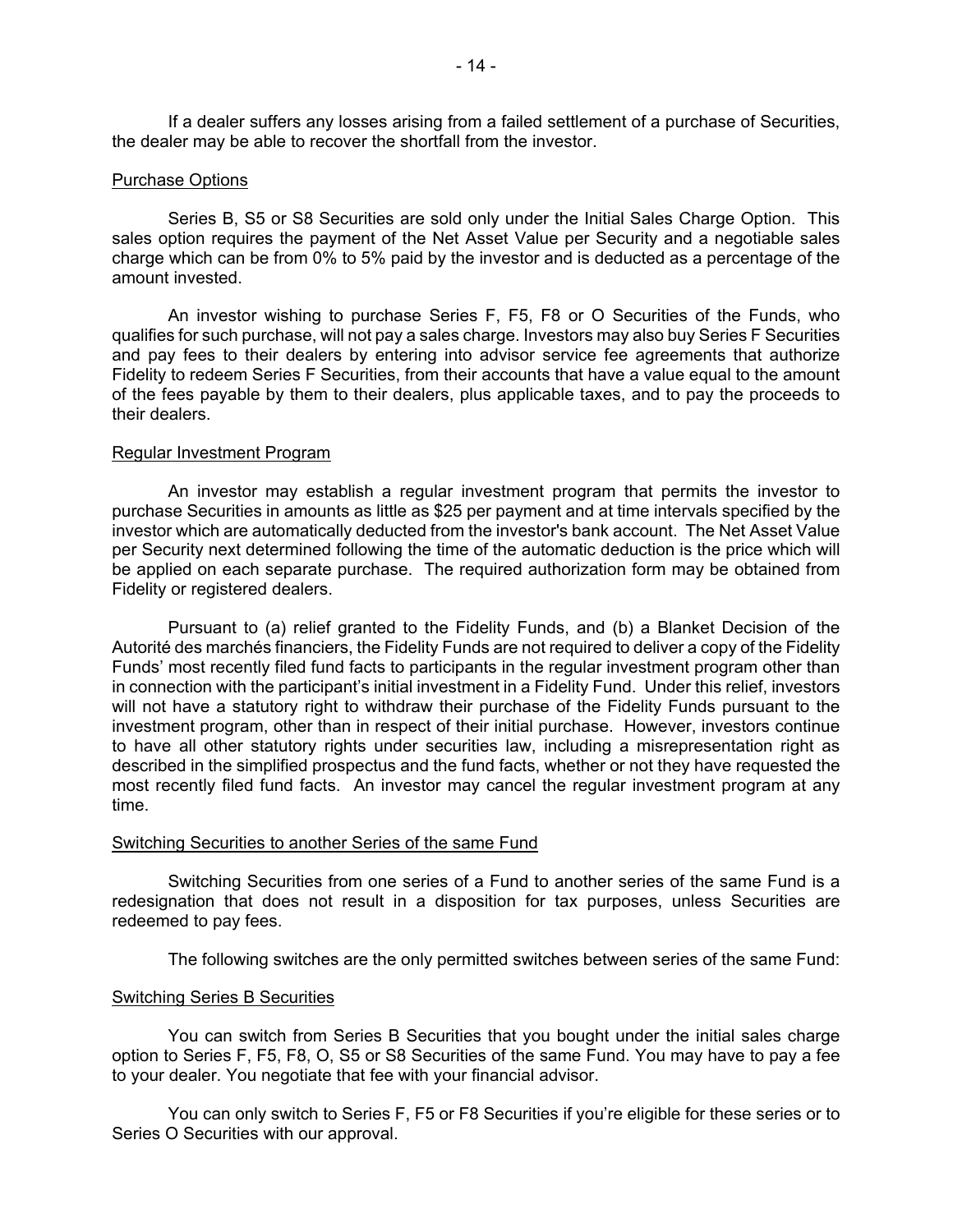If a dealer suffers any losses arising from a failed settlement of a purchase of Securities, the dealer may be able to recover the shortfall from the investor.

#### Purchase Options

Series B, S5 or S8 Securities are sold only under the Initial Sales Charge Option. This sales option requires the payment of the Net Asset Value per Security and a negotiable sales charge which can be from 0% to 5% paid by the investor and is deducted as a percentage of the amount invested.

 An investor wishing to purchase Series F, F5, F8 or O Securities of the Funds, who qualifies for such purchase, will not pay a sales charge. Investors may also buy Series F Securities and pay fees to their dealers by entering into advisor service fee agreements that authorize Fidelity to redeem Series F Securities, from their accounts that have a value equal to the amount of the fees payable by them to their dealers, plus applicable taxes, and to pay the proceeds to their dealers.

#### Regular Investment Program

 An investor may establish a regular investment program that permits the investor to investor which are automatically deducted from the investor's bank account. The Net Asset Value be applied on each separate purchase. The required authorization form may be obtained from purchase Securities in amounts as little as \$25 per payment and at time intervals specified by the per Security next determined following the time of the automatic deduction is the price which will Fidelity or registered dealers.

 will not have a statutory right to withdraw their purchase of the Fidelity Funds pursuant to the most recently filed fund facts. An investor may cancel the regular investment program at any Pursuant to (a) relief granted to the Fidelity Funds, and (b) a Blanket Decision of the Autorité des marchés financiers, the Fidelity Funds are not required to deliver a copy of the Fidelity Funds' most recently filed fund facts to participants in the regular investment program other than in connection with the participant's initial investment in a Fidelity Fund. Under this relief, investors investment program, other than in respect of their initial purchase. However, investors continue to have all other statutory rights under securities law, including a misrepresentation right as described in the simplified prospectus and the fund facts, whether or not they have requested the time.

#### Switching Securities to another Series of the same Fund

Switching Securities from one series of a Fund to another series of the same Fund is a redesignation that does not result in a disposition for tax purposes, unless Securities are redeemed to pay fees.

The following switches are the only permitted switches between series of the same Fund:

#### Switching Series B Securities

You can switch from Series B Securities that you bought under the initial sales charge option to Series F, F5, F8, O, S5 or S8 Securities of the same Fund. You may have to pay a fee to your dealer. You negotiate that fee with your financial advisor.

You can only switch to Series F, F5 or F8 Securities if you're eligible for these series or to Series O Securities with our approval.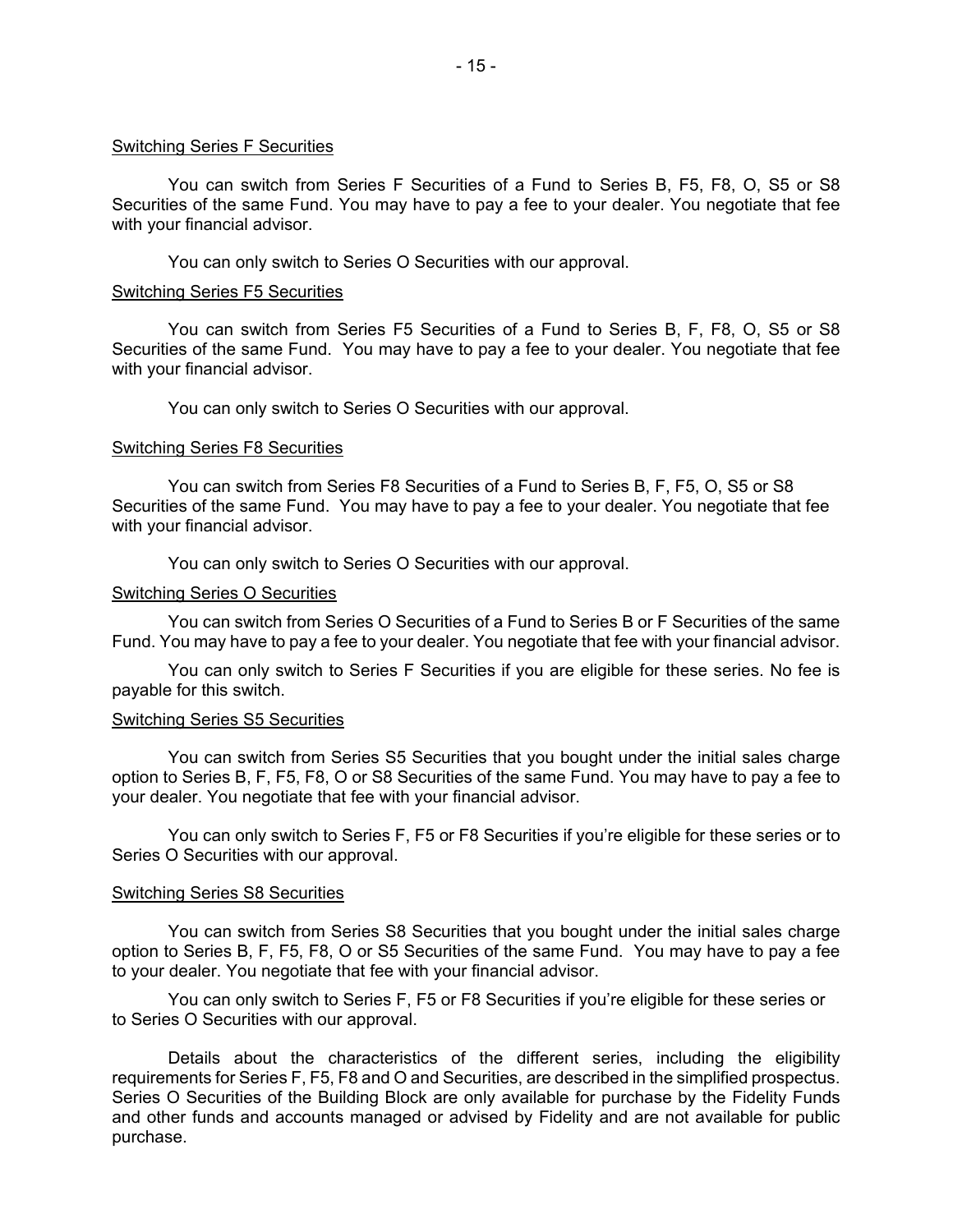#### Switching Series F Securities

 You can switch from Series F Securities of a Fund to Series B, F5, F8, O, S5 or S8 with your financial advisor. Securities of the same Fund. You may have to pay a fee to your dealer. You negotiate that fee

You can only switch to Series O Securities with our approval.

#### Switching Series F5 Securities

 Securities of the same Fund. You may have to pay a fee to your dealer. You negotiate that fee You can switch from Series F5 Securities of a Fund to Series B, F, F8, O, S5 or S8 with your financial advisor.

You can only switch to Series O Securities with our approval.

#### Switching Series F8 Securities

You can switch from Series F8 Securities of a Fund to Series B, F, F5, O, S5 or S8 Securities of the same Fund. You may have to pay a fee to your dealer. You negotiate that fee with your financial advisor.

You can only switch to Series O Securities with our approval.

#### Switching Series O Securities

 You can switch from Series O Securities of a Fund to Series B or F Securities of the same Fund. You may have to pay a fee to your dealer. You negotiate that fee with your financial advisor.

You can only switch to Series F Securities if you are eligible for these series. No fee is payable for this switch.

#### Switching Series S5 Securities

You can switch from Series S5 Securities that you bought under the initial sales charge option to Series B, F, F5, F8, O or S8 Securities of the same Fund. You may have to pay a fee to your dealer. You negotiate that fee with your financial advisor.

You can only switch to Series F, F5 or F8 Securities if you're eligible for these series or to Series O Securities with our approval.

#### Switching Series S8 Securities

You can switch from Series S8 Securities that you bought under the initial sales charge option to Series B, F, F5, F8, O or S5 Securities of the same Fund. You may have to pay a fee to your dealer. You negotiate that fee with your financial advisor.

You can only switch to Series F, F5 or F8 Securities if you're eligible for these series or to Series O Securities with our approval.

Details about the characteristics of the different series, including the eligibility requirements for Series F, F5, F8 and O and Securities, are described in the simplified prospectus. Series O Securities of the Building Block are only available for purchase by the Fidelity Funds and other funds and accounts managed or advised by Fidelity and are not available for public purchase.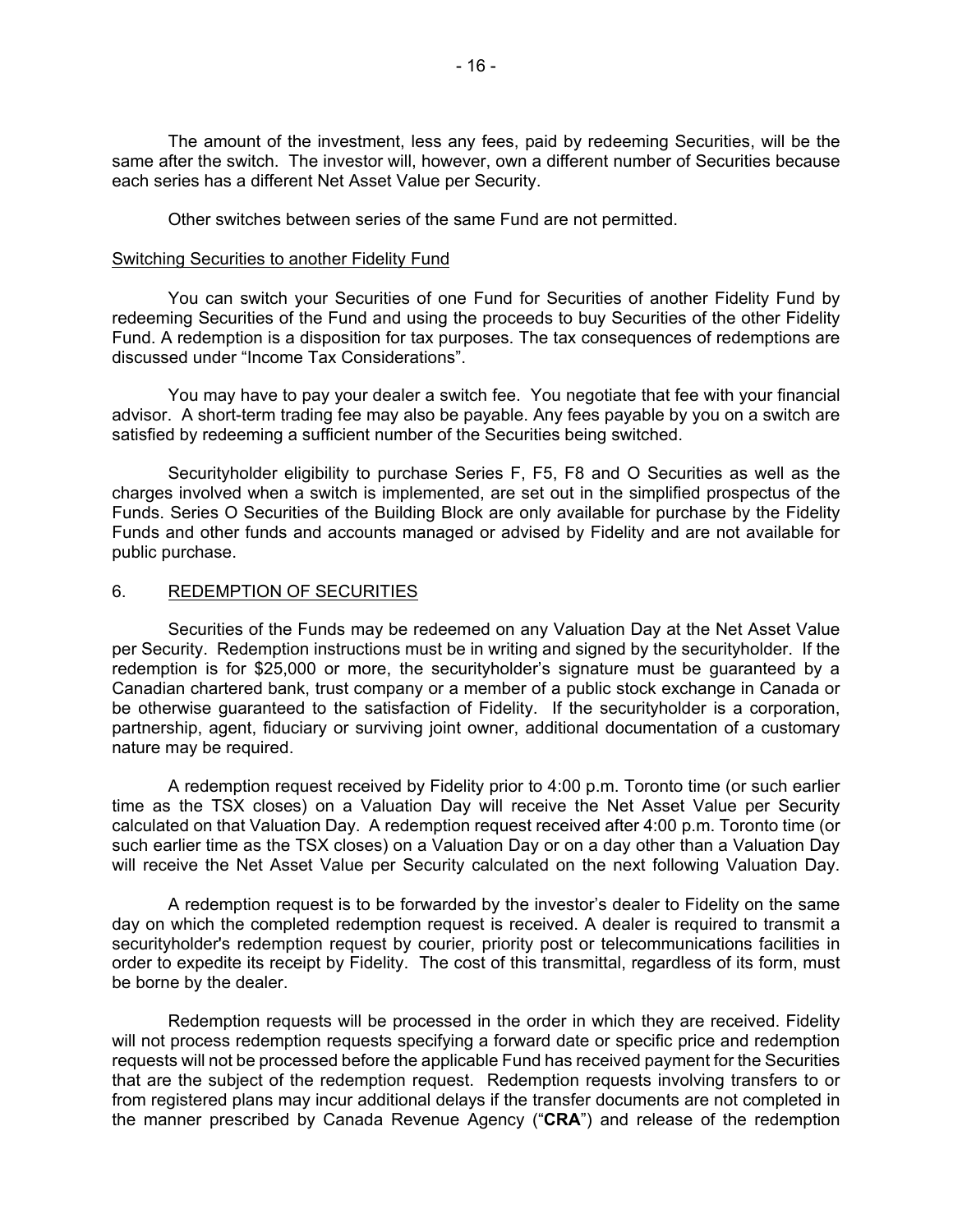<span id="page-17-0"></span>The amount of the investment, less any fees, paid by redeeming Securities, will be the same after the switch. The investor will, however, own a different number of Securities because each series has a different Net Asset Value per Security.

Other switches between series of the same Fund are not permitted. Switching Securities to another Fidelity Fund

#### Switching Securities to another Fidelity Fund

 redeeming Securities of the Fund and using the proceeds to buy Securities of the other Fidelity You can switch your Securities of one Fund for Securities of another Fidelity Fund by Fund. A redemption is a disposition for tax purposes. The tax consequences of redemptions are discussed under "Income Tax Considerations".

You may have to pay your dealer a switch fee. You negotiate that fee with your financial advisor. A short-term trading fee may also be payable. Any fees payable by you on a switch are satisfied by redeeming a sufficient number of the Securities being switched.

 Securityholder eligibility to purchase Series F, F5, F8 and O Securities as well as the charges involved when a switch is implemented, are set out in the simplified prospectus of the Funds. Series O Securities of the Building Block are only available for purchase by the Fidelity Funds and other funds and accounts managed or advised by Fidelity and are not available for public purchase.

## 6. REDEMPTION OF SECURITIES

 Securities of the Funds may be redeemed on any Valuation Day at the Net Asset Value redemption is for \$25,000 or more, the securityholder's signature must be guaranteed by a Canadian chartered bank, trust company or a member of a public stock exchange in Canada or per Security. Redemption instructions must be in writing and signed by the securityholder. If the be otherwise guaranteed to the satisfaction of Fidelity. If the securityholder is a corporation, partnership, agent, fiduciary or surviving joint owner, additional documentation of a customary nature may be required.

 calculated on that Valuation Day. A redemption request received after 4:00 p.m. Toronto time (or such earlier time as the TSX closes) on a Valuation Day or on a day other than a Valuation Day A redemption request received by Fidelity prior to 4:00 p.m. Toronto time (or such earlier time as the TSX closes) on a Valuation Day will receive the Net Asset Value per Security will receive the Net Asset Value per Security calculated on the next following Valuation Day.

 securityholder's redemption request by courier, priority post or telecommunications facilities in order to expedite its receipt by Fidelity. The cost of this transmittal, regardless of its form, must A redemption request is to be forwarded by the investor's dealer to Fidelity on the same day on which the completed redemption request is received. A dealer is required to transmit a be borne by the dealer.

Redemption requests will be processed in the order in which they are received. Fidelity will not process redemption requests specifying a forward date or specific price and redemption requests will not be processed before the applicable Fund has received payment for the Securities that are the subject of the redemption request. Redemption requests involving transfers to or from registered plans may incur additional delays if the transfer documents are not completed in the manner prescribed by Canada Revenue Agency ("**CRA**") and release of the redemption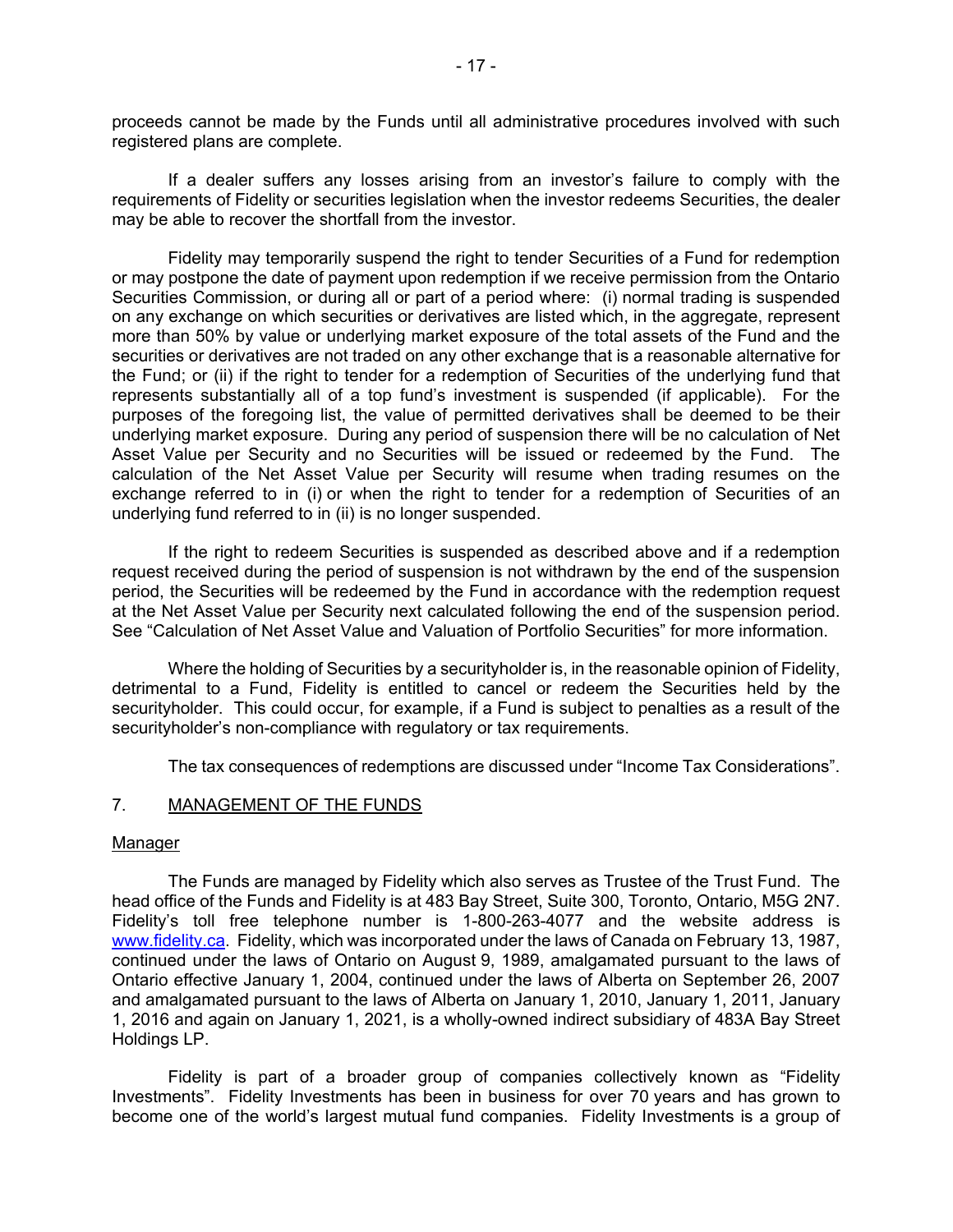<span id="page-18-0"></span>proceeds cannot be made by the Funds until all administrative procedures involved with such registered plans are complete.

 If a dealer suffers any losses arising from an investor's failure to comply with the requirements of Fidelity or securities legislation when the investor redeems Securities, the dealer may be able to recover the shortfall from the investor.

 or may postpone the date of payment upon redemption if we receive permission from the Ontario Securities Commission, or during all or part of a period where: (i) normal trading is suspended more than 50% by value or underlying market exposure of the total assets of the Fund and the the Fund; or (ii) if the right to tender for a redemption of Securities of the underlying fund that Asset Value per Security and no Securities will be issued or redeemed by the Fund. The exchange referred to in (i) or when the right to tender for a redemption of Securities of an underlying fund referred to in (ii) is no longer suspended. Fidelity may temporarily suspend the right to tender Securities of a Fund for redemption on any exchange on which securities or derivatives are listed which, in the aggregate, represent securities or derivatives are not traded on any other exchange that is a reasonable alternative for represents substantially all of a top fund's investment is suspended (if applicable). For the purposes of the foregoing list, the value of permitted derivatives shall be deemed to be their underlying market exposure. During any period of suspension there will be no calculation of Net calculation of the Net Asset Value per Security will resume when trading resumes on the

underlying fund referred to in (ii) is no longer suspended.<br>If the right to redeem Securities is suspended as described above and if a redemption period, the Securities will be redeemed by the Fund in accordance with the redemption request at the Net Asset Value per Security next calculated following the end of the suspension period. request received during the period of suspension is not withdrawn by the end of the suspension See "Calculation of Net Asset Value and Valuation of Portfolio Securities" for more information.

 securityholder's non-compliance with regulatory or tax requirements. Where the holding of Securities by a securityholder is, in the reasonable opinion of Fidelity, detrimental to a Fund, Fidelity is entitled to cancel or redeem the Securities held by the securityholder. This could occur, for example, if a Fund is subject to penalties as a result of the

The tax consequences of redemptions are discussed under "Income Tax Considerations".

## 7. MANAGEMENT OF THE FUNDS

#### Manager

head office of the Funds and Fidelity is at 483 Bay Street, Suite 300, Toronto, Ontario, M5G 2N7. 1, 2016 and again on January 1, 2021, is a wholly-owned indirect subsidiary of 483A Bay Street Holdings LP. The Funds are managed by Fidelity which also serves as Trustee of the Trust Fund. The Fidelity's toll free telephone number is 1-800-263-4077 and the website address is [www.fidelity.ca.](https://www.fidelity.ca) Fidelity, which was incorporated under the laws of Canada on February 13, 1987, continued under the laws of Ontario on August 9, 1989, amalgamated pursuant to the laws of Ontario effective January 1, 2004, continued under the laws of Alberta on September 26, 2007 and amalgamated pursuant to the laws of Alberta on January 1, 2010, January 1, 2011, January

 Fidelity is part of a broader group of companies collectively known as "Fidelity become one of the world's largest mutual fund companies. Fidelity Investments is a group of Investments". Fidelity Investments has been in business for over 70 years and has grown to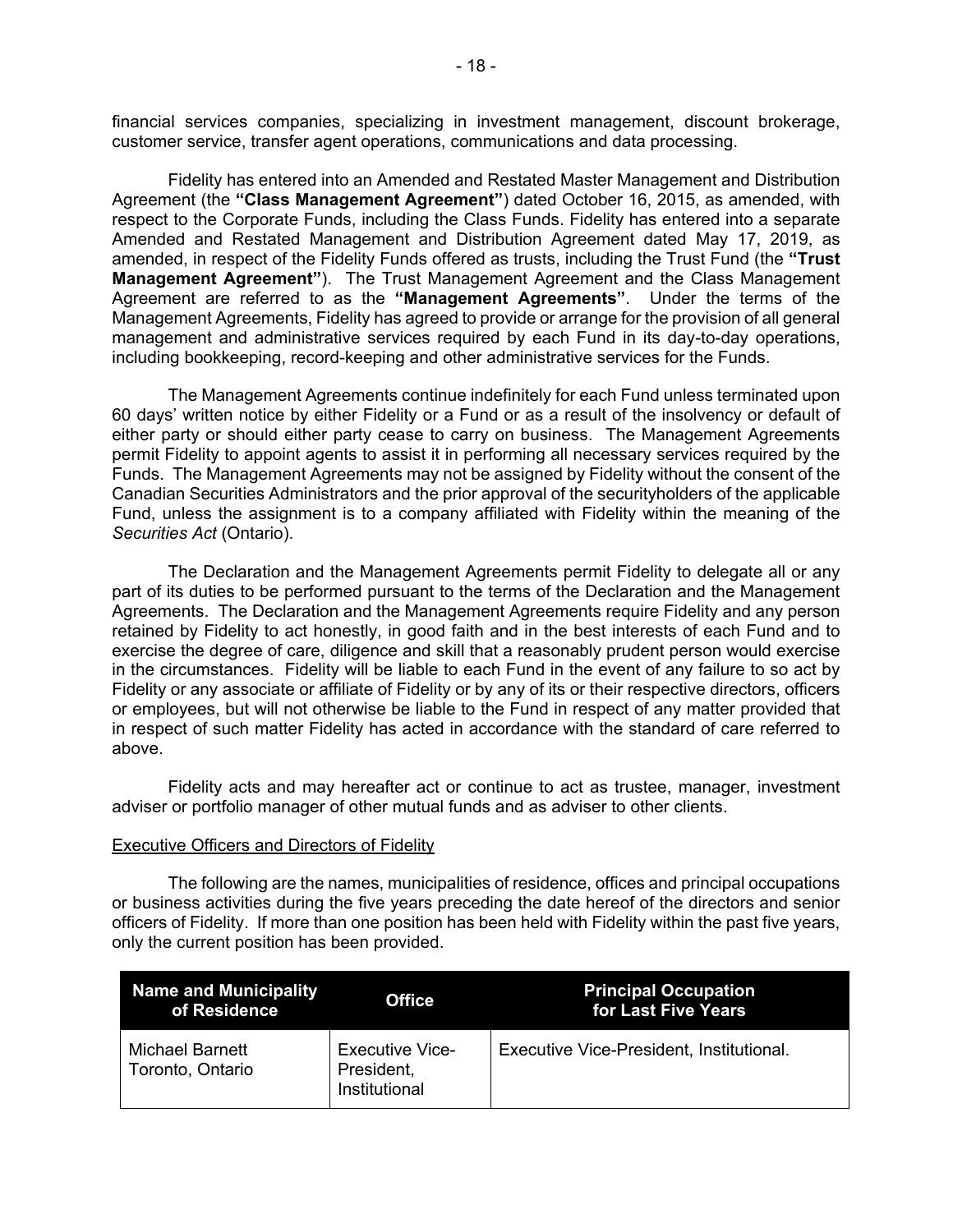financial services companies, specializing in investment management, discount brokerage, customer service, transfer agent operations, communications and data processing.

 Fidelity has entered into an Amended and Restated Master Management and Distribution Amended and Restated Management and Distribution Agreement dated May 17, 2019, as management and administrative services required by each Fund in its day-to-day operations, Agreement (the **"Class Management Agreement"**) dated October 16, 2015, as amended, with respect to the Corporate Funds, including the Class Funds. Fidelity has entered into a separate amended, in respect of the Fidelity Funds offered as trusts, including the Trust Fund (the **"Trust Management Agreement"**). The Trust Management Agreement and the Class Management Agreement are referred to as the **"Management Agreements"**. Under the terms of the Management Agreements, Fidelity has agreed to provide or arrange for the provision of all general including bookkeeping, record-keeping and other administrative services for the Funds.

 permit Fidelity to appoint agents to assist it in performing all necessary services required by the Funds. The Management Agreements may not be assigned by Fidelity without the consent of the Fund, unless the assignment is to a company affiliated with Fidelity within the meaning of the *Securities Act* (Ontario). The Management Agreements continue indefinitely for each Fund unless terminated upon 60 days' written notice by either Fidelity or a Fund or as a result of the insolvency or default of either party or should either party cease to carry on business. The Management Agreements Canadian Securities Administrators and the prior approval of the securityholders of the applicable

 Fidelity or any associate or affiliate of Fidelity or by any of its or their respective directors, officers or employees, but will not otherwise be liable to the Fund in respect of any matter provided that in respect of such matter Fidelity has acted in accordance with the standard of care referred to The Declaration and the Management Agreements permit Fidelity to delegate all or any part of its duties to be performed pursuant to the terms of the Declaration and the Management Agreements. The Declaration and the Management Agreements require Fidelity and any person retained by Fidelity to act honestly, in good faith and in the best interests of each Fund and to exercise the degree of care, diligence and skill that a reasonably prudent person would exercise in the circumstances. Fidelity will be liable to each Fund in the event of any failure to so act by above.

 Fidelity acts and may hereafter act or continue to act as trustee, manager, investment adviser or portfolio manager of other mutual funds and as adviser to other clients.

#### Executive Officers and Directors of Fidelity

 or business activities during the five years preceding the date hereof of the directors and senior officers of Fidelity. If more than one position has been held with Fidelity within the past five years, The following are the names, municipalities of residence, offices and principal occupations only the current position has been provided.

| Name and Municipality<br>of Residence | <b>Office</b>                                         | <b>Principal Occupation</b><br>for Last Five Years |
|---------------------------------------|-------------------------------------------------------|----------------------------------------------------|
| Michael Barnett<br>Toronto, Ontario   | <b>Executive Vice-</b><br>President,<br>Institutional | Executive Vice-President, Institutional.           |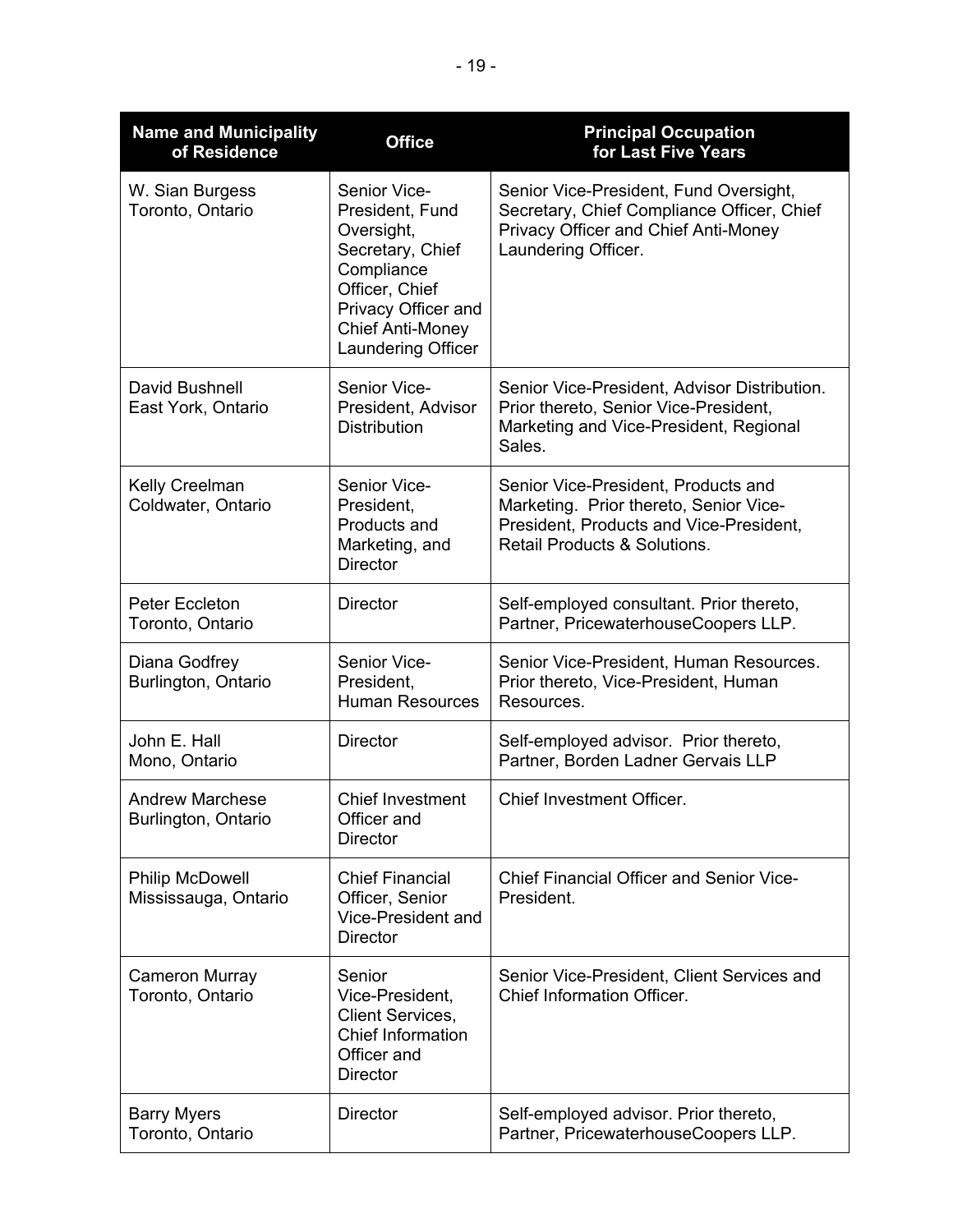| <b>Name and Municipality</b><br>of Residence   | <b>Office</b>                                                                                                                                                                    | <b>Principal Occupation</b><br>for Last Five Years                                                                                                                  |
|------------------------------------------------|----------------------------------------------------------------------------------------------------------------------------------------------------------------------------------|---------------------------------------------------------------------------------------------------------------------------------------------------------------------|
| W. Sian Burgess<br>Toronto, Ontario            | Senior Vice-<br>President, Fund<br>Oversight,<br>Secretary, Chief<br>Compliance<br>Officer, Chief<br>Privacy Officer and<br><b>Chief Anti-Money</b><br><b>Laundering Officer</b> | Senior Vice-President, Fund Oversight,<br>Secretary, Chief Compliance Officer, Chief<br>Privacy Officer and Chief Anti-Money<br>Laundering Officer.                 |
| David Bushnell<br>East York, Ontario           | Senior Vice-<br>President, Advisor<br><b>Distribution</b>                                                                                                                        | Senior Vice-President, Advisor Distribution.<br>Prior thereto, Senior Vice-President,<br>Marketing and Vice-President, Regional<br>Sales.                           |
| <b>Kelly Creelman</b><br>Coldwater, Ontario    | Senior Vice-<br>President,<br>Products and<br>Marketing, and<br><b>Director</b>                                                                                                  | Senior Vice-President, Products and<br>Marketing. Prior thereto, Senior Vice-<br>President, Products and Vice-President,<br><b>Retail Products &amp; Solutions.</b> |
| <b>Peter Eccleton</b><br>Toronto, Ontario      | <b>Director</b>                                                                                                                                                                  | Self-employed consultant. Prior thereto,<br>Partner, PricewaterhouseCoopers LLP.                                                                                    |
| Diana Godfrey<br>Burlington, Ontario           | Senior Vice-<br>President,<br><b>Human Resources</b>                                                                                                                             | Senior Vice-President, Human Resources.<br>Prior thereto, Vice-President, Human<br>Resources.                                                                       |
| John E. Hall<br>Mono, Ontario                  | <b>Director</b>                                                                                                                                                                  | Self-employed advisor. Prior thereto,<br>Partner, Borden Ladner Gervais LLP                                                                                         |
| <b>Andrew Marchese</b><br>Burlington, Ontario  | <b>Chief Investment</b><br>Officer and<br><b>Director</b>                                                                                                                        | <b>Chief Investment Officer.</b>                                                                                                                                    |
| <b>Philip McDowell</b><br>Mississauga, Ontario | <b>Chief Financial</b><br>Officer, Senior<br>Vice-President and<br><b>Director</b>                                                                                               | <b>Chief Financial Officer and Senior Vice-</b><br>President.                                                                                                       |
| <b>Cameron Murray</b><br>Toronto, Ontario      | Senior<br>Vice-President,<br>Client Services,<br><b>Chief Information</b><br>Officer and<br><b>Director</b>                                                                      | Senior Vice-President, Client Services and<br><b>Chief Information Officer.</b>                                                                                     |
| <b>Barry Myers</b><br>Toronto, Ontario         | <b>Director</b>                                                                                                                                                                  | Self-employed advisor. Prior thereto,<br>Partner, PricewaterhouseCoopers LLP.                                                                                       |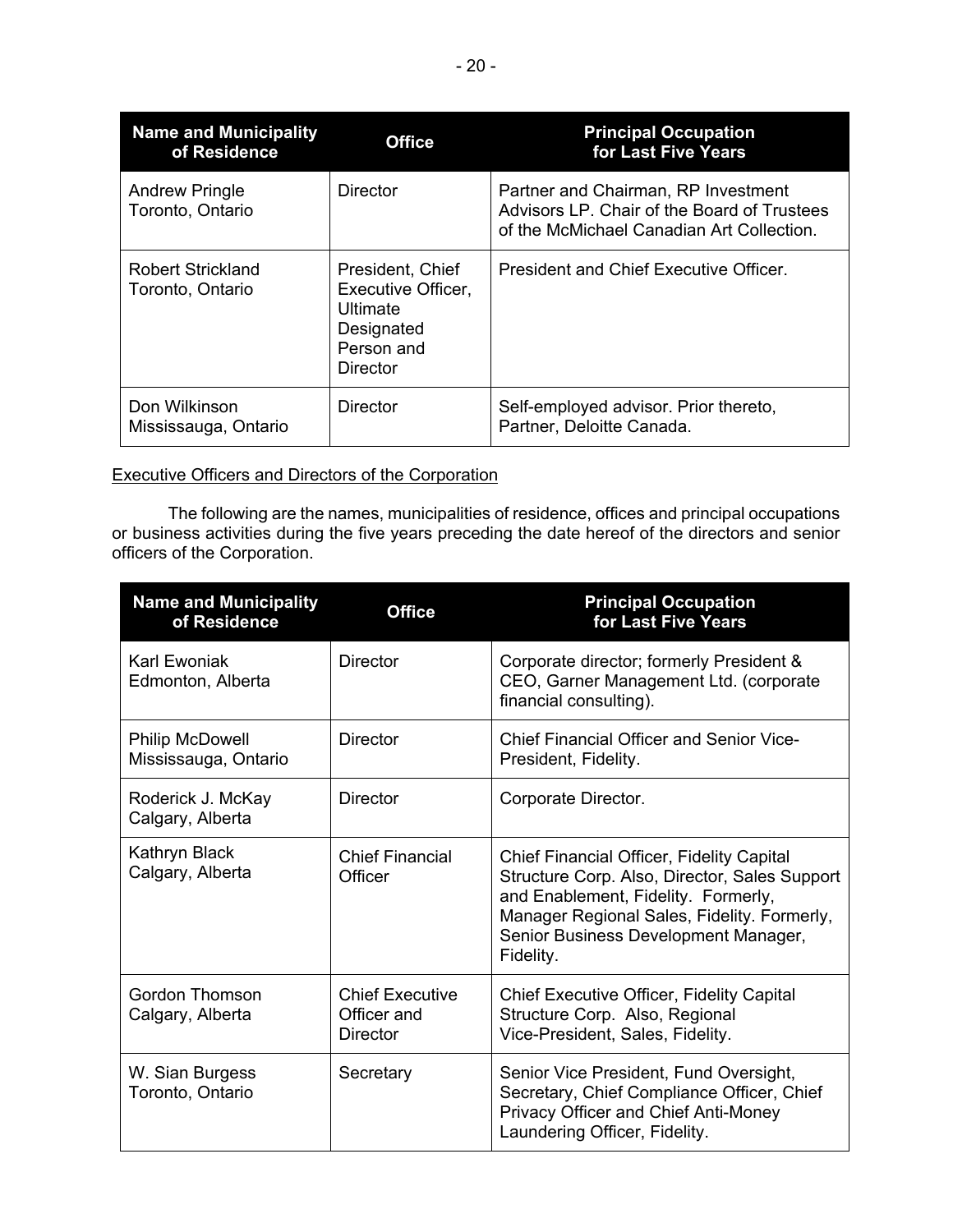| <b>Name and Municipality</b><br>of Residence | <b>Office</b>                                                                              | <b>Principal Occupation</b><br>for Last Five Years                                                                              |
|----------------------------------------------|--------------------------------------------------------------------------------------------|---------------------------------------------------------------------------------------------------------------------------------|
| <b>Andrew Pringle</b><br>Toronto, Ontario    | Director                                                                                   | Partner and Chairman, RP Investment<br>Advisors LP. Chair of the Board of Trustees<br>of the McMichael Canadian Art Collection. |
| Robert Strickland<br>Toronto, Ontario        | President, Chief<br>Executive Officer,<br>Ultimate<br>Designated<br>Person and<br>Director | President and Chief Executive Officer.                                                                                          |
| Don Wilkinson<br>Mississauga, Ontario        | <b>Director</b>                                                                            | Self-employed advisor. Prior thereto,<br>Partner, Deloitte Canada.                                                              |

# Executive Officers and Directors of the Corporation

The following are the names, municipalities of residence, offices and principal occupations or business activities during the five years preceding the date hereof of the directors and senior officers of the Corporation.

| <b>Name and Municipality</b><br>of Residence   | <b>Office</b>                                     | <b>Principal Occupation</b><br>for Last Five Years                                                                                                                                                                                    |
|------------------------------------------------|---------------------------------------------------|---------------------------------------------------------------------------------------------------------------------------------------------------------------------------------------------------------------------------------------|
| Karl Ewoniak<br>Edmonton, Alberta              | <b>Director</b>                                   | Corporate director; formerly President &<br>CEO, Garner Management Ltd. (corporate<br>financial consulting).                                                                                                                          |
| <b>Philip McDowell</b><br>Mississauga, Ontario | <b>Director</b>                                   | <b>Chief Financial Officer and Senior Vice-</b><br>President, Fidelity.                                                                                                                                                               |
| Roderick J. McKay<br>Calgary, Alberta          | <b>Director</b>                                   | Corporate Director.                                                                                                                                                                                                                   |
| Kathryn Black<br>Calgary, Alberta              | <b>Chief Financial</b><br>Officer                 | Chief Financial Officer, Fidelity Capital<br>Structure Corp. Also, Director, Sales Support<br>and Enablement, Fidelity. Formerly,<br>Manager Regional Sales, Fidelity. Formerly,<br>Senior Business Development Manager,<br>Fidelity. |
| Gordon Thomson<br>Calgary, Alberta             | <b>Chief Executive</b><br>Officer and<br>Director | <b>Chief Executive Officer, Fidelity Capital</b><br>Structure Corp. Also, Regional<br>Vice-President, Sales, Fidelity.                                                                                                                |
| W. Sian Burgess<br>Toronto, Ontario            | Secretary                                         | Senior Vice President, Fund Oversight,<br>Secretary, Chief Compliance Officer, Chief<br>Privacy Officer and Chief Anti-Money<br>Laundering Officer, Fidelity.                                                                         |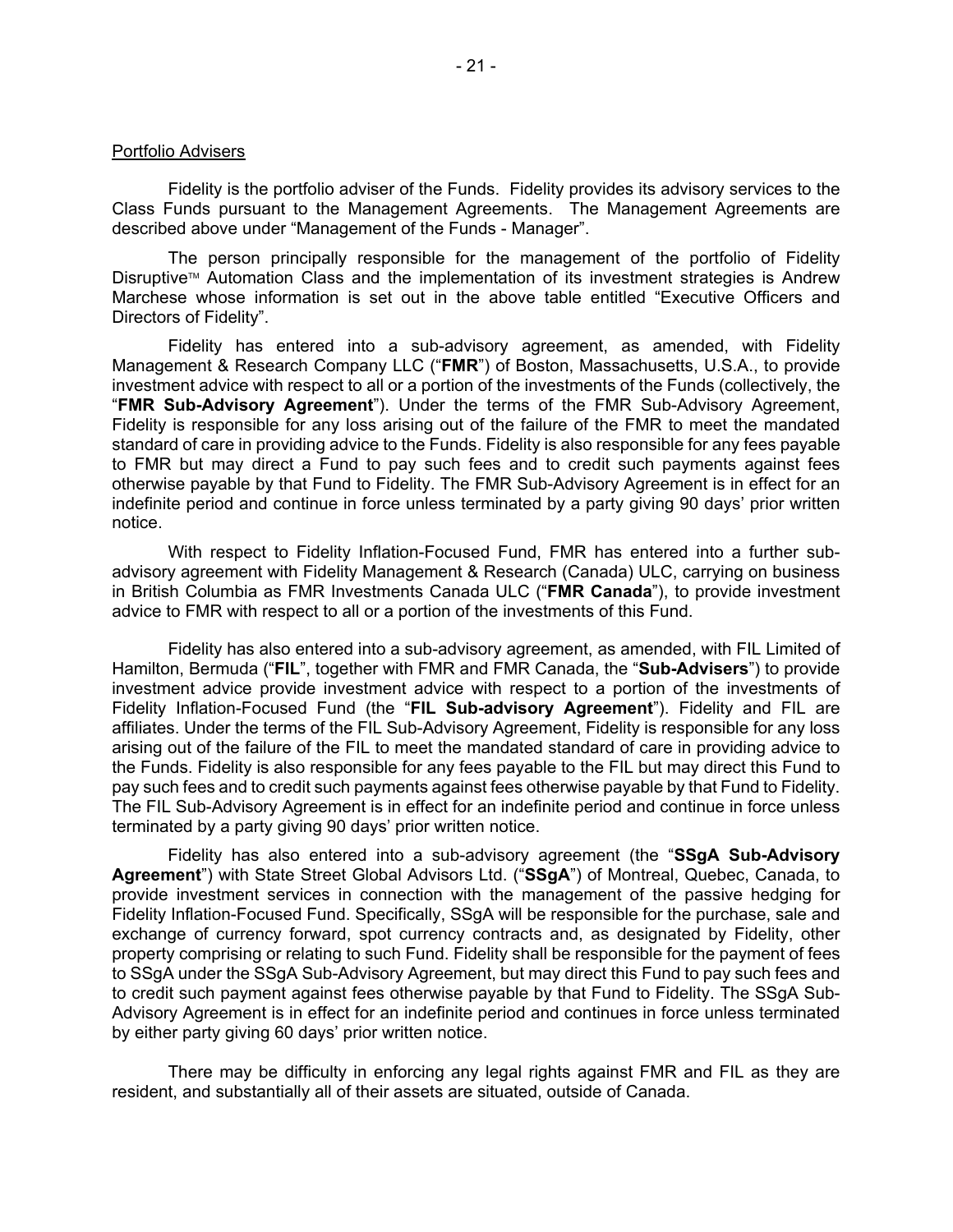#### Portfolio Advisers

 Class Funds pursuant to the Management Agreements. The Management Agreements are described above under "Management of the Funds - Manager". Fidelity is the portfolio adviser of the Funds. Fidelity provides its advisory services to the

The person principally responsible for the management of the portfolio of Fidelity Disruptive™ Automation Class and the implementation of its investment strategies is Andrew Marchese whose information is set out in the above table entitled "Executive Officers and Directors of Fidelity".

 investment advice with respect to all or a portion of the investments of the Funds (collectively, the standard of care in providing advice to the Funds. Fidelity is also responsible for any fees payable to FMR but may direct a Fund to pay such fees and to credit such payments against fees indefinite period and continue in force unless terminated by a party giving 90 days' prior written Fidelity has entered into a sub-advisory agreement, as amended, with Fidelity Management & Research Company LLC ("**FMR**") of Boston, Massachusetts, U.S.A., to provide "**FMR Sub-Advisory Agreement**"). Under the terms of the FMR Sub-Advisory Agreement, Fidelity is responsible for any loss arising out of the failure of the FMR to meet the mandated otherwise payable by that Fund to Fidelity. The FMR Sub-Advisory Agreement is in effect for an notice.

 With respect to Fidelity Inflation-Focused Fund, FMR has entered into a further sub- advice to FMR with respect to all or a portion of the investments of this Fund. advisory agreement with Fidelity Management & Research (Canada) ULC, carrying on business in British Columbia as FMR Investments Canada ULC ("**FMR Canada**"), to provide investment

 affiliates. Under the terms of the FIL Sub-Advisory Agreement, Fidelity is responsible for any loss Fidelity has also entered into a sub-advisory agreement, as amended, with FIL Limited of Hamilton, Bermuda ("**FIL**", together with FMR and FMR Canada, the "**Sub-Advisers**") to provide investment advice provide investment advice with respect to a portion of the investments of Fidelity Inflation-Focused Fund (the "**FIL Sub-advisory Agreement**"). Fidelity and FIL are arising out of the failure of the FIL to meet the mandated standard of care in providing advice to the Funds. Fidelity is also responsible for any fees payable to the FIL but may direct this Fund to pay such fees and to credit such payments against fees otherwise payable by that Fund to Fidelity. The FIL Sub-Advisory Agreement is in effect for an indefinite period and continue in force unless terminated by a party giving 90 days' prior written notice.

 Fidelity has also entered into a sub-advisory agreement (the "**SSgA Sub-Advisory**  to SSgA under the SSgA Sub-Advisory Agreement, but may direct this Fund to pay such fees and **Agreement**") with State Street Global Advisors Ltd. ("**SSgA**") of Montreal, Quebec, Canada, to provide investment services in connection with the management of the passive hedging for Fidelity Inflation-Focused Fund. Specifically, SSgA will be responsible for the purchase, sale and exchange of currency forward, spot currency contracts and, as designated by Fidelity, other property comprising or relating to such Fund. Fidelity shall be responsible for the payment of fees to credit such payment against fees otherwise payable by that Fund to Fidelity. The SSgA Sub-Advisory Agreement is in effect for an indefinite period and continues in force unless terminated by either party giving 60 days' prior written notice.

There may be difficulty in enforcing any legal rights against FMR and FIL as they are resident, and substantially all of their assets are situated, outside of Canada.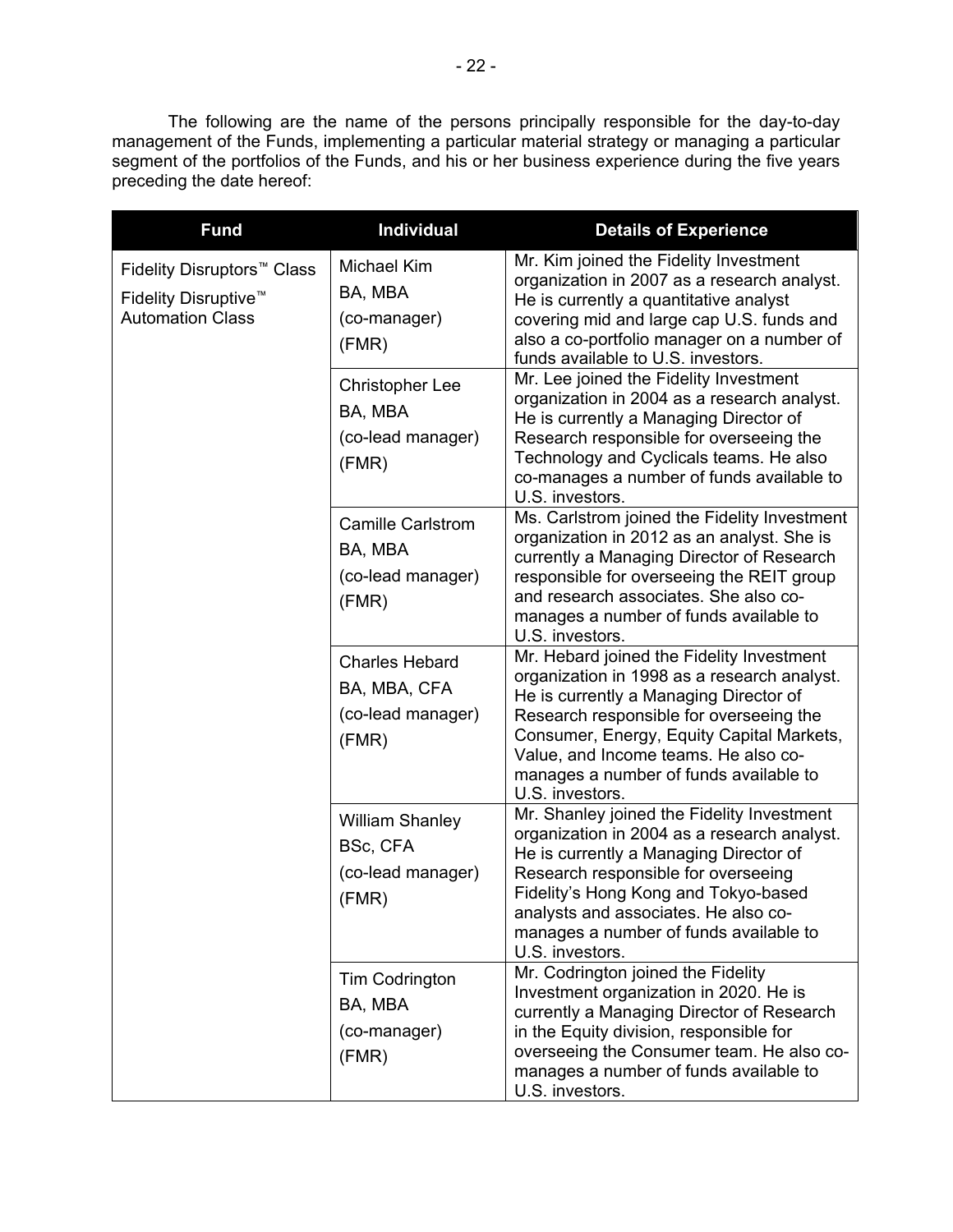i. preceding the date hereof: The following are the name of the persons principally responsible for the day-to-day management of the Funds, implementing a particular material strategy or managing a particular segment of the portfolios of the Funds, and his or her business experience during the five years

| <b>Fund</b>                                                                                           | <b>Individual</b>                                                   | <b>Details of Experience</b>                                                                                                                                                                                                                                                                                                    |
|-------------------------------------------------------------------------------------------------------|---------------------------------------------------------------------|---------------------------------------------------------------------------------------------------------------------------------------------------------------------------------------------------------------------------------------------------------------------------------------------------------------------------------|
| Fidelity Disruptors <sup>™</sup> Class<br>Fidelity Disruptive <sup>™</sup><br><b>Automation Class</b> | Michael Kim<br>BA, MBA<br>(co-manager)<br>(FMR)                     | Mr. Kim joined the Fidelity Investment<br>organization in 2007 as a research analyst.<br>He is currently a quantitative analyst<br>covering mid and large cap U.S. funds and<br>also a co-portfolio manager on a number of<br>funds available to U.S. investors.                                                                |
|                                                                                                       | <b>Christopher Lee</b><br>BA, MBA<br>(co-lead manager)<br>(FMR)     | Mr. Lee joined the Fidelity Investment<br>organization in 2004 as a research analyst.<br>He is currently a Managing Director of<br>Research responsible for overseeing the<br>Technology and Cyclicals teams. He also<br>co-manages a number of funds available to<br>U.S. investors.                                           |
|                                                                                                       | <b>Camille Carlstrom</b><br>BA, MBA<br>(co-lead manager)<br>(FMR)   | Ms. Carlstrom joined the Fidelity Investment<br>organization in 2012 as an analyst. She is<br>currently a Managing Director of Research<br>responsible for overseeing the REIT group<br>and research associates. She also co-<br>manages a number of funds available to<br>U.S. investors.                                      |
|                                                                                                       | <b>Charles Hebard</b><br>BA, MBA, CFA<br>(co-lead manager)<br>(FMR) | Mr. Hebard joined the Fidelity Investment<br>organization in 1998 as a research analyst.<br>He is currently a Managing Director of<br>Research responsible for overseeing the<br>Consumer, Energy, Equity Capital Markets,<br>Value, and Income teams. He also co-<br>manages a number of funds available to<br>U.S. investors. |
|                                                                                                       | <b>William Shanley</b><br>BSc, CFA<br>(co-lead manager)<br>(FMR)    | Mr. Shanley joined the Fidelity Investment<br>organization in 2004 as a research analyst.<br>He is currently a Managing Director of<br>Research responsible for overseeing<br>Fidelity's Hong Kong and Tokyo-based<br>analysts and associates. He also co-<br>manages a number of funds available to<br>U.S. investors.         |
|                                                                                                       | Tim Codrington<br>BA, MBA<br>(co-manager)<br>(FMR)                  | Mr. Codrington joined the Fidelity<br>Investment organization in 2020. He is<br>currently a Managing Director of Research<br>in the Equity division, responsible for<br>overseeing the Consumer team. He also co-<br>manages a number of funds available to<br>U.S. investors.                                                  |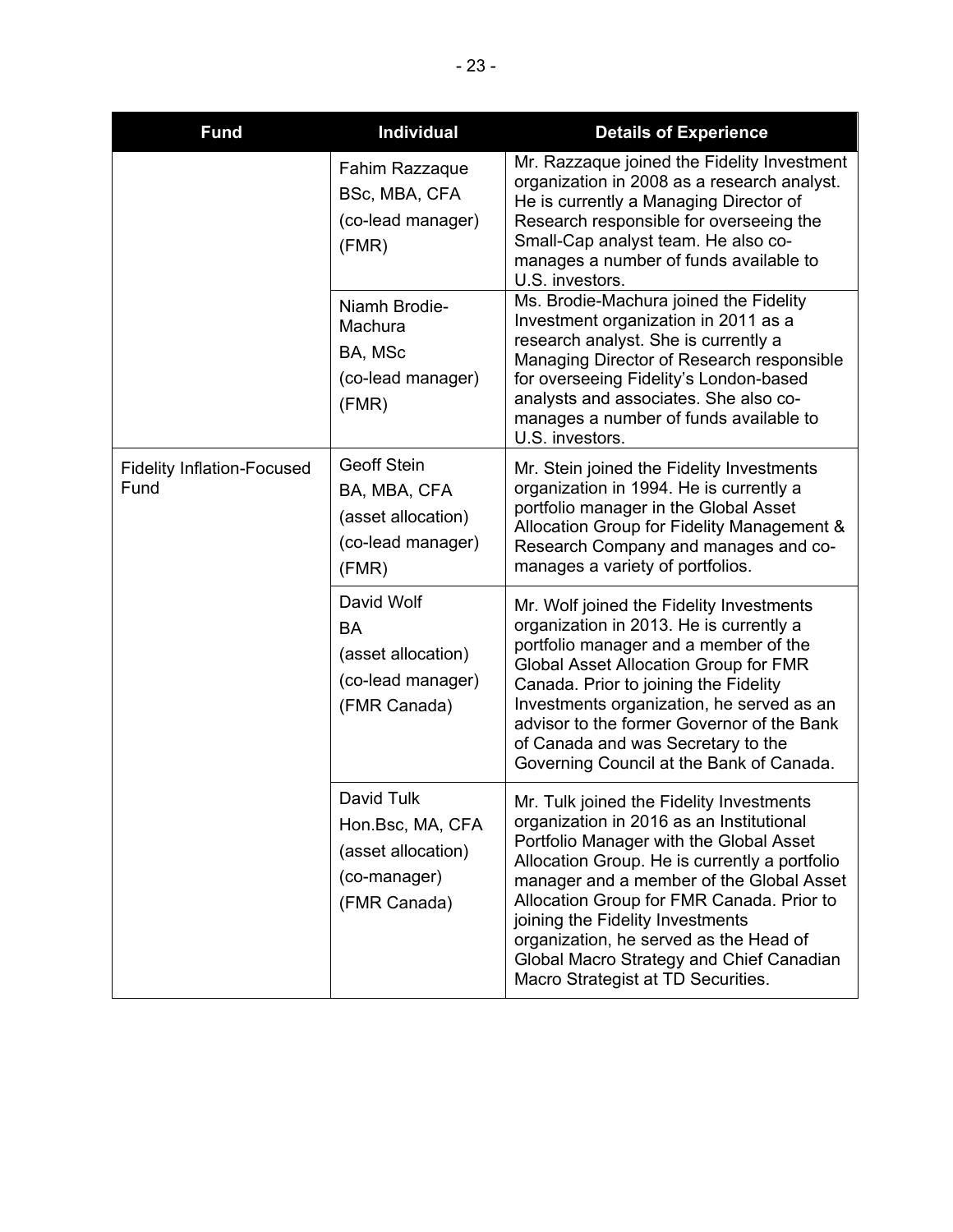| <b>Fund</b>                               | <b>Individual</b>                                                                      | <b>Details of Experience</b>                                                                                                                                                                                                                                                                                                                                                                                                              |
|-------------------------------------------|----------------------------------------------------------------------------------------|-------------------------------------------------------------------------------------------------------------------------------------------------------------------------------------------------------------------------------------------------------------------------------------------------------------------------------------------------------------------------------------------------------------------------------------------|
|                                           | Fahim Razzaque<br>BSc, MBA, CFA<br>(co-lead manager)<br>(FMR)                          | Mr. Razzaque joined the Fidelity Investment<br>organization in 2008 as a research analyst.<br>He is currently a Managing Director of<br>Research responsible for overseeing the<br>Small-Cap analyst team. He also co-<br>manages a number of funds available to<br>U.S. investors.                                                                                                                                                       |
|                                           | Niamh Brodie-<br>Machura<br>BA, MSc<br>(co-lead manager)<br>(FMR)                      | Ms. Brodie-Machura joined the Fidelity<br>Investment organization in 2011 as a<br>research analyst. She is currently a<br>Managing Director of Research responsible<br>for overseeing Fidelity's London-based<br>analysts and associates. She also co-<br>manages a number of funds available to<br>U.S. investors.                                                                                                                       |
| <b>Fidelity Inflation-Focused</b><br>Fund | <b>Geoff Stein</b><br>BA, MBA, CFA<br>(asset allocation)<br>(co-lead manager)<br>(FMR) | Mr. Stein joined the Fidelity Investments<br>organization in 1994. He is currently a<br>portfolio manager in the Global Asset<br>Allocation Group for Fidelity Management &<br>Research Company and manages and co-<br>manages a variety of portfolios.                                                                                                                                                                                   |
|                                           | David Wolf<br><b>BA</b><br>(asset allocation)<br>(co-lead manager)<br>(FMR Canada)     | Mr. Wolf joined the Fidelity Investments<br>organization in 2013. He is currently a<br>portfolio manager and a member of the<br>Global Asset Allocation Group for FMR<br>Canada. Prior to joining the Fidelity<br>Investments organization, he served as an<br>advisor to the former Governor of the Bank<br>of Canada and was Secretary to the<br>Governing Council at the Bank of Canada.                                               |
|                                           | David Tulk<br>Hon.Bsc, MA, CFA<br>(asset allocation)<br>(co-manager)<br>(FMR Canada)   | Mr. Tulk joined the Fidelity Investments<br>organization in 2016 as an Institutional<br>Portfolio Manager with the Global Asset<br>Allocation Group. He is currently a portfolio<br>manager and a member of the Global Asset<br>Allocation Group for FMR Canada. Prior to<br>joining the Fidelity Investments<br>organization, he served as the Head of<br>Global Macro Strategy and Chief Canadian<br>Macro Strategist at TD Securities. |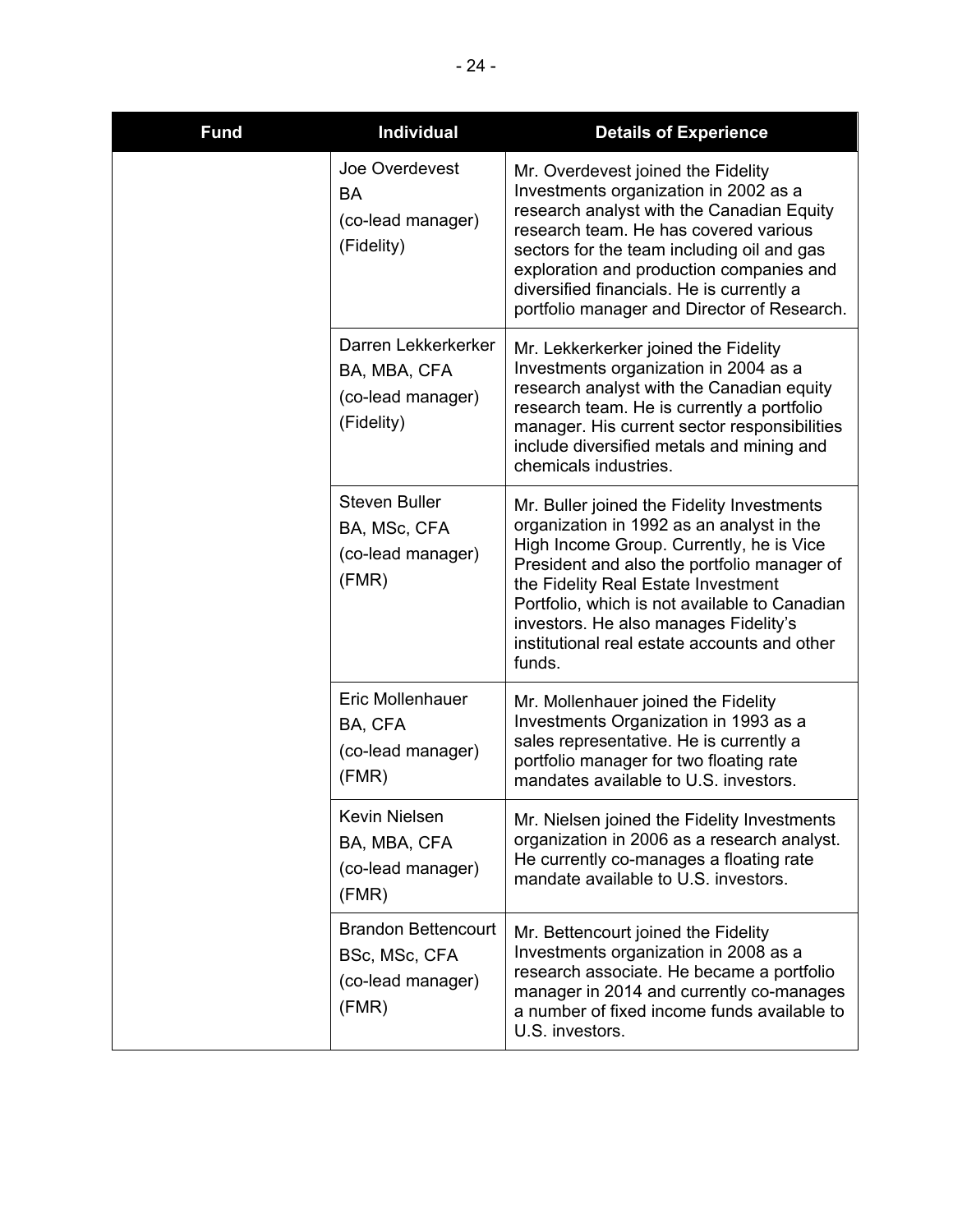| <b>Fund</b> | <b>Individual</b>                                                         | <b>Details of Experience</b>                                                                                                                                                                                                                                                                                                                                                  |
|-------------|---------------------------------------------------------------------------|-------------------------------------------------------------------------------------------------------------------------------------------------------------------------------------------------------------------------------------------------------------------------------------------------------------------------------------------------------------------------------|
|             | Joe Overdevest<br><b>BA</b><br>(co-lead manager)<br>(Fidelity)            | Mr. Overdevest joined the Fidelity<br>Investments organization in 2002 as a<br>research analyst with the Canadian Equity<br>research team. He has covered various<br>sectors for the team including oil and gas<br>exploration and production companies and<br>diversified financials. He is currently a<br>portfolio manager and Director of Research.                       |
|             | Darren Lekkerkerker<br>BA, MBA, CFA<br>(co-lead manager)<br>(Fidelity)    | Mr. Lekkerkerker joined the Fidelity<br>Investments organization in 2004 as a<br>research analyst with the Canadian equity<br>research team. He is currently a portfolio<br>manager. His current sector responsibilities<br>include diversified metals and mining and<br>chemicals industries.                                                                                |
|             | <b>Steven Buller</b><br>BA, MSc, CFA<br>(co-lead manager)<br>(FMR)        | Mr. Buller joined the Fidelity Investments<br>organization in 1992 as an analyst in the<br>High Income Group. Currently, he is Vice<br>President and also the portfolio manager of<br>the Fidelity Real Estate Investment<br>Portfolio, which is not available to Canadian<br>investors. He also manages Fidelity's<br>institutional real estate accounts and other<br>funds. |
|             | Eric Mollenhauer<br>BA, CFA<br>(co-lead manager)<br>(FMR)                 | Mr. Mollenhauer joined the Fidelity<br>Investments Organization in 1993 as a<br>sales representative. He is currently a<br>portfolio manager for two floating rate<br>mandates available to U.S. investors.                                                                                                                                                                   |
|             | Kevin Nielsen<br>BA, MBA, CFA<br>(co-lead manager)<br>(FMR)               | Mr. Nielsen joined the Fidelity Investments<br>organization in 2006 as a research analyst.<br>He currently co-manages a floating rate<br>mandate available to U.S. investors.                                                                                                                                                                                                 |
|             | <b>Brandon Bettencourt</b><br>BSc, MSc, CFA<br>(co-lead manager)<br>(FMR) | Mr. Bettencourt joined the Fidelity<br>Investments organization in 2008 as a<br>research associate. He became a portfolio<br>manager in 2014 and currently co-manages<br>a number of fixed income funds available to<br>U.S. investors.                                                                                                                                       |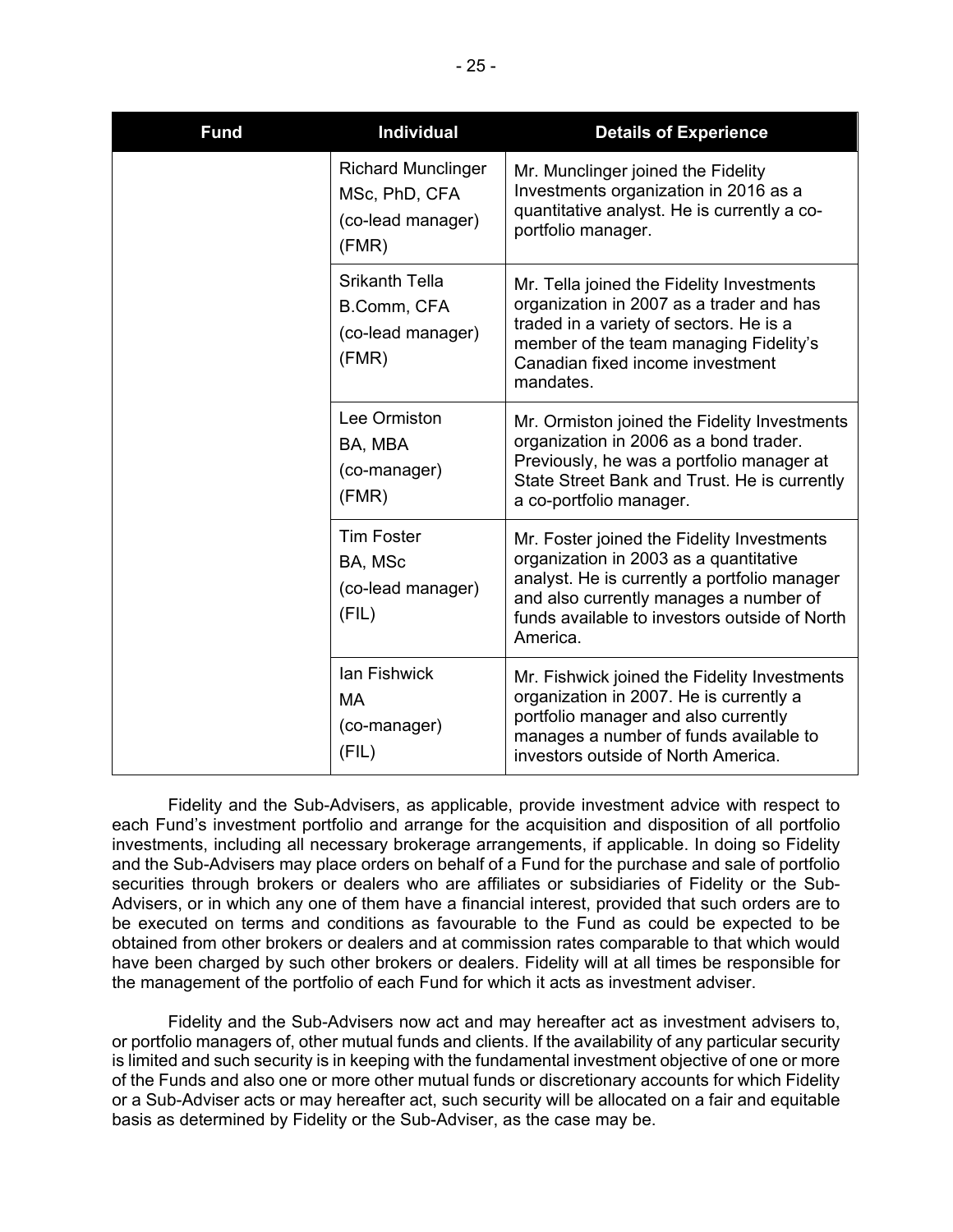| <b>Fund</b> | <b>Individual</b>                                                        | <b>Details of Experience</b>                                                                                                                                                                                                                |
|-------------|--------------------------------------------------------------------------|---------------------------------------------------------------------------------------------------------------------------------------------------------------------------------------------------------------------------------------------|
|             | <b>Richard Munclinger</b><br>MSc, PhD, CFA<br>(co-lead manager)<br>(FMR) | Mr. Munclinger joined the Fidelity<br>Investments organization in 2016 as a<br>quantitative analyst. He is currently a co-<br>portfolio manager.                                                                                            |
|             | <b>Srikanth Tella</b><br>B.Comm, CFA<br>(co-lead manager)<br>(FMR)       | Mr. Tella joined the Fidelity Investments<br>organization in 2007 as a trader and has<br>traded in a variety of sectors. He is a<br>member of the team managing Fidelity's<br>Canadian fixed income investment<br>mandates.                 |
|             | Lee Ormiston<br>BA, MBA<br>(co-manager)<br>(FMR)                         | Mr. Ormiston joined the Fidelity Investments<br>organization in 2006 as a bond trader.<br>Previously, he was a portfolio manager at<br>State Street Bank and Trust. He is currently<br>a co-portfolio manager.                              |
|             | <b>Tim Foster</b><br>BA, MSc<br>(co-lead manager)<br>(FIL)               | Mr. Foster joined the Fidelity Investments<br>organization in 2003 as a quantitative<br>analyst. He is currently a portfolio manager<br>and also currently manages a number of<br>funds available to investors outside of North<br>America. |
|             | lan Fishwick<br>MA<br>(co-manager)<br>(FIL)                              | Mr. Fishwick joined the Fidelity Investments<br>organization in 2007. He is currently a<br>portfolio manager and also currently<br>manages a number of funds available to<br>investors outside of North America.                            |

 securities through brokers or dealers who are affiliates or subsidiaries of Fidelity or the Sub- have been charged by such other brokers or dealers. Fidelity will at all times be responsible for the management of the portfolio of each Fund for which it acts as investment adviser. Fidelity and the Sub-Advisers, as applicable, provide investment advice with respect to each Fund's investment portfolio and arrange for the acquisition and disposition of all portfolio investments, including all necessary brokerage arrangements, if applicable. In doing so Fidelity and the Sub-Advisers may place orders on behalf of a Fund for the purchase and sale of portfolio Advisers, or in which any one of them have a financial interest, provided that such orders are to be executed on terms and conditions as favourable to the Fund as could be expected to be obtained from other brokers or dealers and at commission rates comparable to that which would

 the management of the portfolio of each Fund for which it acts as investment adviser. Fidelity and the Sub-Advisers now act and may hereafter act as investment advisers to, or portfolio managers of, other mutual funds and clients. If the availability of any particular security of the Funds and also one or more other mutual funds or discretionary accounts for which Fidelity or a Sub-Adviser acts or may hereafter act, such security will be allocated on a fair and equitable is limited and such security is in keeping with the fundamental investment objective of one or more basis as determined by Fidelity or the Sub-Adviser, as the case may be.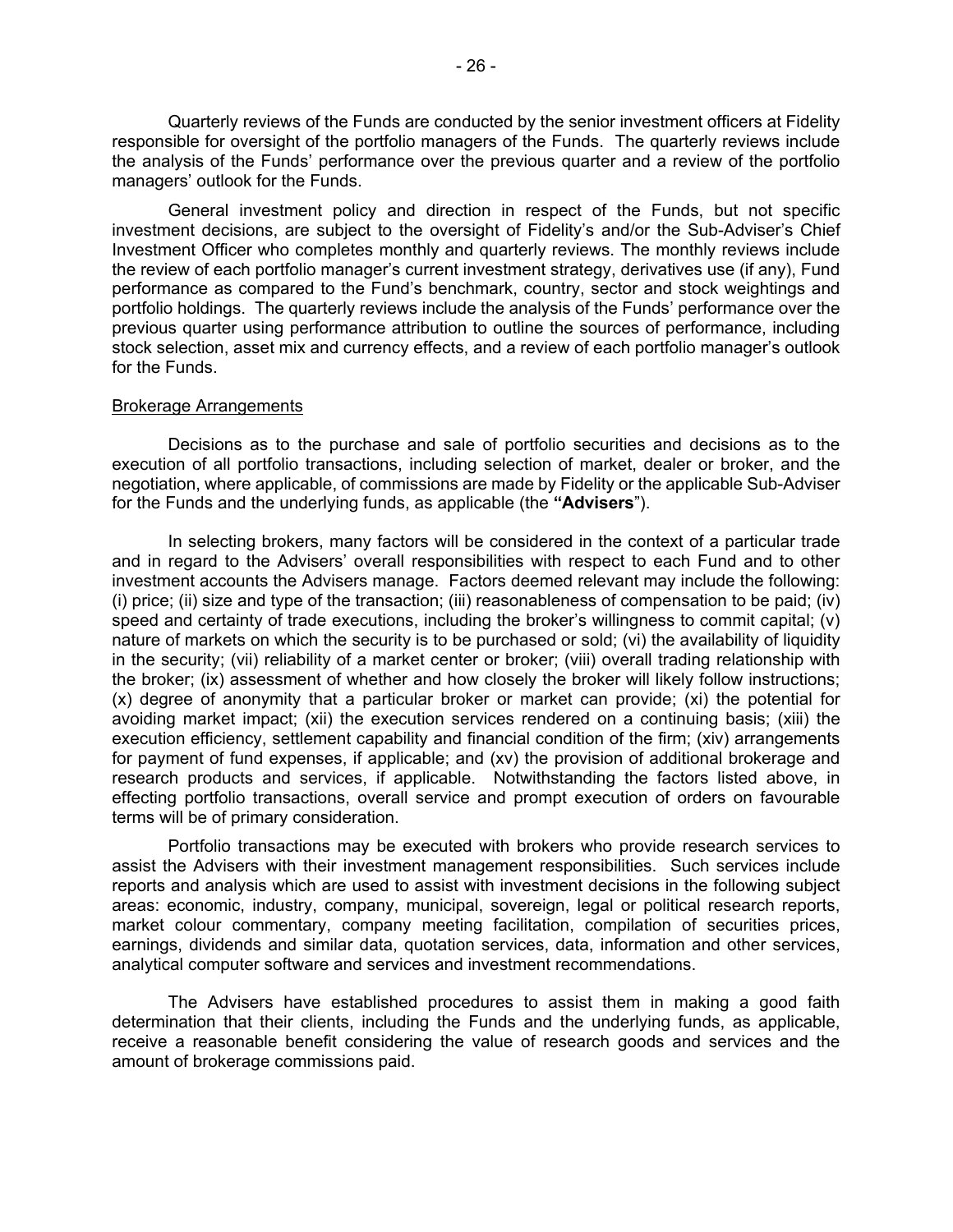responsible for oversight of the portfolio managers of the Funds. The quarterly reviews include Quarterly reviews of the Funds are conducted by the senior investment officers at Fidelity the analysis of the Funds' performance over the previous quarter and a review of the portfolio managers' outlook for the Funds.

 the review of each portfolio manager's current investment strategy, derivatives use (if any), Fund portfolio holdings. The quarterly reviews include the analysis of the Funds' performance over the General investment policy and direction in respect of the Funds, but not specific investment decisions, are subject to the oversight of Fidelity's and/or the Sub-Adviser's Chief Investment Officer who completes monthly and quarterly reviews. The monthly reviews include performance as compared to the Fund's benchmark, country, sector and stock weightings and previous quarter using performance attribution to outline the sources of performance, including stock selection, asset mix and currency effects, and a review of each portfolio manager's outlook for the Funds.

#### Brokerage Arrangements

 Decisions as to the purchase and sale of portfolio securities and decisions as to the negotiation, where applicable, of commissions are made by Fidelity or the applicable Sub-Adviser for the Funds and the underlying funds, as applicable (the "Advisers"). execution of all portfolio transactions, including selection of market, dealer or broker, and the

In selecting brokers, many factors will be considered in the context of a particular trade and in regard to the Advisers' overall responsibilities with respect to each Fund and to other investment accounts the Advisers manage. Factors deemed relevant may include the following: (i) price; (ii) size and type of the transaction; (iii) reasonableness of compensation to be paid; (iv) speed and certainty of trade executions, including the broker's willingness to commit capital; (v) nature of markets on which the security is to be purchased or sold; (vi) the availability of liquidity in the security; (vii) reliability of a market center or broker; (viii) overall trading relationship with the broker; (ix) assessment of whether and how closely the broker will likely follow instructions; (x) degree of anonymity that a particular broker or market can provide; (xi) the potential for avoiding market impact; (xii) the execution services rendered on a continuing basis; (xiii) the execution efficiency, settlement capability and financial condition of the firm; (xiv) arrangements for payment of fund expenses, if applicable; and (xv) the provision of additional brokerage and research products and services, if applicable. Notwithstanding the factors listed above, in effecting portfolio transactions, overall service and prompt execution of orders on favourable terms will be of primary consideration.

 Portfolio transactions may be executed with brokers who provide research services to assist the Advisers with their investment management responsibilities. Such services include earnings, dividends and similar data, quotation services, data, information and other services, analytical computer software and services and investment recommendations. reports and analysis which are used to assist with investment decisions in the following subject areas: economic, industry, company, municipal, sovereign, legal or political research reports, market colour commentary, company meeting facilitation, compilation of securities prices,

 determination that their clients, including the Funds and the underlying funds, as applicable, The Advisers have established procedures to assist them in making a good faith receive a reasonable benefit considering the value of research goods and services and the amount of brokerage commissions paid.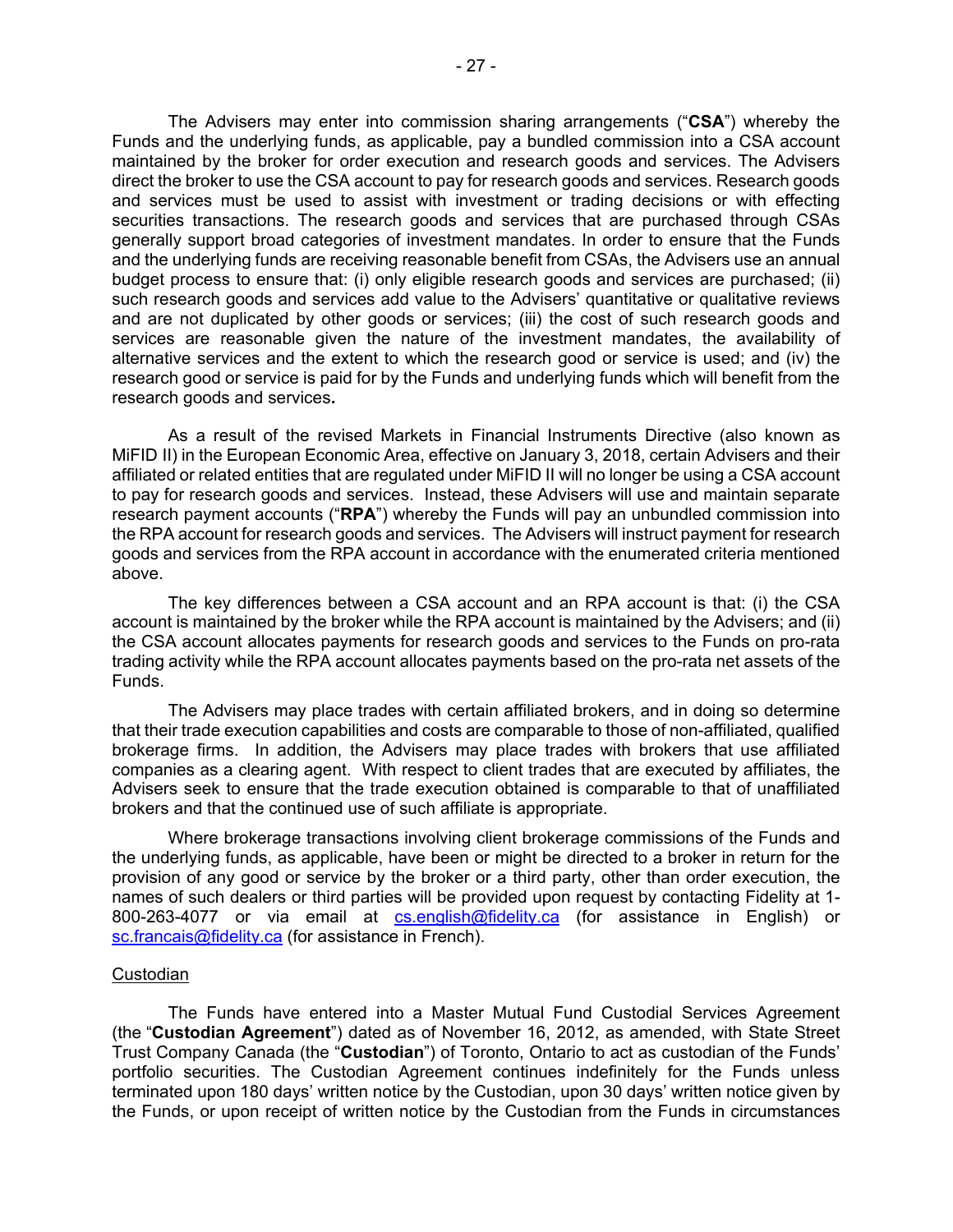Funds and the underlying funds, as applicable, pay a bundled commission into a CSA account maintained by the broker for order execution and research goods and services. The Advisers direct the broker to use the CSA account to pay for research goods and services. Research goods research good or service is paid for by the Funds and underlying funds which will benefit from the The Advisers may enter into commission sharing arrangements ("**CSA**") whereby the and services must be used to assist with investment or trading decisions or with effecting securities transactions. The research goods and services that are purchased through CSAs generally support broad categories of investment mandates. In order to ensure that the Funds and the underlying funds are receiving reasonable benefit from CSAs, the Advisers use an annual budget process to ensure that: (i) only eligible research goods and services are purchased; (ii) such research goods and services add value to the Advisers' quantitative or qualitative reviews and are not duplicated by other goods or services; (iii) the cost of such research goods and services are reasonable given the nature of the investment mandates, the availability of alternative services and the extent to which the research good or service is used; and (iv) the research goods and services**.** 

 affiliated or related entities that are regulated under MiFID II will no longer be using a CSA account to pay for research goods and services. Instead, these Advisers will use and maintain separate research payment accounts ("**RPA**") whereby the Funds will pay an unbundled commission into goods and services from the RPA account in accordance with the enumerated criteria mentioned As a result of the revised Markets in Financial Instruments Directive (also known as MiFID II) in the European Economic Area, effective on January 3, 2018, certain Advisers and their the RPA account for research goods and services. The Advisers will instruct payment for research above.

 The key differences between a CSA account and an RPA account is that: (i) the CSA account is maintained by the broker while the RPA account is maintained by the Advisers; and (ii) the CSA account allocates payments for research goods and services to the Funds on pro-rata trading activity while the RPA account allocates payments based on the pro-rata net assets of the Funds.

 brokerage firms. In addition, the Advisers may place trades with brokers that use affiliated companies as a clearing agent. With respect to client trades that are executed by affiliates, the The Advisers may place trades with certain affiliated brokers, and in doing so determine that their trade execution capabilities and costs are comparable to those of non-affiliated, qualified Advisers seek to ensure that the trade execution obtained is comparable to that of unaffiliated brokers and that the continued use of such affiliate is appropriate.

Where brokerage transactions involving client brokerage commissions of the Funds and the underlying funds, as applicable, have been or might be directed to a broker in return for the provision of any good or service by the broker or a third party, other than order execution, the names of such dealers or third parties will be provided upon request by contacting Fidelity at 1- 800-263-4077 or via email at [cs.english@fidelity.ca](mailto:cs.english@fidelity.ca) (for assistance in English) or [sc.francais@fidelity.ca](mailto:sc.francais@fidelity.ca) (for assistance in French).

## **Custodian**

 portfolio securities. The Custodian Agreement continues indefinitely for the Funds unless The Funds have entered into a Master Mutual Fund Custodial Services Agreement (the "**Custodian Agreement**") dated as of November 16, 2012, as amended, with State Street Trust Company Canada (the "**Custodian**") of Toronto, Ontario to act as custodian of the Funds' terminated upon 180 days' written notice by the Custodian, upon 30 days' written notice given by the Funds, or upon receipt of written notice by the Custodian from the Funds in circumstances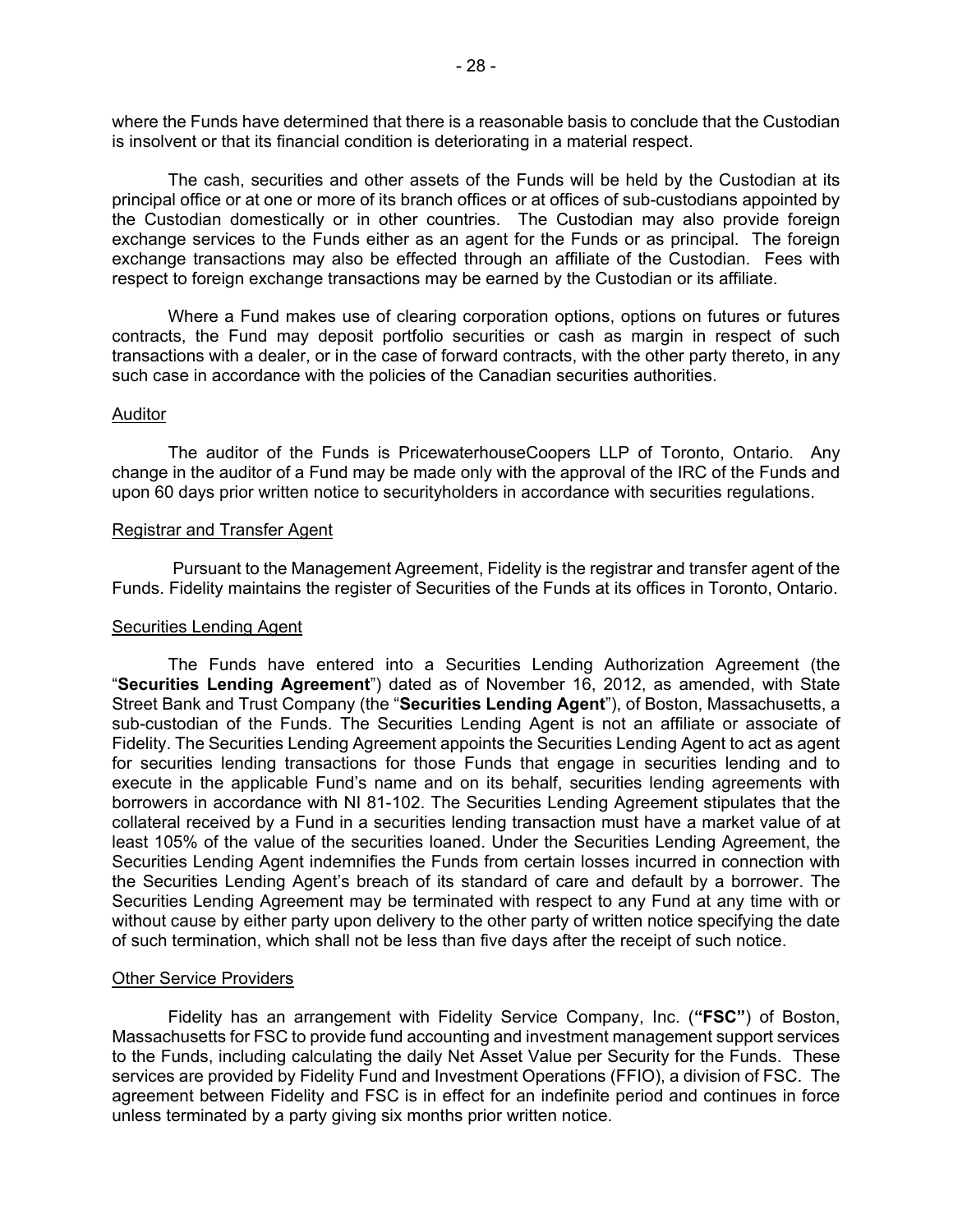where the Funds have determined that there is a reasonable basis to conclude that the Custodian is insolvent or that its financial condition is deteriorating in a material respect.

 The cash, securities and other assets of the Funds will be held by the Custodian at its principal office or at one or more of its branch offices or at offices of sub-custodians appointed by exchange transactions may also be effected through an affiliate of the Custodian. Fees with the Custodian domestically or in other countries. The Custodian may also provide foreign exchange services to the Funds either as an agent for the Funds or as principal. The foreign respect to foreign exchange transactions may be earned by the Custodian or its affiliate.

Where a Fund makes use of clearing corporation options, options on futures or futures contracts, the Fund may deposit portfolio securities or cash as margin in respect of such transactions with a dealer, or in the case of forward contracts, with the other party thereto, in any such case in accordance with the policies of the Canadian securities authorities.

#### Auditor

The auditor of the Funds is PricewaterhouseCoopers LLP of Toronto, Ontario. Any change in the auditor of a Fund may be made only with the approval of the IRC of the Funds and upon 60 days prior written notice to securityholders in accordance with securities regulations.

#### Registrar and Transfer Agent

Pursuant to the Management Agreement, Fidelity is the registrar and transfer agent of the Funds. Fidelity maintains the register of Securities of the Funds at its offices in Toronto, Ontario.

#### Securities Lending Agent

The Funds have entered into a Securities Lending Authorization Agreement (the "**Securities Lending Agreement**") dated as of November 16, 2012, as amended, with State Street Bank and Trust Company (the "**Securities Lending Agent**"), of Boston, Massachusetts, a sub-custodian of the Funds. The Securities Lending Agent is not an affiliate or associate of Fidelity. The Securities Lending Agreement appoints the Securities Lending Agent to act as agent for securities lending transactions for those Funds that engage in securities lending and to execute in the applicable Fund's name and on its behalf, securities lending agreements with borrowers in accordance with NI 81-102. The Securities Lending Agreement stipulates that the collateral received by a Fund in a securities lending transaction must have a market value of at least 105% of the value of the securities loaned. Under the Securities Lending Agreement, the Securities Lending Agent indemnifies the Funds from certain losses incurred in connection with the Securities Lending Agent's breach of its standard of care and default by a borrower. The Securities Lending Agreement may be terminated with respect to any Fund at any time with or without cause by either party upon delivery to the other party of written notice specifying the date of such termination, which shall not be less than five days after the receipt of such notice.

#### Other Service Providers

 unless terminated by a party giving six months prior written notice. Fidelity has an arrangement with Fidelity Service Company, Inc. (**"FSC"**) of Boston, Massachusetts for FSC to provide fund accounting and investment management support services to the Funds, including calculating the daily Net Asset Value per Security for the Funds. These services are provided by Fidelity Fund and Investment Operations (FFIO), a division of FSC. The agreement between Fidelity and FSC is in effect for an indefinite period and continues in force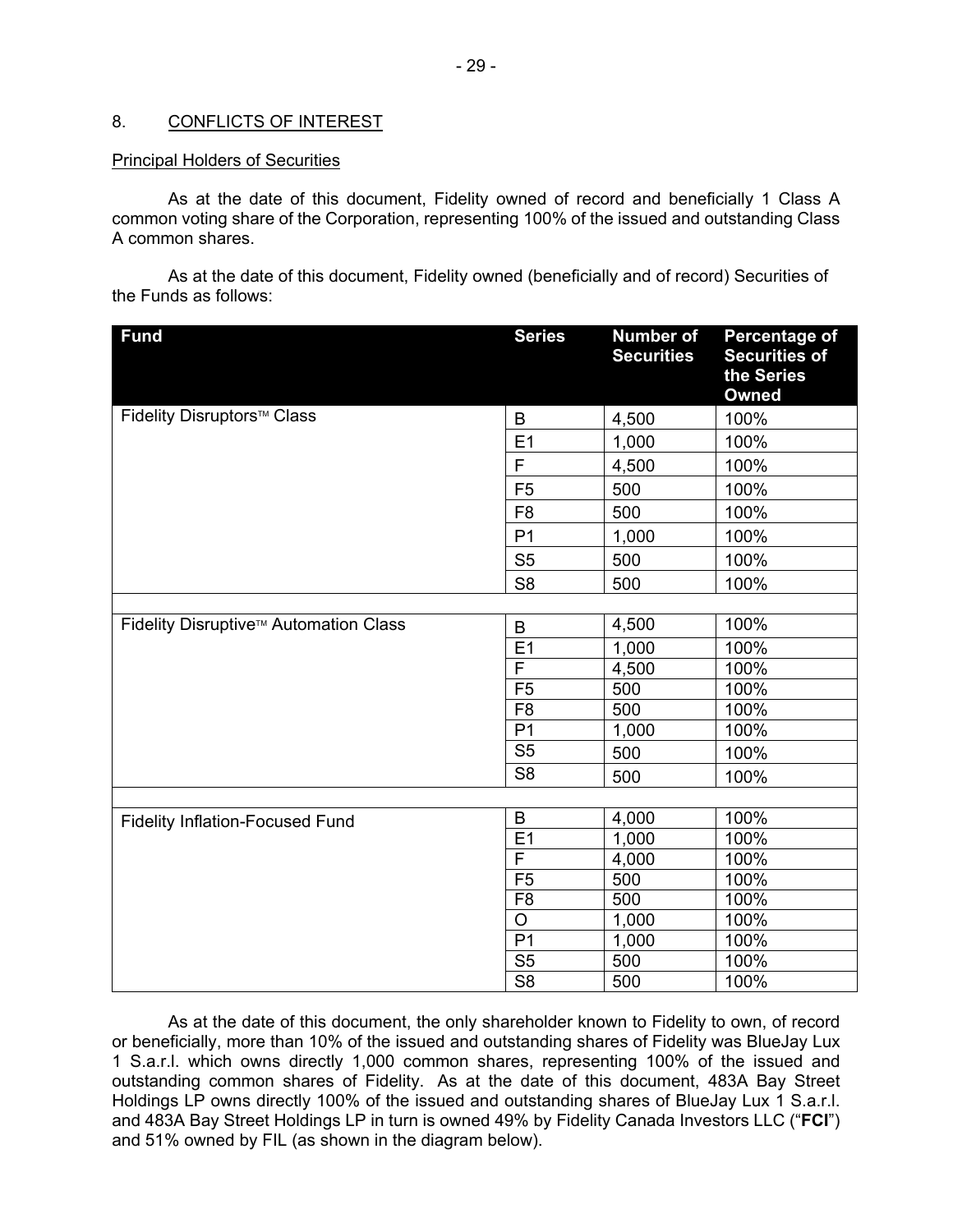## <span id="page-30-0"></span>8. CONFLICTS OF INTEREST

## **Principal Holders of Securities**

Principal Holders of Securities<br>As at the date of this document, Fidelity owned of record and beneficially 1 Class A common voting share of the Corporation, representing 100% of the issued and outstanding Class A common shares.

 the Funds as follows: As at the date of this document, Fidelity owned (beneficially and of record) Securities of

| <b>Fund</b>                            | <b>Series</b>           | <b>Number of</b><br><b>Securities</b> | Percentage of<br><b>Securities of</b><br>the Series<br><b>Owned</b> |
|----------------------------------------|-------------------------|---------------------------------------|---------------------------------------------------------------------|
| Fidelity Disruptors <sup>™</sup> Class | B                       | 4,500                                 | 100%                                                                |
|                                        | E1                      | 1,000                                 | 100%                                                                |
|                                        | F                       | 4,500                                 | 100%                                                                |
|                                        | F <sub>5</sub>          | 500                                   | 100%                                                                |
|                                        | F <sub>8</sub>          | 500                                   | 100%                                                                |
|                                        | P <sub>1</sub>          | 1,000                                 | 100%                                                                |
|                                        | S <sub>5</sub>          | 500                                   | 100%                                                                |
|                                        | S <sub>8</sub>          | 500                                   | 100%                                                                |
|                                        |                         |                                       |                                                                     |
| Fidelity Disruptive™ Automation Class  | B                       | 4,500                                 | 100%                                                                |
|                                        | E <sub>1</sub>          | 1,000                                 | 100%                                                                |
|                                        | $\overline{\mathsf{F}}$ | 4,500                                 | 100%                                                                |
|                                        | F <sub>5</sub>          | 500                                   | 100%                                                                |
|                                        | F <sub>8</sub>          | 500                                   | 100%                                                                |
|                                        | $\overline{P1}$         | 1,000                                 | 100%                                                                |
|                                        | S <sub>5</sub>          | 500                                   | 100%                                                                |
|                                        | S <sub>8</sub>          | 500                                   | 100%                                                                |
|                                        |                         |                                       |                                                                     |
| <b>Fidelity Inflation-Focused Fund</b> | B                       | 4,000                                 | 100%                                                                |
|                                        | E1                      | 1,000                                 | 100%                                                                |
|                                        | $\overline{\mathsf{F}}$ | 4,000                                 | 100%                                                                |
|                                        | F <sub>5</sub>          | 500                                   | 100%                                                                |
|                                        | F <sub>8</sub>          | 500                                   | 100%                                                                |
|                                        | $\overline{O}$          | 1,000                                 | 100%                                                                |
|                                        | P <sub>1</sub>          | 1,000                                 | 100%                                                                |
|                                        | S <sub>5</sub>          | 500                                   | 100%                                                                |
|                                        | $\overline{\text{S8}}$  | 500                                   | 100%                                                                |

 outstanding common shares of Fidelity. As at the date of this document, 483A Bay Street Holdings LP owns directly 100% of the issued and outstanding shares of BlueJay Lux 1 S.a.r.l. As at the date of this document, the only shareholder known to Fidelity to own, of record or beneficially, more than 10% of the issued and outstanding shares of Fidelity was BlueJay Lux 1 S.a.r.l. which owns directly 1,000 common shares, representing 100% of the issued and and 483A Bay Street Holdings LP in turn is owned 49% by Fidelity Canada Investors LLC ("**FCI**") and 51% owned by FIL (as shown in the diagram below).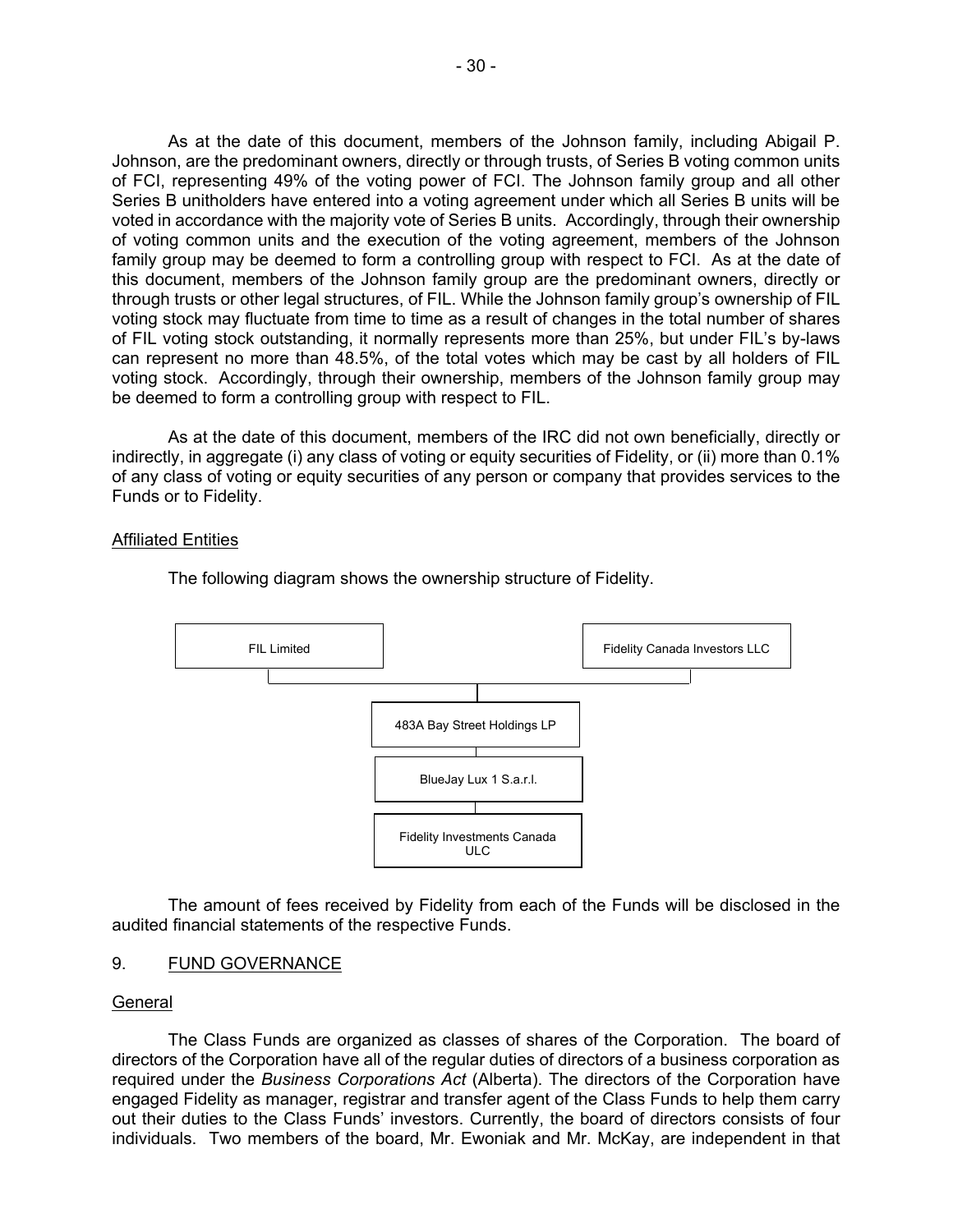<span id="page-31-0"></span> of FCI, representing 49% of the voting power of FCI. The Johnson family group and all other voted in accordance with the majority vote of Series B units. Accordingly, through their ownership family group may be deemed to form a controlling group with respect to FCI. As at the date of voting stock. Accordingly, through their ownership, members of the Johnson family group may As at the date of this document, members of the Johnson family, including Abigail P. Johnson, are the predominant owners, directly or through trusts, of Series B voting common units Series B unitholders have entered into a voting agreement under which all Series B units will be of voting common units and the execution of the voting agreement, members of the Johnson this document, members of the Johnson family group are the predominant owners, directly or through trusts or other legal structures, of FIL. While the Johnson family group's ownership of FIL voting stock may fluctuate from time to time as a result of changes in the total number of shares of FIL voting stock outstanding, it normally represents more than 25%, but under FIL's by-laws can represent no more than 48.5%, of the total votes which may be cast by all holders of FIL be deemed to form a controlling group with respect to FIL.

As at the date of this document, members of the IRC did not own beneficially, directly or indirectly, in aggregate (i) any class of voting or equity securities of Fidelity, or (ii) more than 0.1% of any class of voting or equity securities of any person or company that provides services to the Funds or to Fidelity.

#### Affiliated Entities



The following diagram shows the ownership structure of Fidelity.

The amount of fees received by Fidelity from each of the Funds will be disclosed in the audited financial statements of the respective Funds.

## 9. FUND GOVERNANCE

#### General

 The Class Funds are organized as classes of shares of the Corporation. The board of directors of the Corporation have all of the regular duties of directors of a business corporation as required under the *Business Corporations Act* (Alberta). The directors of the Corporation have engaged Fidelity as manager, registrar and transfer agent of the Class Funds to help them carry out their duties to the Class Funds' investors. Currently, the board of directors consists of four individuals. Two members of the board, Mr. Ewoniak and Mr. McKay, are independent in that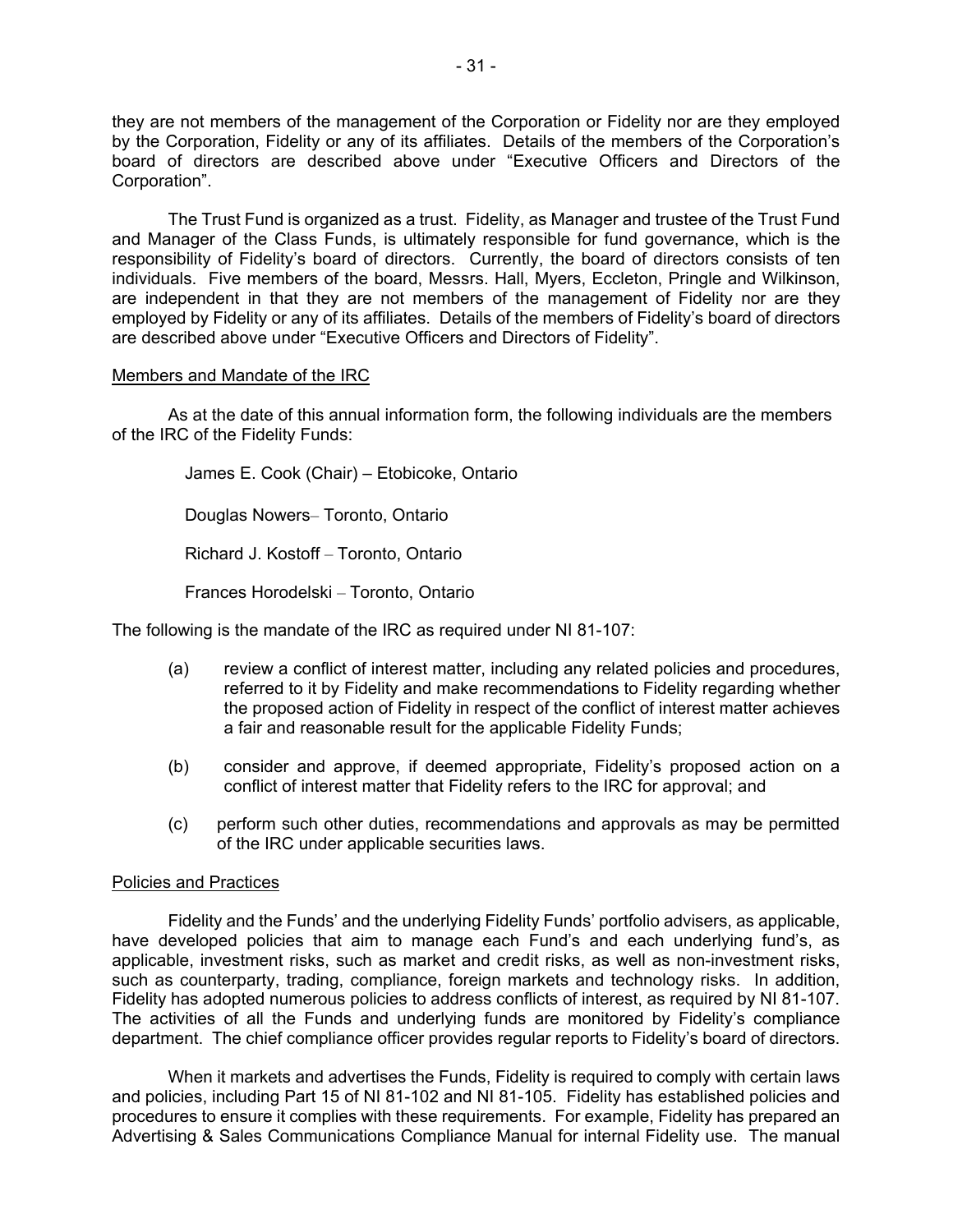they are not members of the management of the Corporation or Fidelity nor are they employed board of directors are described above under "Executive Officers and Directors of the by the Corporation, Fidelity or any of its affiliates. Details of the members of the Corporation's Corporation".

 The Trust Fund is organized as a trust. Fidelity, as Manager and trustee of the Trust Fund and Manager of the Class Funds, is ultimately responsible for fund governance, which is the employed by Fidelity or any of its affiliates. Details of the members of Fidelity's board of directors responsibility of Fidelity's board of directors. Currently, the board of directors consists of ten individuals. Five members of the board, Messrs. Hall, Myers, Eccleton, Pringle and Wilkinson, are independent in that they are not members of the management of Fidelity nor are they are described above under "Executive Officers and Directors of Fidelity".

#### Members and Mandate of the IRC

As at the date of this annual information form, the following individuals are the members of the IRC of the Fidelity Funds:

> James E. Cook (Chair) – Etobicoke, Ontario Douglas Nowers– Toronto, Ontario Richard J. Kostoff – Toronto, Ontario Frances Horodelski – Toronto, Ontario

The following is the mandate of the IRC as required under NI 81-107:

- (a) review a conflict of interest matter, including any related policies and procedures, referred to it by Fidelity and make recommendations to Fidelity regarding whether the proposed action of Fidelity in respect of the conflict of interest matter achieves a fair and reasonable result for the applicable Fidelity Funds;
- (b) consider and approve, if deemed appropriate, Fidelity's proposed action on a conflict of interest matter that Fidelity refers to the IRC for approval; and
- (c) perform such other duties, recommendations and approvals as may be permitted of the IRC under applicable securities laws.

## Policies and Practices

 have developed policies that aim to manage each Fund's and each underlying fund's, as Fidelity has adopted numerous policies to address conflicts of interest, as required by NI 81-107. Fidelity and the Funds' and the underlying Fidelity Funds' portfolio advisers, as applicable, applicable, investment risks, such as market and credit risks, as well as non-investment risks, such as counterparty, trading, compliance, foreign markets and technology risks. In addition, The activities of all the Funds and underlying funds are monitored by Fidelity's compliance department. The chief compliance officer provides regular reports to Fidelity's board of directors.

 Advertising & Sales Communications Compliance Manual for internal Fidelity use. The manual When it markets and advertises the Funds, Fidelity is required to comply with certain laws and policies, including Part 15 of NI 81-102 and NI 81-105. Fidelity has established policies and procedures to ensure it complies with these requirements. For example, Fidelity has prepared an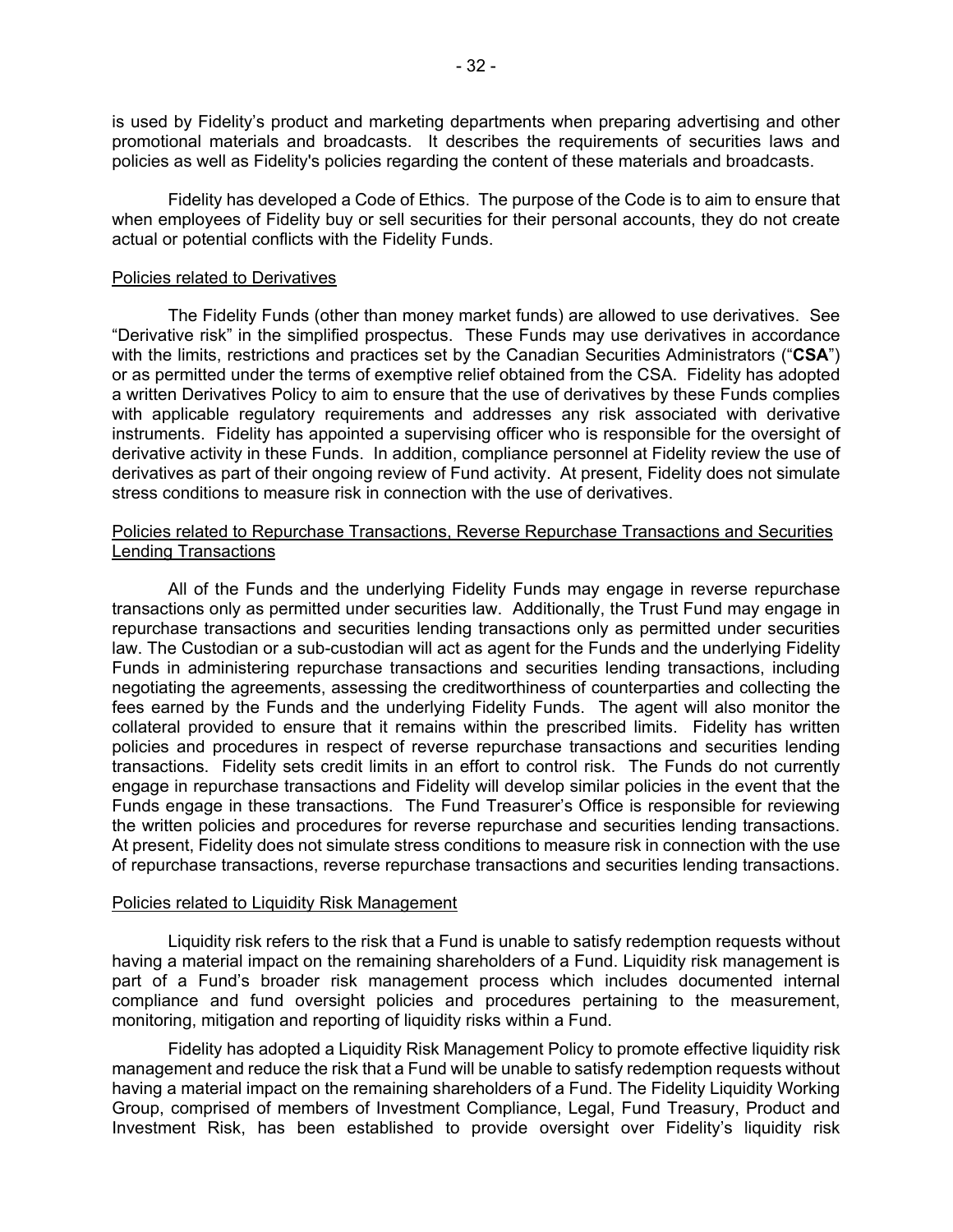is used by Fidelity's product and marketing departments when preparing advertising and other promotional materials and broadcasts. It describes the requirements of securities laws and policies as well as Fidelity's policies regarding the content of these materials and broadcasts.

 when employees of Fidelity buy or sell securities for their personal accounts, they do not create Fidelity has developed a Code of Ethics. The purpose of the Code is to aim to ensure that actual or potential conflicts with the Fidelity Funds.

## Policies related to Derivatives

 with the limits, restrictions and practices set by the Canadian Securities Administrators ("**CSA**") with applicable regulatory requirements and addresses any risk associated with derivative instruments. Fidelity has appointed a supervising officer who is responsible for the oversight of The Fidelity Funds (other than money market funds) are allowed to use derivatives. See "Derivative risk" in the simplified prospectus. These Funds may use derivatives in accordance or as permitted under the terms of exemptive relief obtained from the CSA. Fidelity has adopted a written Derivatives Policy to aim to ensure that the use of derivatives by these Funds complies derivative activity in these Funds. In addition, compliance personnel at Fidelity review the use of derivatives as part of their ongoing review of Fund activity. At present, Fidelity does not simulate stress conditions to measure risk in connection with the use of derivatives.

## Policies related to Repurchase Transactions, Reverse Repurchase Transactions and Securities Lending Transactions

 transactions only as permitted under securities law. Additionally, the Trust Fund may engage in repurchase transactions and securities lending transactions only as permitted under securities fees earned by the Funds and the underlying Fidelity Funds. The agent will also monitor the transactions. Fidelity sets credit limits in an effort to control risk. The Funds do not currently All of the Funds and the underlying Fidelity Funds may engage in reverse repurchase law. The Custodian or a sub-custodian will act as agent for the Funds and the underlying Fidelity Funds in administering repurchase transactions and securities lending transactions, including negotiating the agreements, assessing the creditworthiness of counterparties and collecting the collateral provided to ensure that it remains within the prescribed limits. Fidelity has written policies and procedures in respect of reverse repurchase transactions and securities lending engage in repurchase transactions and Fidelity will develop similar policies in the event that the Funds engage in these transactions. The Fund Treasurer's Office is responsible for reviewing the written policies and procedures for reverse repurchase and securities lending transactions. At present, Fidelity does not simulate stress conditions to measure risk in connection with the use of repurchase transactions, reverse repurchase transactions and securities lending transactions.

#### Policies related to Liquidity Risk Management

Liquidity risk refers to the risk that a Fund is unable to satisfy redemption requests without having a material impact on the remaining shareholders of a Fund. Liquidity risk management is part of a Fund's broader risk management process which includes documented internal compliance and fund oversight policies and procedures pertaining to the measurement, monitoring, mitigation and reporting of liquidity risks within a Fund.

 having a material impact on the remaining shareholders of a Fund. The Fidelity Liquidity Working Fidelity has adopted a Liquidity Risk Management Policy to promote effective liquidity risk management and reduce the risk that a Fund will be unable to satisfy redemption requests without Group, comprised of members of Investment Compliance, Legal, Fund Treasury, Product and Investment Risk, has been established to provide oversight over Fidelity's liquidity risk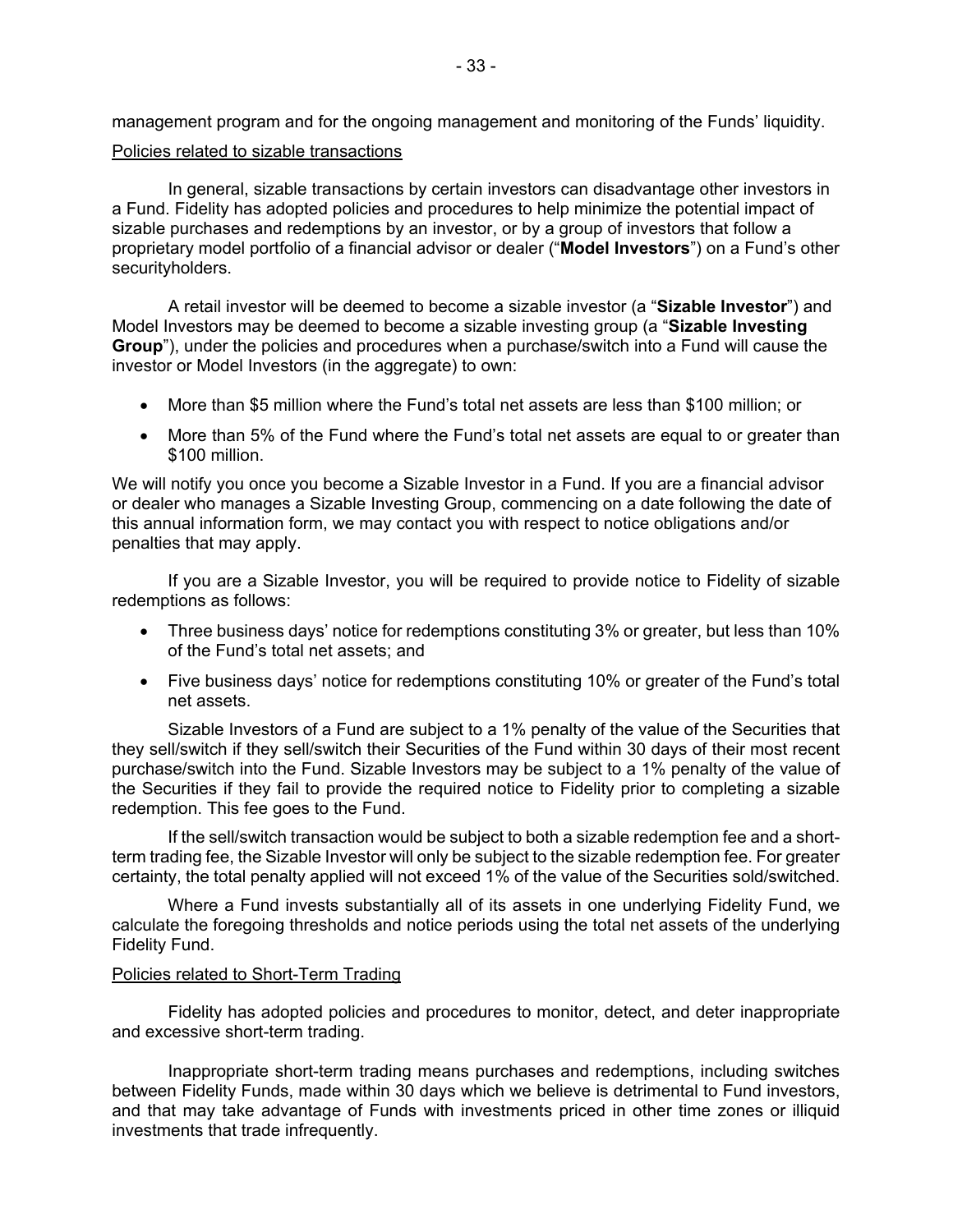management program and for the ongoing management and monitoring of the Funds' liquidity. Policies related to sizable transactions

In general, sizable transactions by certain investors can disadvantage other investors in a Fund. Fidelity has adopted policies and procedures to help minimize the potential impact of sizable purchases and redemptions by an investor, or by a group of investors that follow a proprietary model portfolio of a financial advisor or dealer ("**Model Investors**") on a Fund's other securityholders.

A retail investor will be deemed to become a sizable investor (a "**Sizable Investor**") and Model Investors may be deemed to become a sizable investing group (a "**Sizable Investing Group**"), under the policies and procedures when a purchase/switch into a Fund will cause the investor or Model Investors (in the aggregate) to own:

- More than \$5 million where the Fund's total net assets are less than \$100 million; or
- • More than 5% of the Fund where the Fund's total net assets are equal to or greater than \$100 million.

 this annual information form, we may contact you with respect to notice obligations and/or We will notify you once you become a Sizable Investor in a Fund. If you are a financial advisor or dealer who manages a Sizable Investing Group, commencing on a date following the date of penalties that may apply.

If you are a Sizable Investor, you will be required to provide notice to Fidelity of sizable redemptions as follows:

- • Three business days' notice for redemptions constituting 3% or greater, but less than 10% of the Fund's total net assets; and
- Five business days' notice for redemptions constituting 10% or greater of the Fund's total net assets.

 they sell/switch if they sell/switch their Securities of the Fund within 30 days of their most recent purchase/switch into the Fund. Sizable Investors may be subject to a 1% penalty of the value of Sizable Investors of a Fund are subject to a 1% penalty of the value of the Securities that the Securities if they fail to provide the required notice to Fidelity prior to completing a sizable redemption. This fee goes to the Fund.

 certainty, the total penalty applied will not exceed 1% of the value of the Securities sold/switched. If the sell/switch transaction would be subject to both a sizable redemption fee and a shortterm trading fee, the Sizable Investor will only be subject to the sizable redemption fee. For greater

 Where a Fund invests substantially all of its assets in one underlying Fidelity Fund, we calculate the foregoing thresholds and notice periods using the total net assets of the underlying Fidelity Fund.

## Policies related to Short-Term Trading

 Fidelity has adopted policies and procedures to monitor, detect, and deter inappropriate and excessive short-term trading.

 between Fidelity Funds, made within 30 days which we believe is detrimental to Fund investors, Inappropriate short-term trading means purchases and redemptions, including switches and that may take advantage of Funds with investments priced in other time zones or illiquid investments that trade infrequently.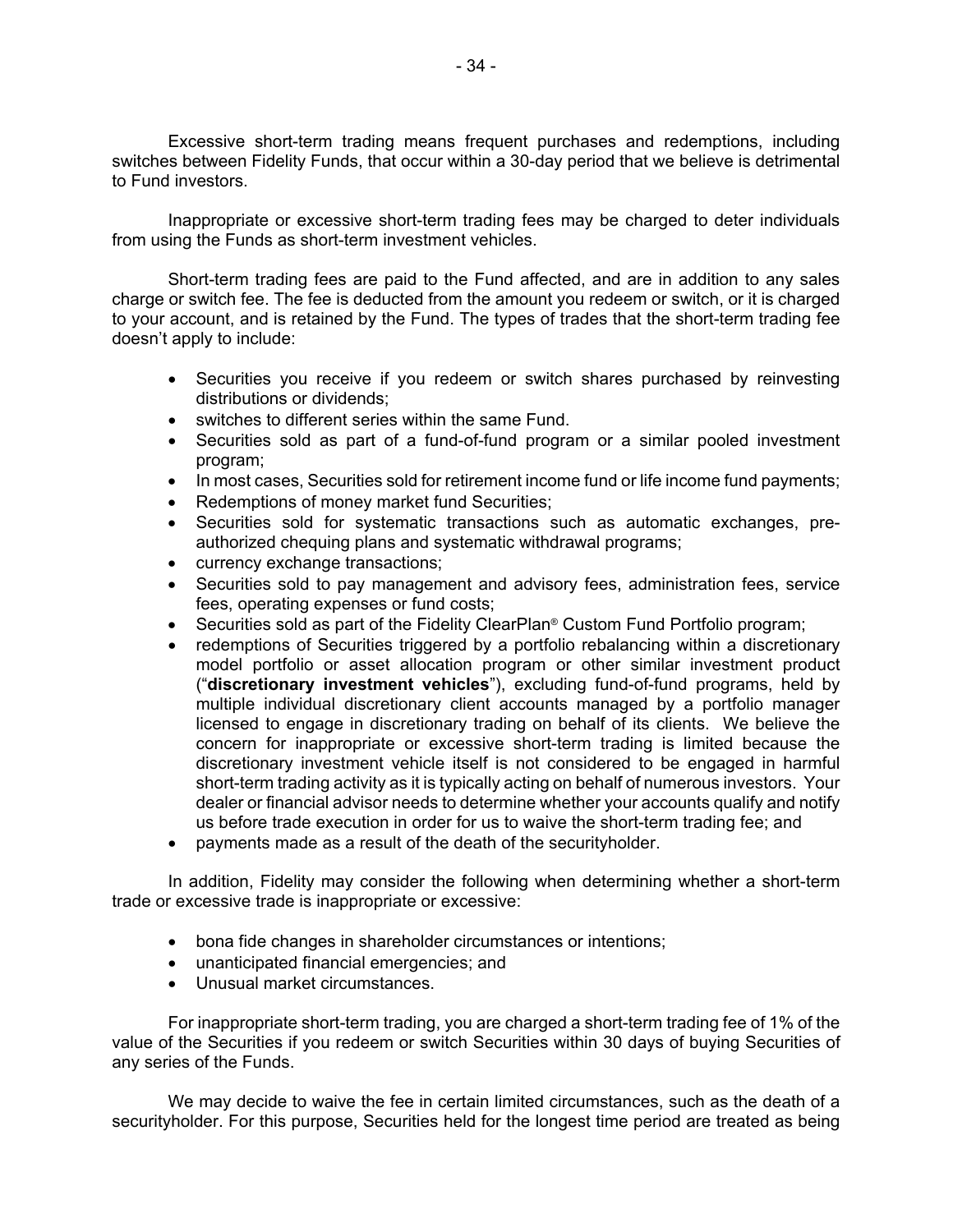switches between Fidelity Funds, that occur within a 30-day period that we believe is detrimental Excessive short-term trading means frequent purchases and redemptions, including to Fund investors.

 Inappropriate or excessive short-term trading fees may be charged to deter individuals from using the Funds as short-term investment vehicles.

 Short-term trading fees are paid to the Fund affected, and are in addition to any sales charge or switch fee. The fee is deducted from the amount you redeem or switch, or it is charged to your account, and is retained by the Fund. The types of trades that the short-term trading fee doesn't apply to include:

- Securities you receive if you redeem or switch shares purchased by reinvesting distributions or dividends;
- switches to different series within the same Fund.
- Securities sold as part of a fund-of-fund program or a similar pooled investment program;
- In most cases, Securities sold for retirement income fund or life income fund payments;
- Redemptions of money market fund Securities;
- • Securities sold for systematic transactions such as automatic exchanges, preauthorized chequing plans and systematic withdrawal programs;
- currency exchange transactions;
- Securities sold to pay management and advisory fees, administration fees, service fees, operating expenses or fund costs;
- Securities sold as part of the Fidelity ClearPlan<sup>®</sup> Custom Fund Portfolio program;
- dealer or financial advisor needs to determine whether your accounts qualify and notify • redemptions of Securities triggered by a portfolio rebalancing within a discretionary model portfolio or asset allocation program or other similar investment product ("**discretionary investment vehicles**"), excluding fund-of-fund programs, held by multiple individual discretionary client accounts managed by a portfolio manager licensed to engage in discretionary trading on behalf of its clients. We believe the concern for inappropriate or excessive short-term trading is limited because the discretionary investment vehicle itself is not considered to be engaged in harmful short-term trading activity as it is typically acting on behalf of numerous investors. Your us before trade execution in order for us to waive the short-term trading fee; and
- payments made as a result of the death of the securityholder.

In addition, Fidelity may consider the following when determining whether a short-term trade or excessive trade is inappropriate or excessive:

- bona fide changes in shareholder circumstances or intentions;
- unanticipated financial emergencies; and
- Unusual market circumstances.

For inappropriate short-term trading, you are charged a short-term trading fee of 1% of the value of the Securities if you redeem or switch Securities within 30 days of buying Securities of any series of the Funds.

 We may decide to waive the fee in certain limited circumstances, such as the death of a securityholder. For this purpose, Securities held for the longest time period are treated as being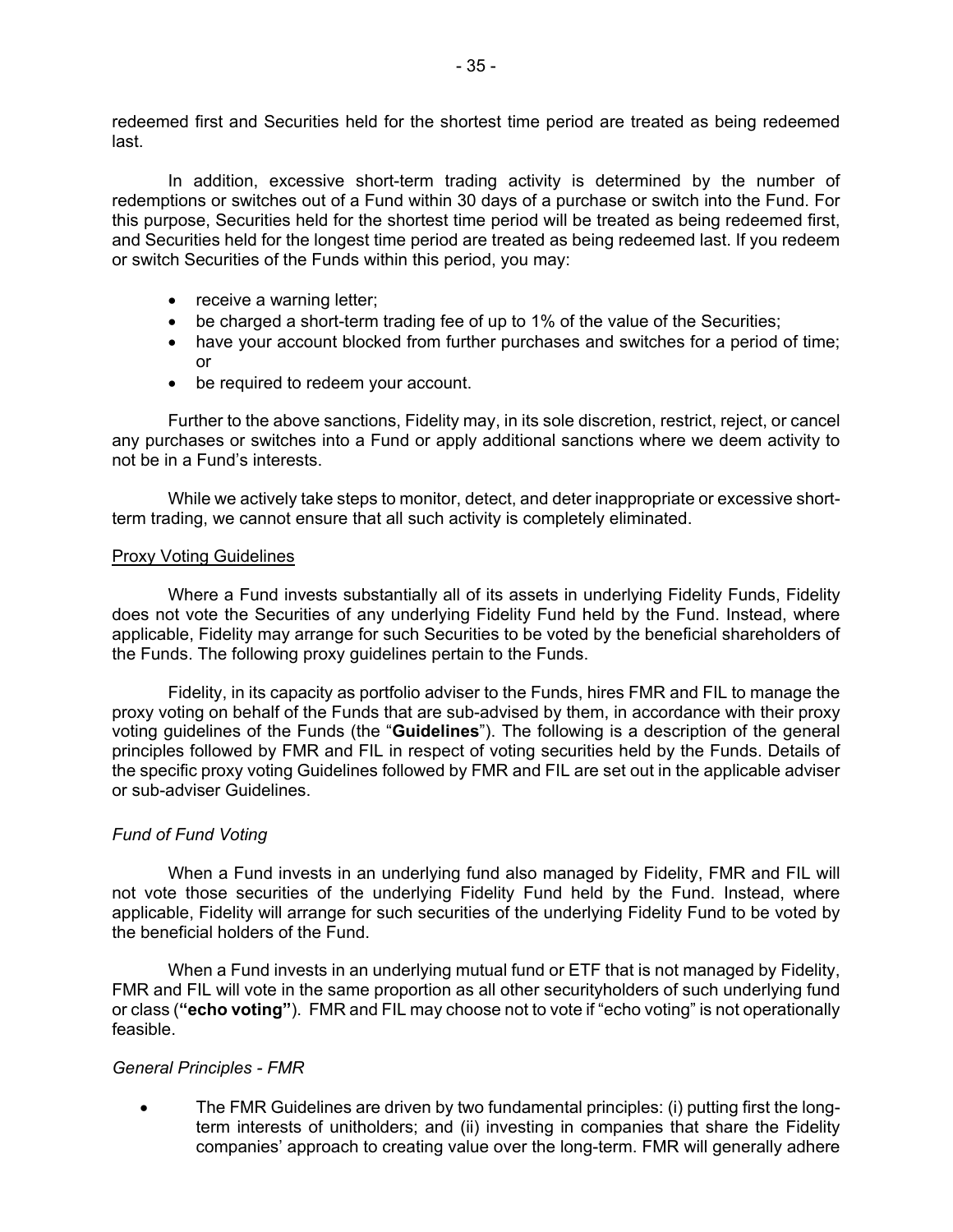redeemed first and Securities held for the shortest time period are treated as being redeemed last.

In addition, excessive short-term trading activity is determined by the number of redemptions or switches out of a Fund within 30 days of a purchase or switch into the Fund. For this purpose, Securities held for the shortest time period will be treated as being redeemed first, and Securities held for the longest time period are treated as being redeemed last. If you redeem or switch Securities of the Funds within this period, you may:

- receive a warning letter;
- be charged a short-term trading fee of up to 1% of the value of the Securities;
- • have your account blocked from further purchases and switches for a period of time; or
- be required to redeem your account.

 any purchases or switches into a Fund or apply additional sanctions where we deem activity to Further to the above sanctions, Fidelity may, in its sole discretion, restrict, reject, or cancel not be in a Fund's interests.

While we actively take steps to monitor, detect, and deter inappropriate or excessive shortterm trading, we cannot ensure that all such activity is completely eliminated.

## Proxy Voting Guidelines

 Where a Fund invests substantially all of its assets in underlying Fidelity Funds, Fidelity does not vote the Securities of any underlying Fidelity Fund held by the Fund. Instead, where applicable, Fidelity may arrange for such Securities to be voted by the beneficial shareholders of the Funds. The following proxy guidelines pertain to the Funds.

 Fidelity, in its capacity as portfolio adviser to the Funds, hires FMR and FIL to manage the principles followed by FMR and FIL in respect of voting securities held by the Funds. Details of proxy voting on behalf of the Funds that are sub-advised by them, in accordance with their proxy voting guidelines of the Funds (the "**Guidelines**"). The following is a description of the general the specific proxy voting Guidelines followed by FMR and FIL are set out in the applicable adviser or sub-adviser Guidelines.

# *Fund of Fund Voting*

 applicable, Fidelity will arrange for such securities of the underlying Fidelity Fund to be voted by When a Fund invests in an underlying fund also managed by Fidelity, FMR and FIL will not vote those securities of the underlying Fidelity Fund held by the Fund. Instead, where the beneficial holders of the Fund.

 When a Fund invests in an underlying mutual fund or ETF that is not managed by Fidelity, FMR and FIL will vote in the same proportion as all other securityholders of such underlying fund or class (**"echo voting"**). FMR and FIL may choose not to vote if "echo voting" is not operationally feasible.

## *General Principles - FMR*

• The FMR Guidelines are driven by two fundamental principles: (i) putting first the longterm interests of unitholders; and (ii) investing in companies that share the Fidelity companies' approach to creating value over the long-term. FMR will generally adhere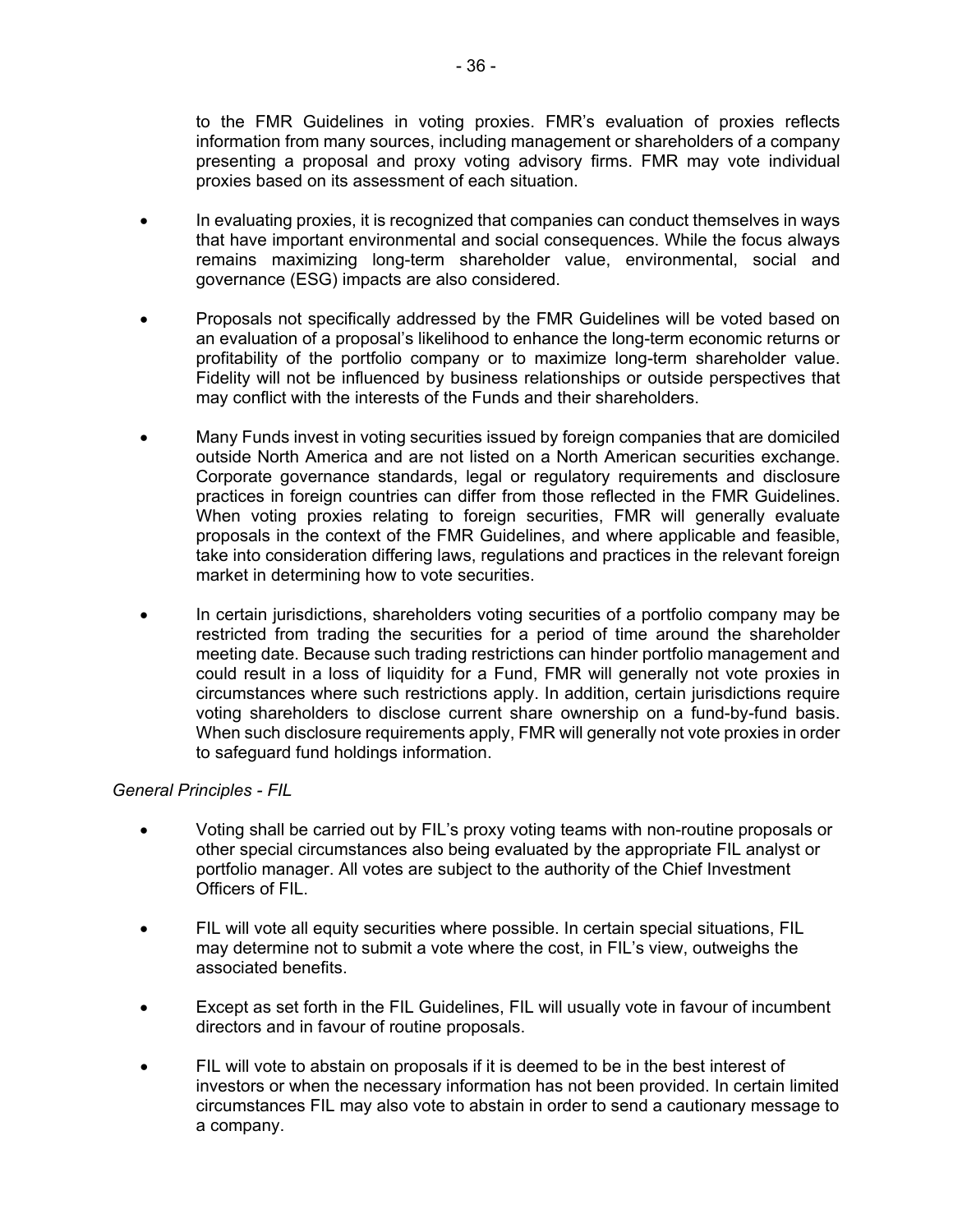presenting a proposal and proxy voting advisory firms. FMR may vote individual to the FMR Guidelines in voting proxies. FMR's evaluation of proxies reflects information from many sources, including management or shareholders of a company proxies based on its assessment of each situation.

- • In evaluating proxies, it is recognized that companies can conduct themselves in ways remains maximizing long-term shareholder value, environmental, social and that have important environmental and social consequences. While the focus always governance (ESG) impacts are also considered.
- may conflict with the interests of the Funds and their shareholders. • Proposals not specifically addressed by the FMR Guidelines will be voted based on an evaluation of a proposal's likelihood to enhance the long-term economic returns or profitability of the portfolio company or to maximize long-term shareholder value. Fidelity will not be influenced by business relationships or outside perspectives that
- When voting proxies relating to foreign securities, FMR will generally evaluate • Many Funds invest in voting securities issued by foreign companies that are domiciled outside North America and are not listed on a North American securities exchange. Corporate governance standards, legal or regulatory requirements and disclosure practices in foreign countries can differ from those reflected in the FMR Guidelines. proposals in the context of the FMR Guidelines, and where applicable and feasible, take into consideration differing laws, regulations and practices in the relevant foreign market in determining how to vote securities.
- restricted from trading the securities for a period of time around the shareholder meeting date. Because such trading restrictions can hinder portfolio management and • In certain jurisdictions, shareholders voting securities of a portfolio company may be could result in a loss of liquidity for a Fund, FMR will generally not vote proxies in circumstances where such restrictions apply. In addition, certain jurisdictions require voting shareholders to disclose current share ownership on a fund-by-fund basis. When such disclosure requirements apply, FMR will generally not vote proxies in order to safeguard fund holdings information.

# *General Principles - FIL*

- Voting shall be carried out by FIL's proxy voting teams with non-routine proposals or other special circumstances also being evaluated by the appropriate FIL analyst or portfolio manager. All votes are subject to the authority of the Chief Investment Officers of FIL.
- FIL will vote all equity securities where possible. In certain special situations, FIL may determine not to submit a vote where the cost, in FIL's view, outweighs the associated benefits.
- Except as set forth in the FIL Guidelines, FIL will usually vote in favour of incumbent directors and in favour of routine proposals.
- • FIL will vote to abstain on proposals if it is deemed to be in the best interest of investors or when the necessary information has not been provided. In certain limited circumstances FIL may also vote to abstain in order to send a cautionary message to a company.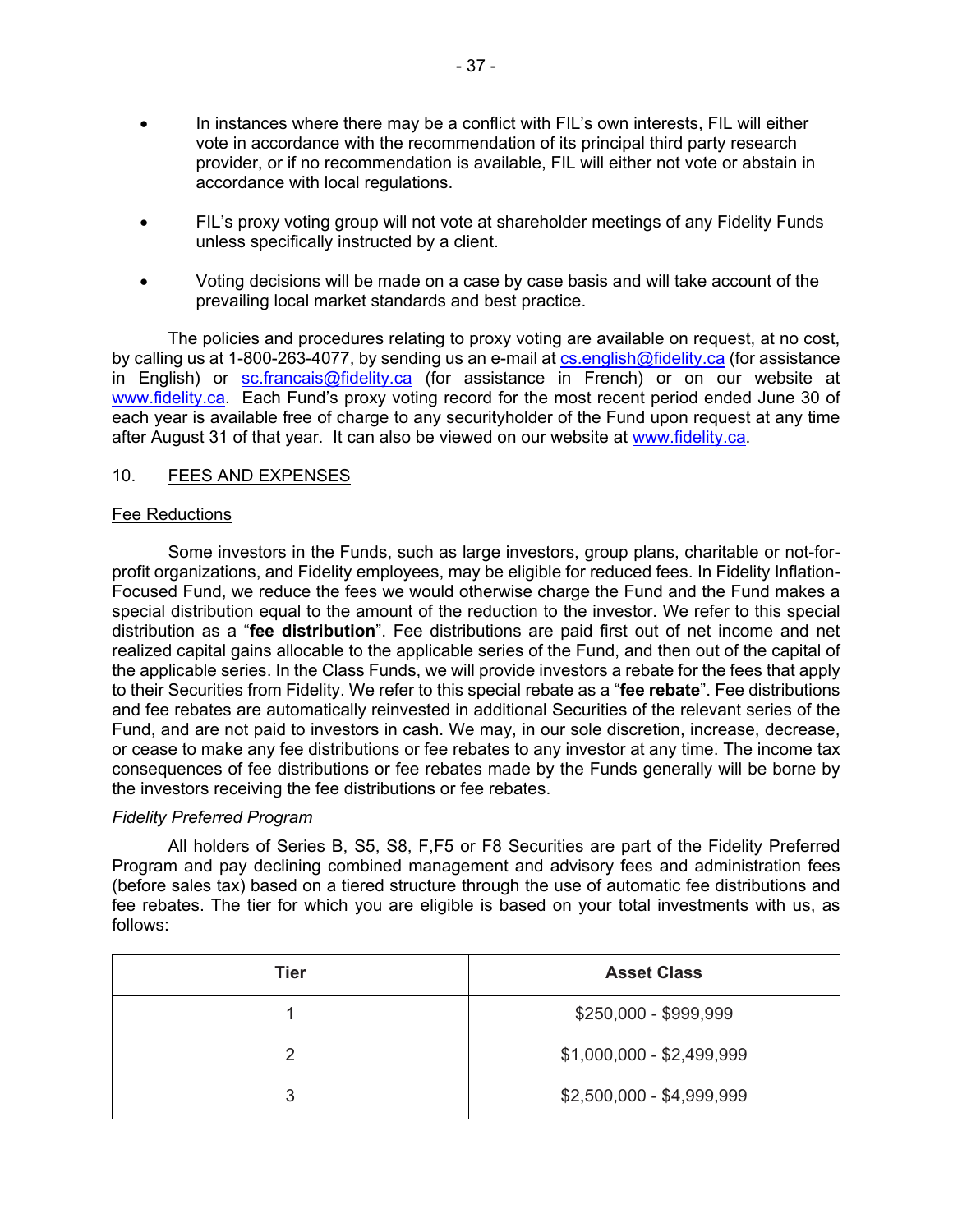- <span id="page-38-0"></span>• In instances where there may be a conflict with FIL's own interests, FIL will either vote in accordance with the recommendation of its principal third party research provider, or if no recommendation is available, FIL will either not vote or abstain in accordance with local regulations.
- FIL's proxy voting group will not vote at shareholder meetings of any Fidelity Funds unless specifically instructed by a client.
- Voting decisions will be made on a case by case basis and will take account of the prevailing local market standards and best practice.

by calling us at 1-800-263-4077, by sending us an e-mail at <u>cs.english@fidelity.ca</u> (for assistance each year is available free of charge to any securityholder of the Fund upon request at any time The policies and procedures relating to proxy voting are available on request, at no cost, in English) or [sc.francais@fidelity.ca](mailto:sc.francais@fidelity.ca) (for assistance in French) or on our website at [www.fidelity.ca.](http://www.fidelity.ca/) Each Fund's proxy voting record for the most recent period ended June 30 of after August 31 of that year. It can also be viewed on our website at [www.fidelity.ca.](http://www.fidelity.ca/)

# 10. FEES AND EXPENSES

## Fee Reductions

Some investors in the Funds, such as large investors, group plans, charitable or not-forprofit organizations, and Fidelity employees, may be eligible for reduced fees. In Fidelity Inflation-Focused Fund, we reduce the fees we would otherwise charge the Fund and the Fund makes a special distribution equal to the amount of the reduction to the investor. We refer to this special distribution as a "**fee distribution**". Fee distributions are paid first out of net income and net realized capital gains allocable to the applicable series of the Fund, and then out of the capital of the applicable series. In the Class Funds, we will provide investors a rebate for the fees that apply to their Securities from Fidelity. We refer to this special rebate as a "**fee rebate**". Fee distributions and fee rebates are automatically reinvested in additional Securities of the relevant series of the Fund, and are not paid to investors in cash. We may, in our sole discretion, increase, decrease, or cease to make any fee distributions or fee rebates to any investor at any time. The income tax consequences of fee distributions or fee rebates made by the Funds generally will be borne by the investors receiving the fee distributions or fee rebates.

# *Fidelity Preferred Program*

 All holders of Series B, S5, S8, F,F5 or F8 Securities are part of the Fidelity Preferred (before sales tax) based on a tiered structure through the use of automatic fee distributions and fee rebates. The tier for which you are eligible is based on your total investments with us, as Program and pay declining combined management and advisory fees and administration fees follows:

| Tier | <b>Asset Class</b>        |
|------|---------------------------|
|      | \$250,000 - \$999,999     |
| っ    | $$1,000,000 - $2,499,999$ |
| 3    | $$2,500,000 - $4,999,999$ |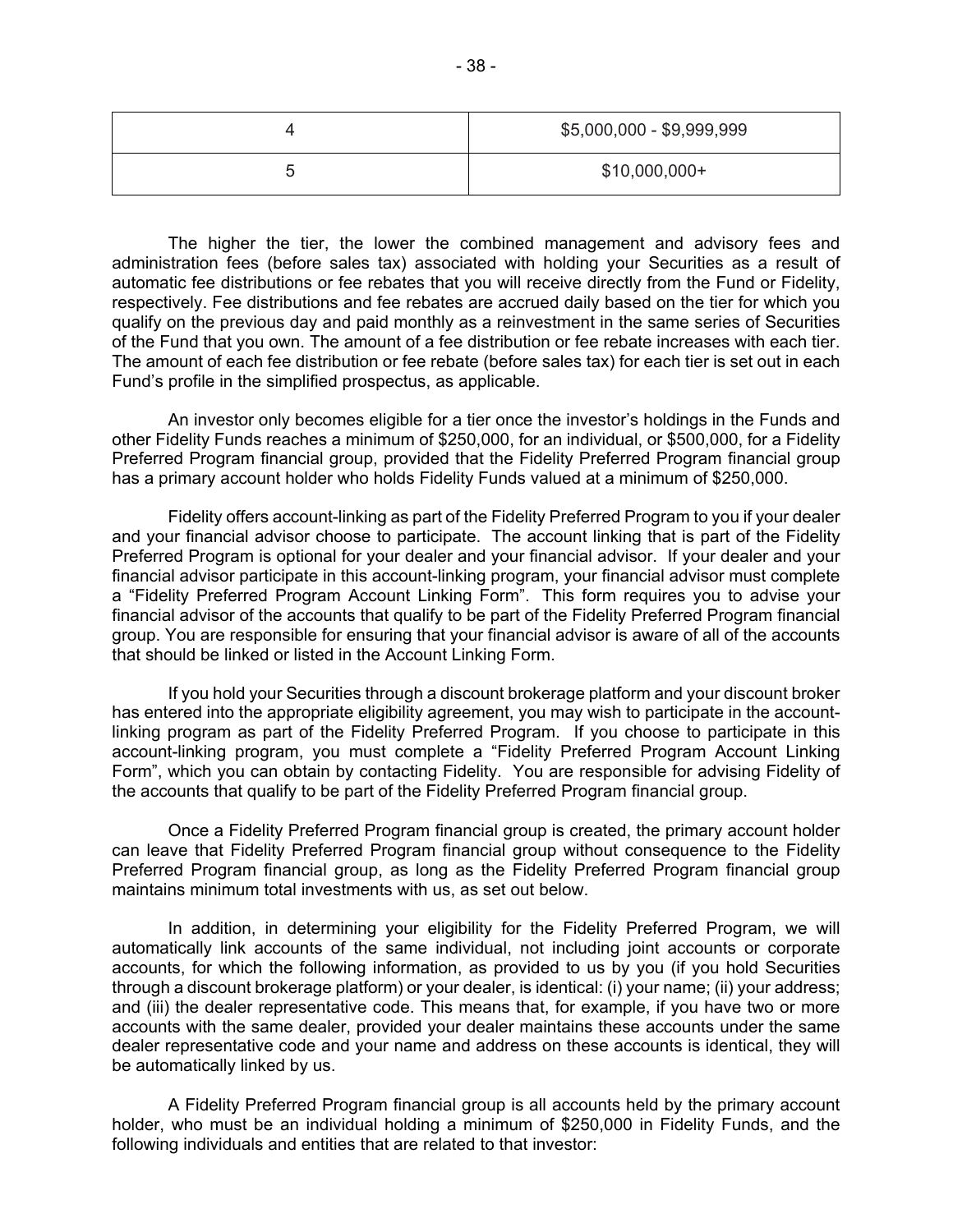|        | \$5,000,000 - \$9,999,999 |
|--------|---------------------------|
| ∽<br>J | $$10,000,000+$            |

 The higher the tier, the lower the combined management and advisory fees and administration fees (before sales tax) associated with holding your Securities as a result of automatic fee distributions or fee rebates that you will receive directly from the Fund or Fidelity, qualify on the previous day and paid monthly as a reinvestment in the same series of Securities Fund's profile in the simplified prospectus, as applicable. respectively. Fee distributions and fee rebates are accrued daily based on the tier for which you of the Fund that you own. The amount of a fee distribution or fee rebate increases with each tier. The amount of each fee distribution or fee rebate (before sales tax) for each tier is set out in each

 other Fidelity Funds reaches a minimum of \$250,000, for an individual, or \$500,000, for a Fidelity Preferred Program financial group, provided that the Fidelity Preferred Program financial group An investor only becomes eligible for a tier once the investor's holdings in the Funds and has a primary account holder who holds Fidelity Funds valued at a minimum of \$250,000.

 and your financial advisor choose to participate. The account linking that is part of the Fidelity a "Fidelity Preferred Program Account Linking Form". This form requires you to advise your Fidelity offers account-linking as part of the Fidelity Preferred Program to you if your dealer Preferred Program is optional for your dealer and your financial advisor. If your dealer and your financial advisor participate in this account-linking program, your financial advisor must complete financial advisor of the accounts that qualify to be part of the Fidelity Preferred Program financial group. You are responsible for ensuring that your financial advisor is aware of all of the accounts that should be linked or listed in the Account Linking Form.

 Form", which you can obtain by contacting Fidelity. You are responsible for advising Fidelity of the accounts that qualify to be part of the Fidelity Preferred Program financial group. If you hold your Securities through a discount brokerage platform and your discount broker has entered into the appropriate eligibility agreement, you may wish to participate in the accountlinking program as part of the Fidelity Preferred Program. If you choose to participate in this account-linking program, you must complete a "Fidelity Preferred Program Account Linking

the accounts that qualify to be part of the Fidelity Preferred Program financial group.<br>Once a Fidelity Preferred Program financial group is created, the primary account holder can leave that Fidelity Preferred Program financial group without consequence to the Fidelity Preferred Program financial group, as long as the Fidelity Preferred Program financial group maintains minimum total investments with us, as set out below.

 automatically link accounts of the same individual, not including joint accounts or corporate accounts, for which the following information, as provided to us by you (if you hold Securities and (iii) the dealer representative code. This means that, for example, if you have two or more accounts with the same dealer, provided your dealer maintains these accounts under the same In addition, in determining your eligibility for the Fidelity Preferred Program, we will through a discount brokerage platform) or your dealer, is identical: (i) your name; (ii) your address; dealer representative code and your name and address on these accounts is identical, they will be automatically linked by us.

 A Fidelity Preferred Program financial group is all accounts held by the primary account holder, who must be an individual holding a minimum of \$250,000 in Fidelity Funds, and the following individuals and entities that are related to that investor: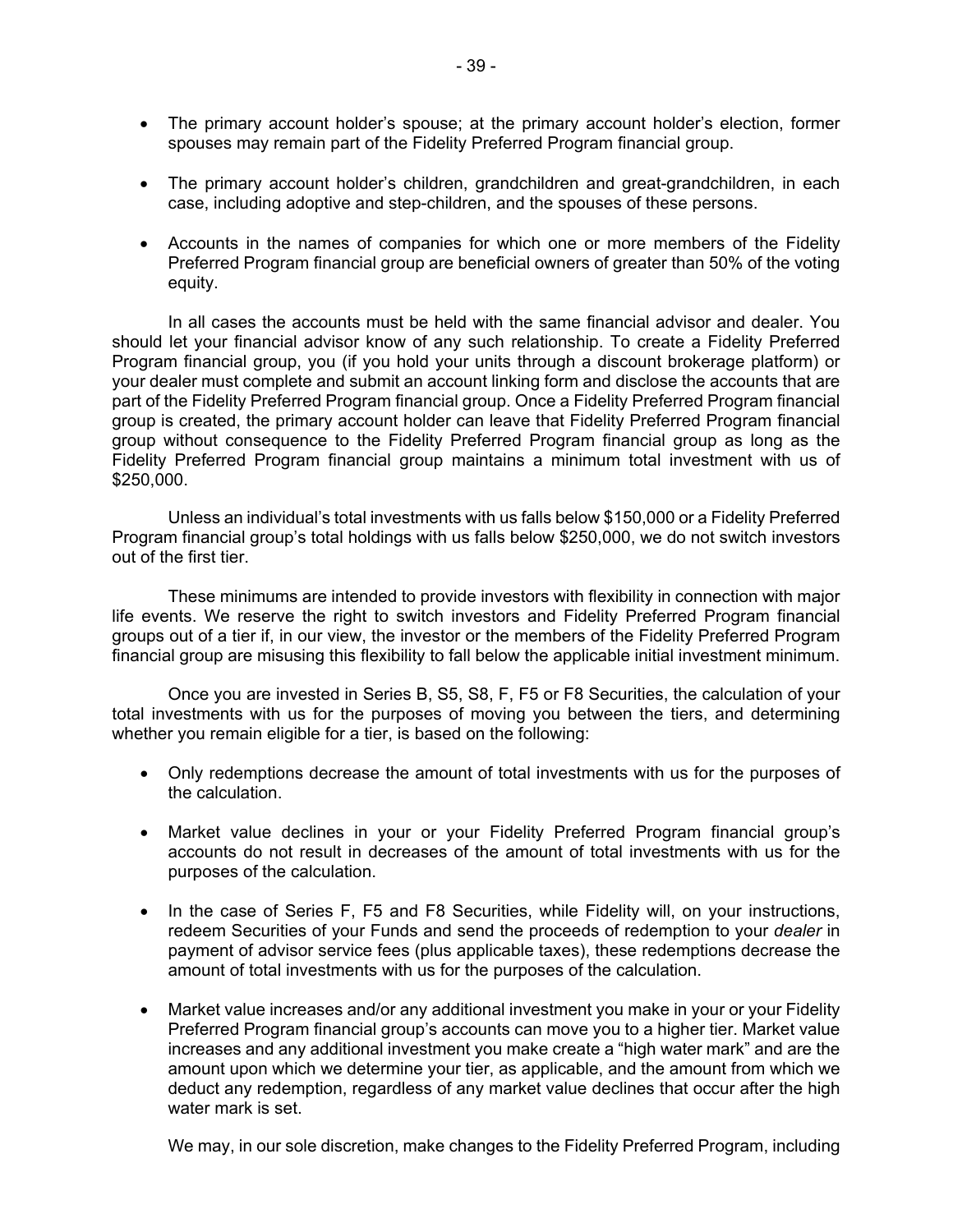- • The primary account holder's spouse; at the primary account holder's election, former spouses may remain part of the Fidelity Preferred Program financial group.
- The primary account holder's children, grandchildren and great-grandchildren, in each case, including adoptive and step-children, and the spouses of these persons.
- Preferred Program financial group are beneficial owners of greater than 50% of the voting • Accounts in the names of companies for which one or more members of the Fidelity equity.

 your dealer must complete and submit an account linking form and disclose the accounts that are group without consequence to the Fidelity Preferred Program financial group as long as the In all cases the accounts must be held with the same financial advisor and dealer. You should let your financial advisor know of any such relationship. To create a Fidelity Preferred Program financial group, you (if you hold your units through a discount brokerage platform) or part of the Fidelity Preferred Program financial group. Once a Fidelity Preferred Program financial group is created, the primary account holder can leave that Fidelity Preferred Program financial Fidelity Preferred Program financial group maintains a minimum total investment with us of \$250,000.

 Unless an individual's total investments with us falls below \$150,000 or a Fidelity Preferred Program financial group's total holdings with us falls below \$250,000, we do not switch investors out of the first tier.

These minimums are intended to provide investors with flexibility in connection with major life events. We reserve the right to switch investors and Fidelity Preferred Program financial groups out of a tier if, in our view, the investor or the members of the Fidelity Preferred Program financial group are misusing this flexibility to fall below the applicable initial investment minimum.

 Once you are invested in Series B, S5, S8, F, F5 or F8 Securities, the calculation of your total investments with us for the purposes of moving you between the tiers, and determining whether you remain eligible for a tier, is based on the following:

- Only redemptions decrease the amount of total investments with us for the purposes of the calculation.
- • Market value declines in your or your Fidelity Preferred Program financial group's accounts do not result in decreases of the amount of total investments with us for the purposes of the calculation.
- • In the case of Series F, F5 and F8 Securities, while Fidelity will, on your instructions, redeem Securities of your Funds and send the proceeds of redemption to your *dealer* in payment of advisor service fees (plus applicable taxes), these redemptions decrease the amount of total investments with us for the purposes of the calculation.
- Preferred Program financial group's accounts can move you to a higher tier. Market value increases and any additional investment you make create a "high water mark" and are the • Market value increases and/or any additional investment you make in your or your Fidelity amount upon which we determine your tier, as applicable, and the amount from which we deduct any redemption, regardless of any market value declines that occur after the high water mark is set.

We may, in our sole discretion, make changes to the Fidelity Preferred Program, including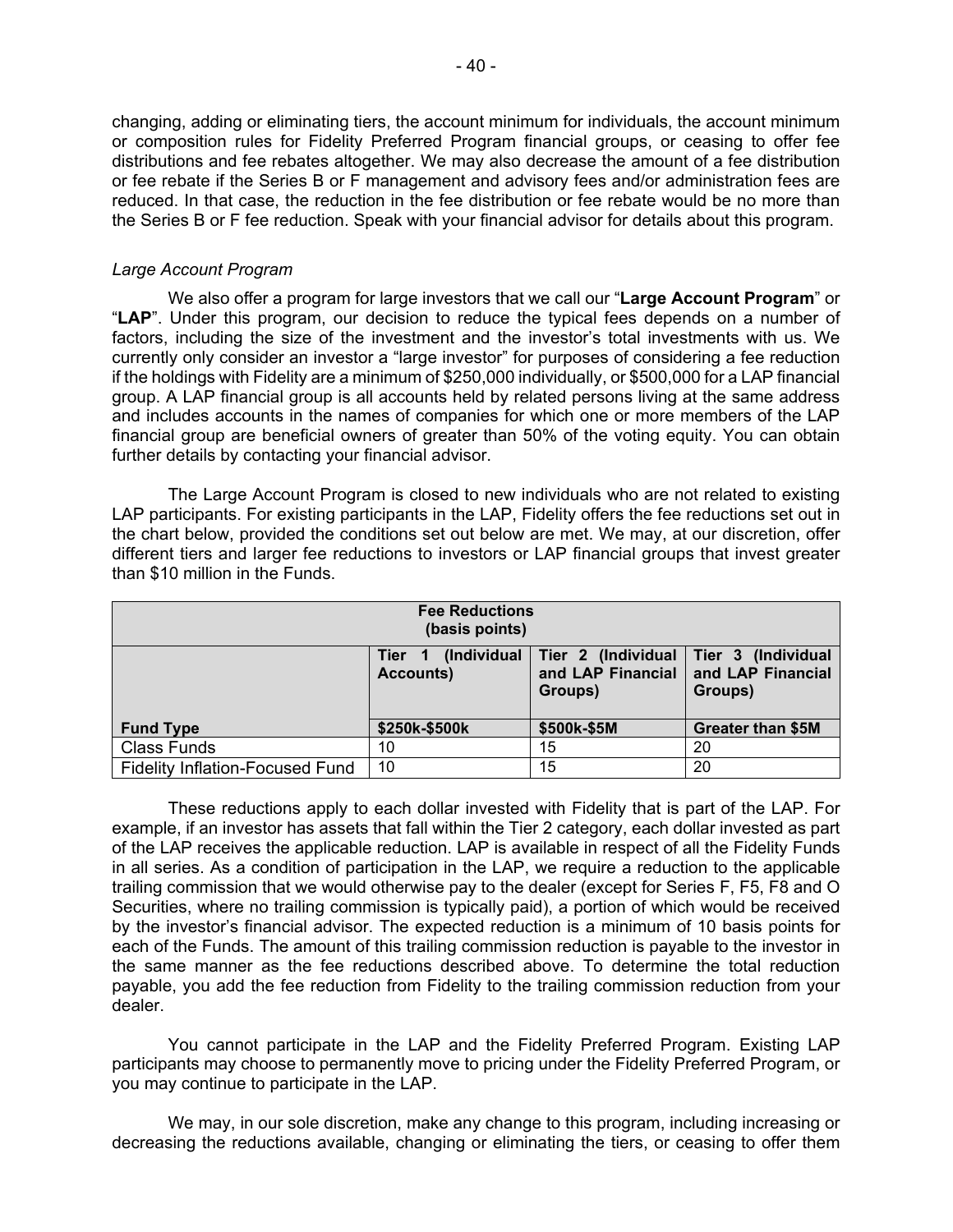changing, adding or eliminating tiers, the account minimum for individuals, the account minimum or composition rules for Fidelity Preferred Program financial groups, or ceasing to offer fee distributions and fee rebates altogether. We may also decrease the amount of a fee distribution or fee rebate if the Series B or F management and advisory fees and/or administration fees are reduced. In that case, the reduction in the fee distribution or fee rebate would be no more than the Series B or F fee reduction. Speak with your financial advisor for details about this program.

## *Large Account Program*

 group. A LAP financial group is all accounts held by related persons living at the same address We also offer a program for large investors that we call our "**Large Account Program**" or "**LAP**". Under this program, our decision to reduce the typical fees depends on a number of factors, including the size of the investment and the investor's total investments with us. We currently only consider an investor a "large investor" for purposes of considering a fee reduction if the holdings with Fidelity are a minimum of \$250,000 individually, or \$500,000 for a LAP financial and includes accounts in the names of companies for which one or more members of the LAP financial group are beneficial owners of greater than 50% of the voting equity. You can obtain further details by contacting your financial advisor.

 The Large Account Program is closed to new individuals who are not related to existing LAP participants. For existing participants in the LAP, Fidelity offers the fee reductions set out in the chart below, provided the conditions set out below are met. We may, at our discretion, offer different tiers and larger fee reductions to investors or LAP financial groups that invest greater than \$10 million in the Funds.

| <b>Fee Reductions</b><br>(basis points)                                                                                                      |               |             |                          |
|----------------------------------------------------------------------------------------------------------------------------------------------|---------------|-------------|--------------------------|
| (Individual<br>  Tier 2 (Individual   Tier 3 (Individual<br>Tier <sub>1</sub><br>and LAP Financial<br><b>Accounts)</b><br>Groups)<br>Groups) |               |             | and LAP Financial        |
| <b>Fund Type</b>                                                                                                                             | \$250k-\$500k | \$500k-\$5M | <b>Greater than \$5M</b> |
| <b>Class Funds</b>                                                                                                                           | 10            | 15          | 20                       |
| <b>Fidelity Inflation-Focused Fund</b>                                                                                                       | 10            | 15          | 20                       |

 example, if an investor has assets that fall within the Tier 2 category, each dollar invested as part Securities, where no trailing commission is typically paid), a portion of which would be received dealer. These reductions apply to each dollar invested with Fidelity that is part of the LAP. For of the LAP receives the applicable reduction. LAP is available in respect of all the Fidelity Funds in all series. As a condition of participation in the LAP, we require a reduction to the applicable trailing commission that we would otherwise pay to the dealer (except for Series F, F5, F8 and O by the investor's financial advisor. The expected reduction is a minimum of 10 basis points for each of the Funds. The amount of this trailing commission reduction is payable to the investor in the same manner as the fee reductions described above. To determine the total reduction payable, you add the fee reduction from Fidelity to the trailing commission reduction from your

You cannot participate in the LAP and the Fidelity Preferred Program. Existing LAP participants may choose to permanently move to pricing under the Fidelity Preferred Program, or you may continue to participate in the LAP.

We may, in our sole discretion, make any change to this program, including increasing or decreasing the reductions available, changing or eliminating the tiers, or ceasing to offer them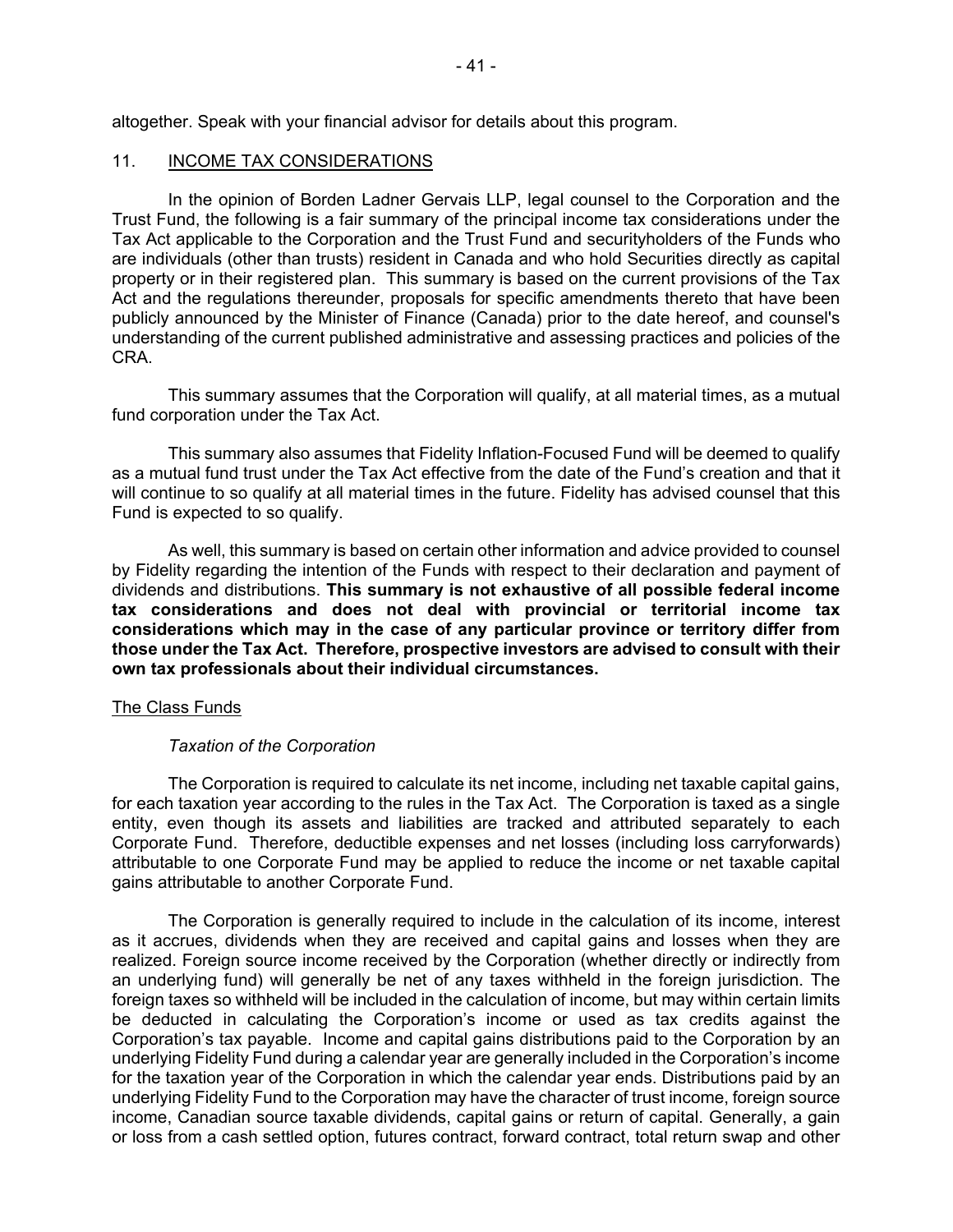<span id="page-42-0"></span>altogether. Speak with your financial advisor for details about this program.

## INCOME TAX CONSIDERATIONS

 are individuals (other than trusts) resident in Canada and who hold Securities directly as capital publicly announced by the Minister of Finance (Canada) prior to the date hereof, and counsel's 11. INCOME TAX CONSIDERATIONS<br>In the opinion of Borden Ladner Gervais LLP, legal counsel to the Corporation and the Trust Fund, the following is a fair summary of the principal income tax considerations under the Tax Act applicable to the Corporation and the Trust Fund and securityholders of the Funds who property or in their registered plan. This summary is based on the current provisions of the Tax Act and the regulations thereunder, proposals for specific amendments thereto that have been understanding of the current published administrative and assessing practices and policies of the CRA.

This summary assumes that the Corporation will qualify, at all material times, as a mutual fund corporation under the Tax Act.

This summary also assumes that Fidelity Inflation-Focused Fund will be deemed to qualify as a mutual fund trust under the Tax Act effective from the date of the Fund's creation and that it will continue to so qualify at all material times in the future. Fidelity has advised counsel that this Fund is expected to so qualify.

 by Fidelity regarding the intention of the Funds with respect to their declaration and payment of dividends and distributions. **This summary is not exhaustive of all possible federal income**  As well, this summary is based on certain other information and advice provided to counsel **tax considerations and does not deal with provincial or territorial income tax considerations which may in the case of any particular province or territory differ from those under the Tax Act. Therefore, prospective investors are advised to consult with their own tax professionals about their individual circumstances.** 

#### The Class Funds

#### *Taxation of the Corporation*

The Corporation is required to calculate its net income, including net taxable capital gains, for each taxation year according to the rules in the Tax Act. The Corporation is taxed as a single entity, even though its assets and liabilities are tracked and attributed separately to each Corporate Fund. Therefore, deductible expenses and net losses (including loss carryforwards) attributable to one Corporate Fund may be applied to reduce the income or net taxable capital gains attributable to another Corporate Fund.

 foreign taxes so withheld will be included in the calculation of income, but may within certain limits Corporation's tax payable. Income and capital gains distributions paid to the Corporation by an for the taxation year of the Corporation in which the calendar year ends. Distributions paid by an The Corporation is generally required to include in the calculation of its income, interest as it accrues, dividends when they are received and capital gains and losses when they are realized. Foreign source income received by the Corporation (whether directly or indirectly from an underlying fund) will generally be net of any taxes withheld in the foreign jurisdiction. The be deducted in calculating the Corporation's income or used as tax credits against the underlying Fidelity Fund during a calendar year are generally included in the Corporation's income underlying Fidelity Fund to the Corporation may have the character of trust income, foreign source income, Canadian source taxable dividends, capital gains or return of capital. Generally, a gain or loss from a cash settled option, futures contract, forward contract, total return swap and other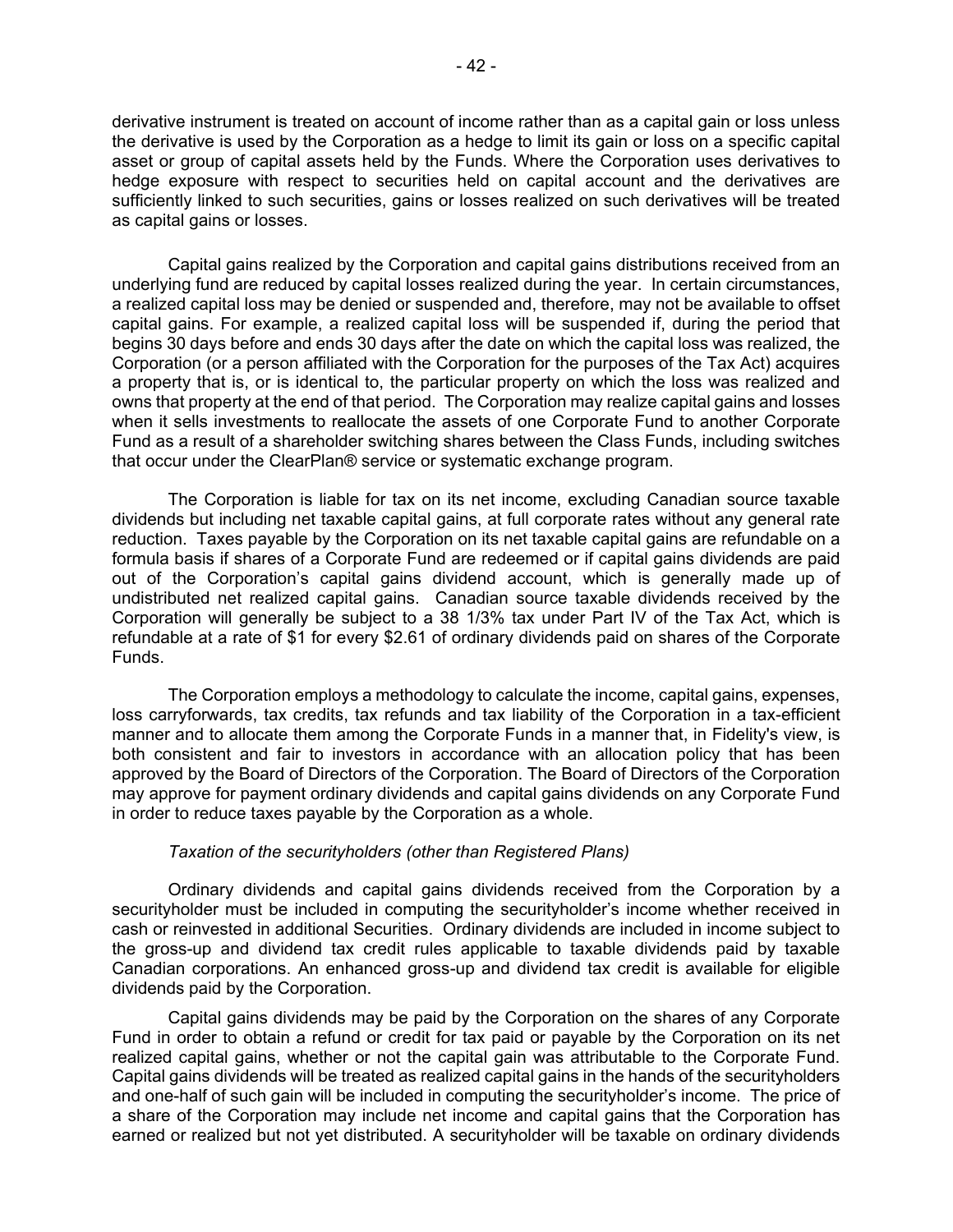derivative instrument is treated on account of income rather than as a capital gain or loss unless the derivative is used by the Corporation as a hedge to limit its gain or loss on a specific capital asset or group of capital assets held by the Funds. Where the Corporation uses derivatives to hedge exposure with respect to securities held on capital account and the derivatives are sufficiently linked to such securities, gains or losses realized on such derivatives will be treated as capital gains or losses.

 a realized capital loss may be denied or suspended and, therefore, may not be available to offset capital gains. For example, a realized capital loss will be suspended if, during the period that begins 30 days before and ends 30 days after the date on which the capital loss was realized, the a property that is, or is identical to, the particular property on which the loss was realized and owns that property at the end of that period. The Corporation may realize capital gains and losses Capital gains realized by the Corporation and capital gains distributions received from an underlying fund are reduced by capital losses realized during the year. In certain circumstances, Corporation (or a person affiliated with the Corporation for the purposes of the Tax Act) acquires when it sells investments to reallocate the assets of one Corporate Fund to another Corporate Fund as a result of a shareholder switching shares between the Class Funds, including switches that occur under the ClearPlan® service or systematic exchange program.

 undistributed net realized capital gains. Canadian source taxable dividends received by the refundable at a rate of \$1 for every \$2.61 of ordinary dividends paid on shares of the Corporate The Corporation is liable for tax on its net income, excluding Canadian source taxable dividends but including net taxable capital gains, at full corporate rates without any general rate reduction. Taxes payable by the Corporation on its net taxable capital gains are refundable on a formula basis if shares of a Corporate Fund are redeemed or if capital gains dividends are paid out of the Corporation's capital gains dividend account, which is generally made up of Corporation will generally be subject to a 38 1/3% tax under Part IV of the Tax Act, which is Funds.

 loss carryforwards, tax credits, tax refunds and tax liability of the Corporation in a tax-efficient manner and to allocate them among the Corporate Funds in a manner that, in Fidelity's view, is The Corporation employs a methodology to calculate the income, capital gains, expenses, both consistent and fair to investors in accordance with an allocation policy that has been approved by the Board of Directors of the Corporation. The Board of Directors of the Corporation may approve for payment ordinary dividends and capital gains dividends on any Corporate Fund in order to reduce taxes payable by the Corporation as a whole.

## *Taxation of the securityholders (other than Registered Plans)*

 the gross-up and dividend tax credit rules applicable to taxable dividends paid by taxable Ordinary dividends and capital gains dividends received from the Corporation by a securityholder must be included in computing the securityholder's income whether received in cash or reinvested in additional Securities. Ordinary dividends are included in income subject to Canadian corporations. An enhanced gross-up and dividend tax credit is available for eligible dividends paid by the Corporation.

 realized capital gains, whether or not the capital gain was attributable to the Corporate Fund. earned or realized but not yet distributed. A securityholder will be taxable on ordinary dividends Capital gains dividends may be paid by the Corporation on the shares of any Corporate Fund in order to obtain a refund or credit for tax paid or payable by the Corporation on its net Capital gains dividends will be treated as realized capital gains in the hands of the securityholders and one-half of such gain will be included in computing the securityholder's income. The price of a share of the Corporation may include net income and capital gains that the Corporation has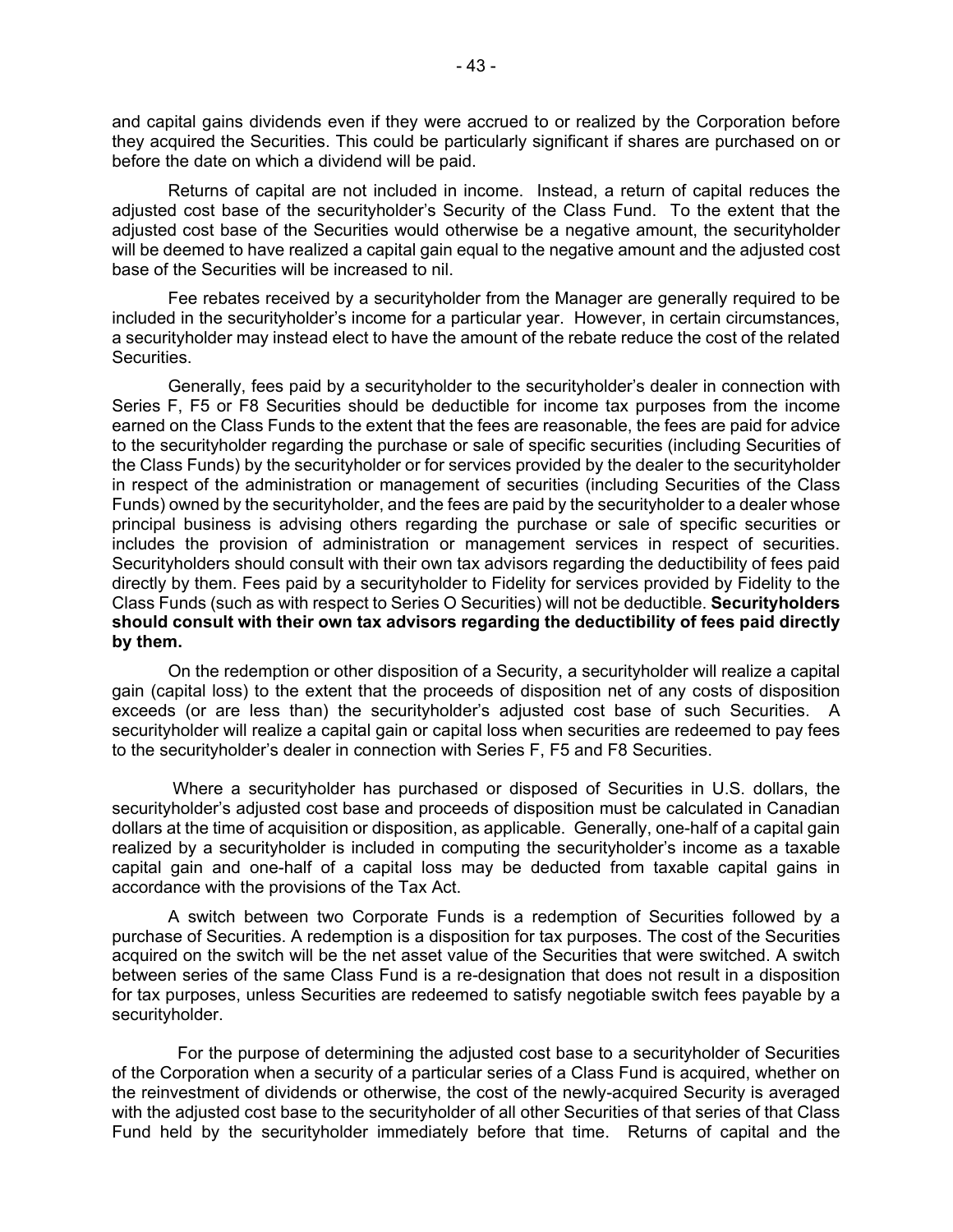they acquired the Securities. This could be particularly significant if shares are purchased on or and capital gains dividends even if they were accrued to or realized by the Corporation before before the date on which a dividend will be paid.

Returns of capital are not included in income. Instead, a return of capital reduces the adjusted cost base of the securityholder's Security of the Class Fund. To the extent that the adjusted cost base of the Securities would otherwise be a negative amount, the securityholder will be deemed to have realized a capital gain equal to the negative amount and the adjusted cost base of the Securities will be increased to nil.

Fee rebates received by a securityholder from the Manager are generally required to be included in the securityholder's income for a particular year. However, in certain circumstances, a securityholder may instead elect to have the amount of the rebate reduce the cost of the related Securities.

 Generally, fees paid by a securityholder to the securityholder's dealer in connection with Series F, F5 or F8 Securities should be deductible for income tax purposes from the income includes the provision of administration or management services in respect of securities. Class Funds (such as with respect to Series O Securities) will not be deductible. **Securityholders should consult with their own tax advisors regarding the deductibility of fees paid directly**  earned on the Class Funds to the extent that the fees are reasonable, the fees are paid for advice to the securityholder regarding the purchase or sale of specific securities (including Securities of the Class Funds) by the securityholder or for services provided by the dealer to the securityholder in respect of the administration or management of securities (including Securities of the Class Funds) owned by the securityholder, and the fees are paid by the securityholder to a dealer whose principal business is advising others regarding the purchase or sale of specific securities or Securityholders should consult with their own tax advisors regarding the deductibility of fees paid directly by them. Fees paid by a securityholder to Fidelity for services provided by Fidelity to the **by them.** 

 gain (capital loss) to the extent that the proceeds of disposition net of any costs of disposition to the securityholder's dealer in connection with Series F, F5 and F8 Securities. On the redemption or other disposition of a Security, a securityholder will realize a capital exceeds (or are less than) the securityholder's adjusted cost base of such Securities. A securityholder will realize a capital gain or capital loss when securities are redeemed to pay fees

 Where a securityholder has purchased or disposed of Securities in U.S. dollars, the dollars at the time of acquisition or disposition, as applicable. Generally, one-half of a capital gain realized by a securityholder is included in computing the securityholder's income as a taxable capital gain and one-half of a capital loss may be deducted from taxable capital gains in securityholder's adjusted cost base and proceeds of disposition must be calculated in Canadian accordance with the provisions of the Tax Act.

 acquired on the switch will be the net asset value of the Securities that were switched. A switch between series of the same Class Fund is a re-designation that does not result in a disposition for tax purposes, unless Securities are redeemed to satisfy negotiable switch fees payable by a A switch between two Corporate Funds is a redemption of Securities followed by a purchase of Securities. A redemption is a disposition for tax purposes. The cost of the Securities securityholder.

 with the adjusted cost base to the securityholder of all other Securities of that series of that Class For the purpose of determining the adjusted cost base to a securityholder of Securities of the Corporation when a security of a particular series of a Class Fund is acquired, whether on the reinvestment of dividends or otherwise, the cost of the newly-acquired Security is averaged Fund held by the securityholder immediately before that time. Returns of capital and the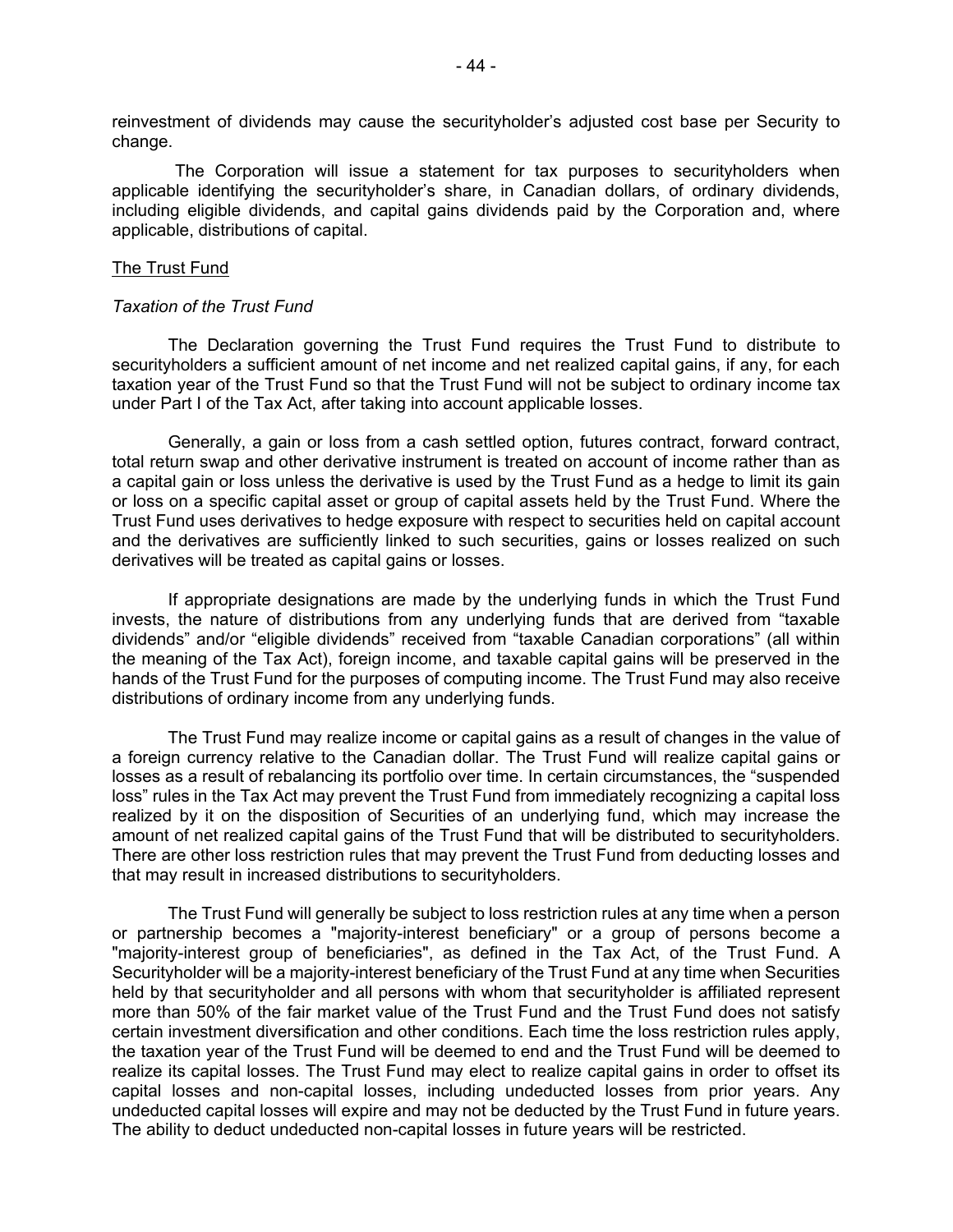reinvestment of dividends may cause the securityholder's adjusted cost base per Security to change.

 including eligible dividends, and capital gains dividends paid by the Corporation and, where The Corporation will issue a statement for tax purposes to securityholders when applicable identifying the securityholder's share, in Canadian dollars, of ordinary dividends, applicable, distributions of capital.

#### The Trust Fund

#### *Taxation of the Trust Fund*

 taxation year of the Trust Fund so that the Trust Fund will not be subject to ordinary income tax The Declaration governing the Trust Fund requires the Trust Fund to distribute to securityholders a sufficient amount of net income and net realized capital gains, if any, for each under Part I of the Tax Act, after taking into account applicable losses.

 total return swap and other derivative instrument is treated on account of income rather than as a capital gain or loss unless the derivative is used by the Trust Fund as a hedge to limit its gain or loss on a specific capital asset or group of capital assets held by the Trust Fund. Where the Generally, a gain or loss from a cash settled option, futures contract, forward contract, Trust Fund uses derivatives to hedge exposure with respect to securities held on capital account and the derivatives are sufficiently linked to such securities, gains or losses realized on such derivatives will be treated as capital gains or losses.

 invests, the nature of distributions from any underlying funds that are derived from "taxable dividends" and/or "eligible dividends" received from "taxable Canadian corporations" (all within hands of the Trust Fund for the purposes of computing income. The Trust Fund may also receive If appropriate designations are made by the underlying funds in which the Trust Fund the meaning of the Tax Act), foreign income, and taxable capital gains will be preserved in the distributions of ordinary income from any underlying funds.

 a foreign currency relative to the Canadian dollar. The Trust Fund will realize capital gains or loss" rules in the Tax Act may prevent the Trust Fund from immediately recognizing a capital loss amount of net realized capital gains of the Trust Fund that will be distributed to securityholders. There are other loss restriction rules that may prevent the Trust Fund from deducting losses and The Trust Fund may realize income or capital gains as a result of changes in the value of losses as a result of rebalancing its portfolio over time. In certain circumstances, the "suspended realized by it on the disposition of Securities of an underlying fund, which may increase the that may result in increased distributions to securityholders.

 The Trust Fund will generally be subject to loss restriction rules at any time when a person undeducted capital losses will expire and may not be deducted by the Trust Fund in future years. or partnership becomes a "majority-interest beneficiary" or a group of persons become a "majority-interest group of beneficiaries", as defined in the Tax Act, of the Trust Fund. A Securityholder will be a majority-interest beneficiary of the Trust Fund at any time when Securities held by that securityholder and all persons with whom that securityholder is affiliated represent more than 50% of the fair market value of the Trust Fund and the Trust Fund does not satisfy certain investment diversification and other conditions. Each time the loss restriction rules apply, the taxation year of the Trust Fund will be deemed to end and the Trust Fund will be deemed to realize its capital losses. The Trust Fund may elect to realize capital gains in order to offset its capital losses and non-capital losses, including undeducted losses from prior years. Any The ability to deduct undeducted non-capital losses in future years will be restricted.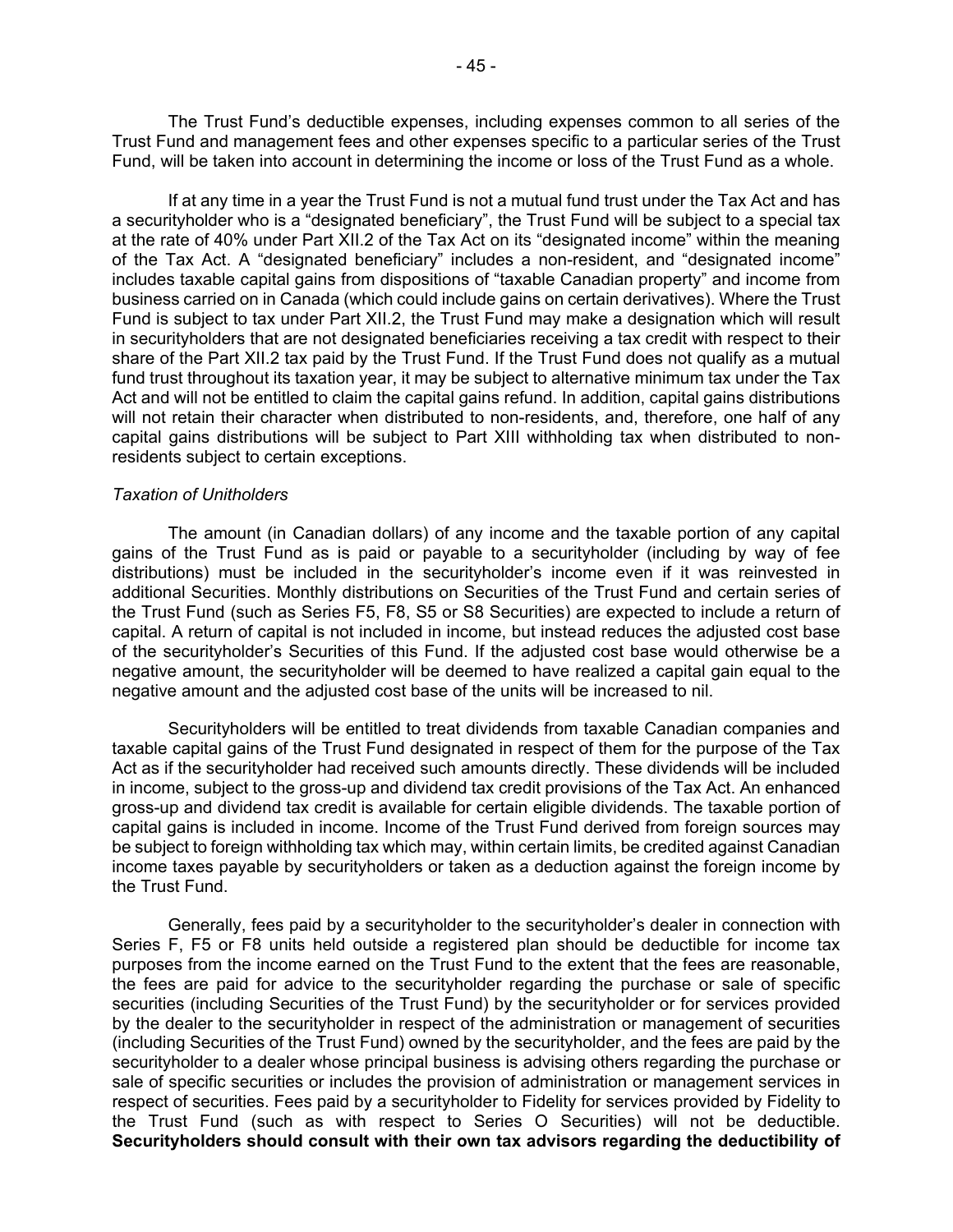The Trust Fund's deductible expenses, including expenses common to all series of the Trust Fund and management fees and other expenses specific to a particular series of the Trust Fund, will be taken into account in determining the income or loss of the Trust Fund as a whole.

If at any time in a year the Trust Fund is not a mutual fund trust under the Tax Act and has a securityholder who is a "designated beneficiary", the Trust Fund will be subject to a special tax at the rate of 40% under Part XII.2 of the Tax Act on its "designated income" within the meaning of the Tax Act. A "designated beneficiary" includes a non-resident, and "designated income" includes taxable capital gains from dispositions of "taxable Canadian property" and income from business carried on in Canada (which could include gains on certain derivatives). Where the Trust Fund is subject to tax under Part XII.2, the Trust Fund may make a designation which will result in securityholders that are not designated beneficiaries receiving a tax credit with respect to their share of the Part XII.2 tax paid by the Trust Fund. If the Trust Fund does not qualify as a mutual fund trust throughout its taxation year, it may be subject to alternative minimum tax under the Tax Act and will not be entitled to claim the capital gains refund. In addition, capital gains distributions will not retain their character when distributed to non-residents, and, therefore, one half of any capital gains distributions will be subject to Part XIII withholding tax when distributed to nonresidents subject to certain exceptions.

#### *Taxation of Unitholders*

 The amount (in Canadian dollars) of any income and the taxable portion of any capital distributions) must be included in the securityholder's income even if it was reinvested in additional Securities. Monthly distributions on Securities of the Trust Fund and certain series of the Trust Fund (such as Series F5, F8, S5 or S8 Securities) are expected to include a return of of the securityholder's Securities of this Fund. If the adjusted cost base would otherwise be a gains of the Trust Fund as is paid or payable to a securityholder (including by way of fee capital. A return of capital is not included in income, but instead reduces the adjusted cost base negative amount, the securityholder will be deemed to have realized a capital gain equal to the negative amount and the adjusted cost base of the units will be increased to nil.

 Securityholders will be entitled to treat dividends from taxable Canadian companies and Act as if the securityholder had received such amounts directly. These dividends will be included gross-up and dividend tax credit is available for certain eligible dividends. The taxable portion of taxable capital gains of the Trust Fund designated in respect of them for the purpose of the Tax in income, subject to the gross-up and dividend tax credit provisions of the Tax Act. An enhanced capital gains is included in income. Income of the Trust Fund derived from foreign sources may be subject to foreign withholding tax which may, within certain limits, be credited against Canadian income taxes payable by securityholders or taken as a deduction against the foreign income by the Trust Fund.

 Generally, fees paid by a securityholder to the securityholder's dealer in connection with Series F, F5 or F8 units held outside a registered plan should be deductible for income tax the fees are paid for advice to the securityholder regarding the purchase or sale of specific securities (including Securities of the Trust Fund) by the securityholder or for services provided purposes from the income earned on the Trust Fund to the extent that the fees are reasonable, by the dealer to the securityholder in respect of the administration or management of securities (including Securities of the Trust Fund) owned by the securityholder, and the fees are paid by the securityholder to a dealer whose principal business is advising others regarding the purchase or sale of specific securities or includes the provision of administration or management services in respect of securities. Fees paid by a securityholder to Fidelity for services provided by Fidelity to the Trust Fund (such as with respect to Series O Securities) will not be deductible. **Securityholders should consult with their own tax advisors regarding the deductibility of**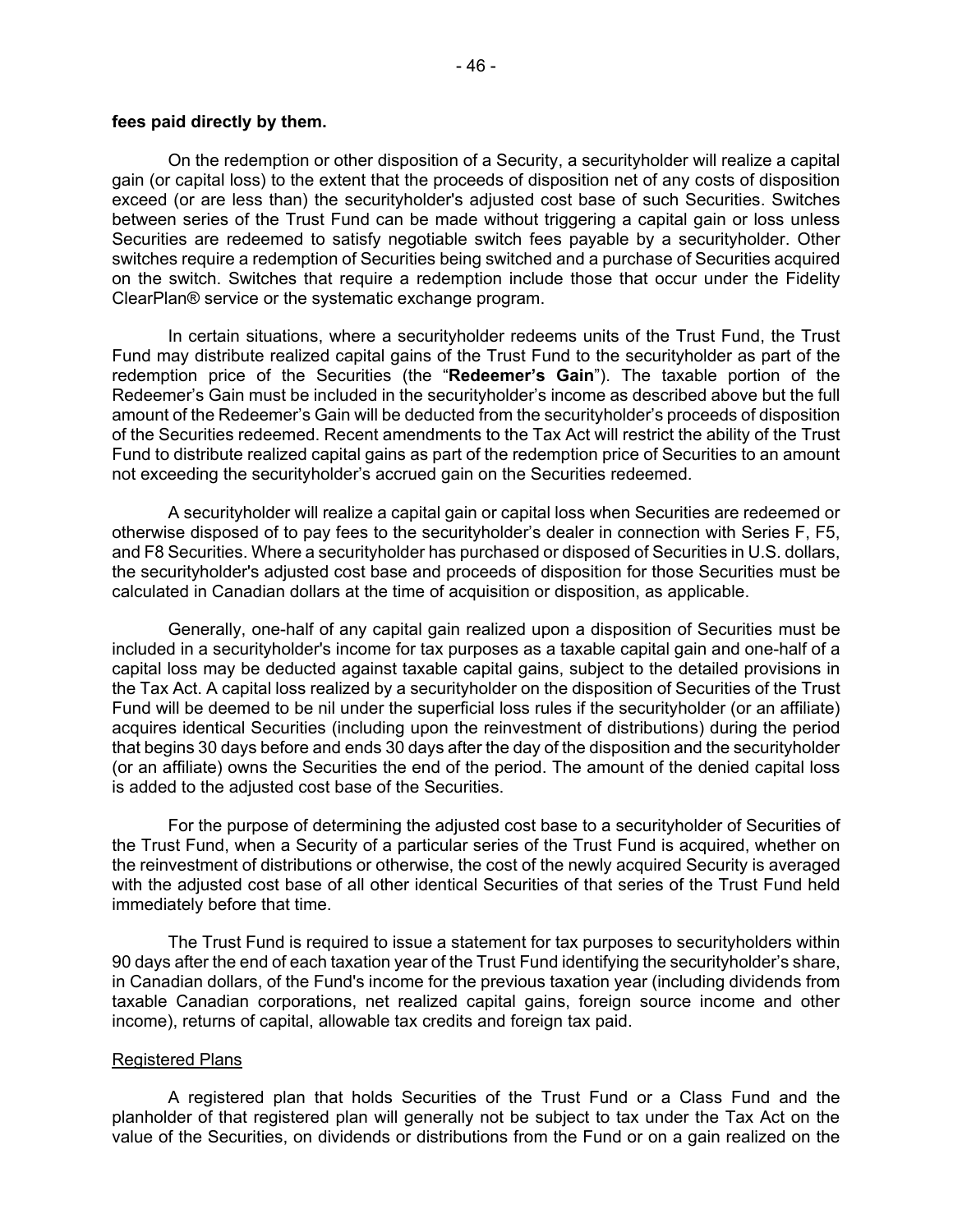#### **fees paid directly by them.**

 on the switch. Switches that require a redemption include those that occur under the Fidelity On the redemption or other disposition of a Security, a securityholder will realize a capital gain (or capital loss) to the extent that the proceeds of disposition net of any costs of disposition exceed (or are less than) the securityholder's adjusted cost base of such Securities. Switches between series of the Trust Fund can be made without triggering a capital gain or loss unless Securities are redeemed to satisfy negotiable switch fees payable by a securityholder. Other switches require a redemption of Securities being switched and a purchase of Securities acquired ClearPlan® service or the systematic exchange program.

 Fund may distribute realized capital gains of the Trust Fund to the securityholder as part of the redemption price of the Securities (the "**Redeemer's Gain**"). The taxable portion of the Redeemer's Gain must be included in the securityholder's income as described above but the full of the Securities redeemed. Recent amendments to the Tax Act will restrict the ability of the Trust not exceeding the securityholder's accrued gain on the Securities redeemed. In certain situations, where a securityholder redeems units of the Trust Fund, the Trust amount of the Redeemer's Gain will be deducted from the securityholder's proceeds of disposition Fund to distribute realized capital gains as part of the redemption price of Securities to an amount

 A securityholder will realize a capital gain or capital loss when Securities are redeemed or otherwise disposed of to pay fees to the securityholder's dealer in connection with Series F, F5, and F8 Securities. Where a securityholder has purchased or disposed of Securities in U.S. dollars, the securityholder's adjusted cost base and proceeds of disposition for those Securities must be calculated in Canadian dollars at the time of acquisition or disposition, as applicable.

 the Tax Act. A capital loss realized by a securityholder on the disposition of Securities of the Trust acquires identical Securities (including upon the reinvestment of distributions) during the period (or an affiliate) owns the Securities the end of the period. The amount of the denied capital loss Generally, one-half of any capital gain realized upon a disposition of Securities must be included in a securityholder's income for tax purposes as a taxable capital gain and one-half of a capital loss may be deducted against taxable capital gains, subject to the detailed provisions in Fund will be deemed to be nil under the superficial loss rules if the securityholder (or an affiliate) that begins 30 days before and ends 30 days after the day of the disposition and the securityholder is added to the adjusted cost base of the Securities.

 For the purpose of determining the adjusted cost base to a securityholder of Securities of the Trust Fund, when a Security of a particular series of the Trust Fund is acquired, whether on the reinvestment of distributions or otherwise, the cost of the newly acquired Security is averaged with the adjusted cost base of all other identical Securities of that series of the Trust Fund held immediately before that time.

 The Trust Fund is required to issue a statement for tax purposes to securityholders within 90 days after the end of each taxation year of the Trust Fund identifying the securityholder's share, in Canadian dollars, of the Fund's income for the previous taxation year (including dividends from taxable Canadian corporations, net realized capital gains, foreign source income and other income), returns of capital, allowable tax credits and foreign tax paid.

#### Registered Plans

A registered plan that holds Securities of the Trust Fund or a Class Fund and the planholder of that registered plan will generally not be subject to tax under the Tax Act on the value of the Securities, on dividends or distributions from the Fund or on a gain realized on the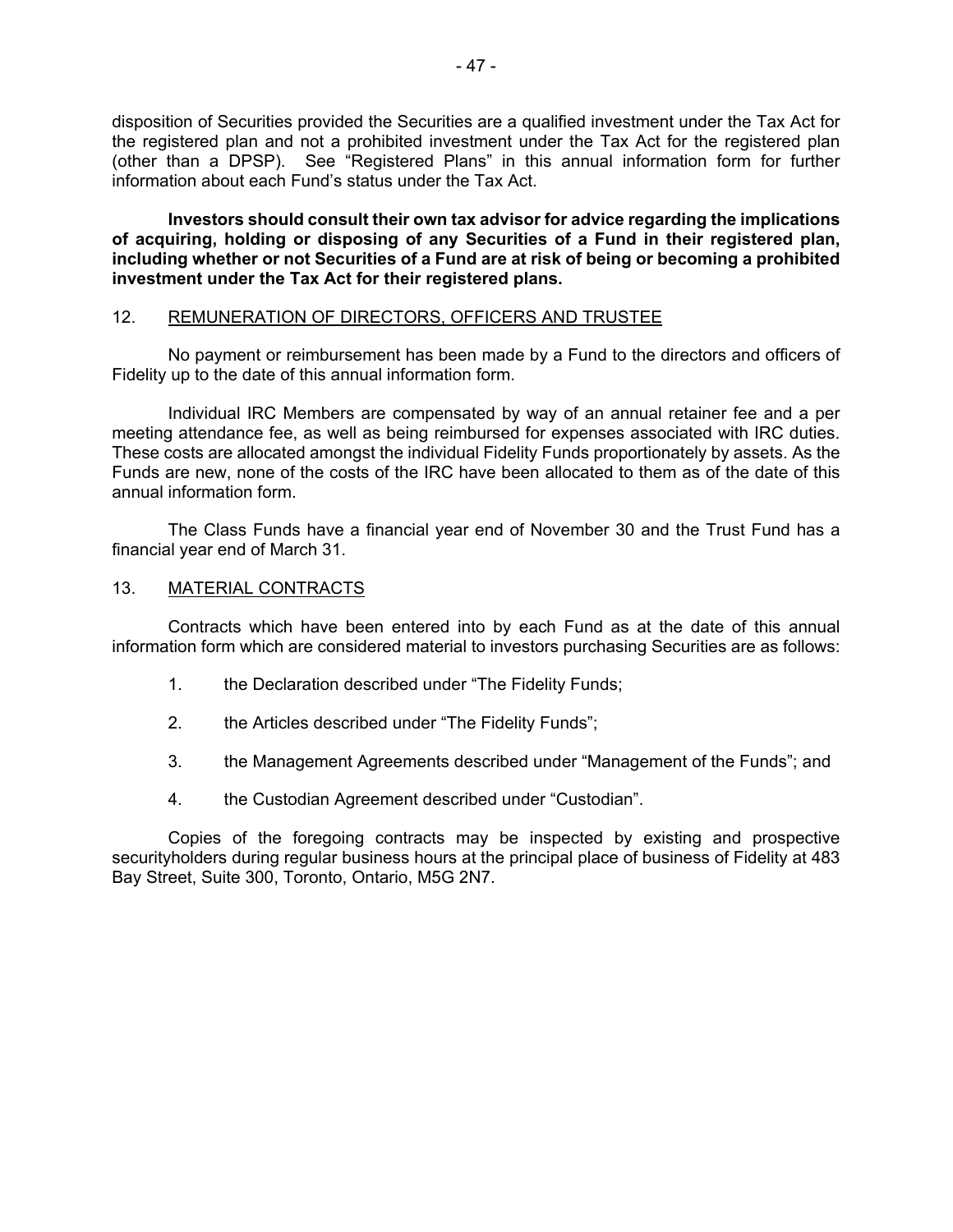<span id="page-48-0"></span> disposition of Securities provided the Securities are a qualified investment under the Tax Act for (other than a DPSP). See "Registered Plans" in this annual information form for further the registered plan and not a prohibited investment under the Tax Act for the registered plan information about each Fund's status under the Tax Act.

 **including whether or not Securities of a Fund are at risk of being or becoming a prohibited Investors should consult their own tax advisor for advice regarding the implications of acquiring, holding or disposing of any Securities of a Fund in their registered plan, investment under the Tax Act for their registered plans.** 

## 12. REMUNERATION OF DIRECTORS, OFFICERS AND TRUSTEE

No payment or reimbursement has been made by a Fund to the directors and officers of Fidelity up to the date of this annual information form.

 Individual IRC Members are compensated by way of an annual retainer fee and a per meeting attendance fee, as well as being reimbursed for expenses associated with IRC duties. meeting attendance fee, as well as being reimbursed for expenses associated with IRC duties.<br>These costs are allocated amongst the individual Fidelity Funds proportionately by assets. As the Funds are new, none of the costs of the IRC have been allocated to them as of the date of this annual information form.

 The Class Funds have a financial year end of November 30 and the Trust Fund has a financial year end of March 31.

## 13. MATERIAL CONTRACTS

 Contracts which have been entered into by each Fund as at the date of this annual information form which are considered material to investors purchasing Securities are as follows:

- 1. the Declaration described under "The Fidelity Funds;
- 2. the Articles described under "The Fidelity Funds";
- 3. the Management Agreements described under "Management of the Funds"; and
- the Custodian Agreement described under "Custodian".

4. the Custodian Agreement described under "Custodian". Copies of the foregoing contracts may be inspected by existing and prospective securityholders during regular business hours at the principal place of business of Fidelity at 483 Bay Street, Suite 300, Toronto, Ontario, M5G 2N7.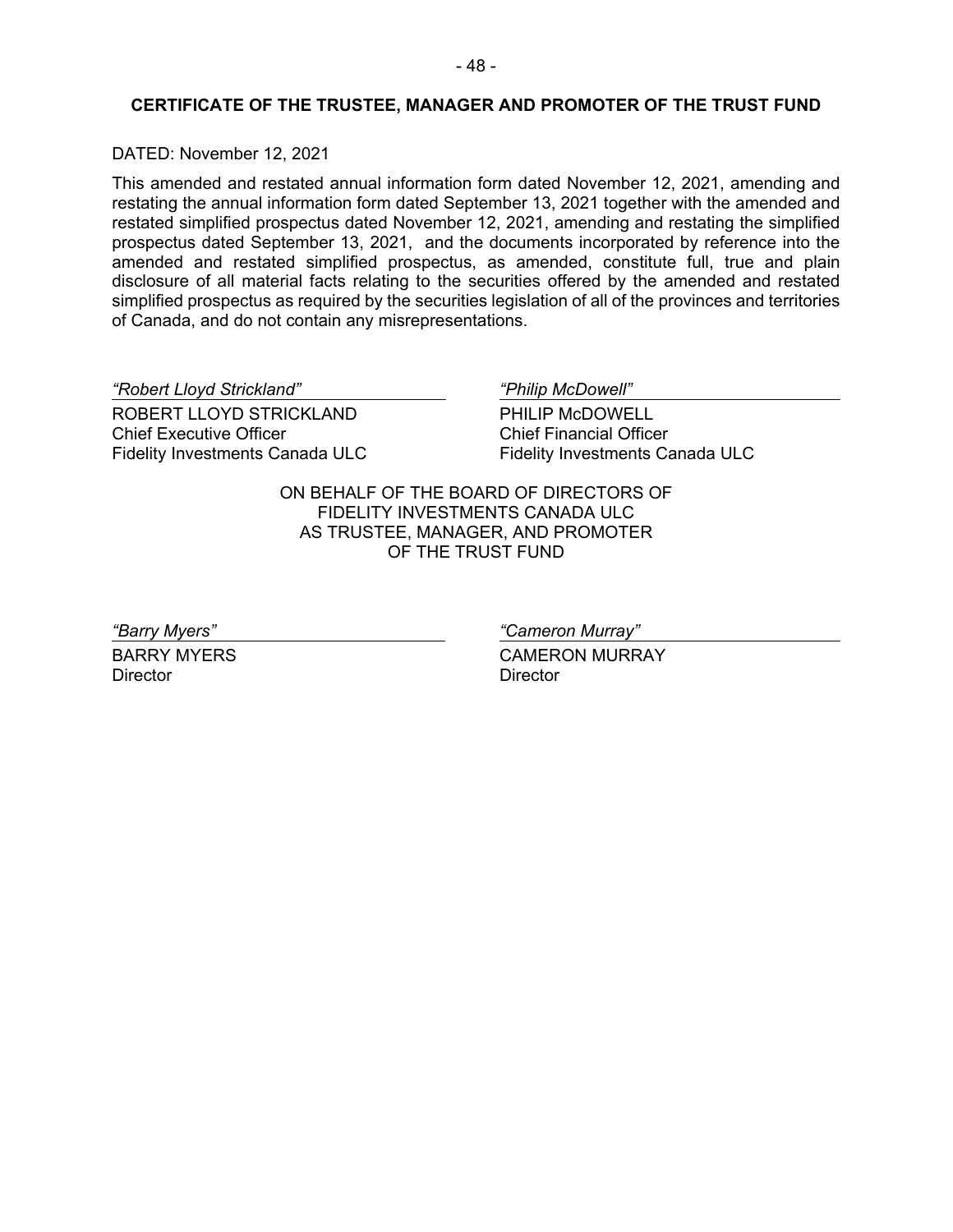# <span id="page-49-0"></span> **CERTIFICATE OF THE TRUSTEE, MANAGER AND PROMOTER OF THE TRUST FUND**

## DATED: November 12, 2021

 This amended and restated annual information form dated November 12, 2021, amending and prospectus dated September 13, 2021, and the documents incorporated by reference into the amended and restated simplified prospectus, as amended, constitute full, true and plain disclosure of all material facts relating to the securities offered by the amended and restated restating the annual information form dated September 13, 2021 together with the amended and restated simplified prospectus dated November 12, 2021, amending and restating the simplified simplified prospectus as required by the securities legislation of all of the provinces and territories of Canada, and do not contain any misrepresentations.

*"Robert Lloyd Strickland" "Philip McDowell"*  ROBERT LLOYD STRICKLAND Chief Executive Officer Fidelity Investments Canada ULC

PHILIP McDOWELL Chief Financial Officer Fidelity Investments Canada ULC

ON BEHALF OF THE BOARD OF DIRECTORS OF FIDELITY INVESTMENTS CANADA ULC AS TRUSTEE, MANAGER, AND PROMOTER OF THE TRUST FUND

BARRY MYERS **Director** 

*"Barry Myers" "Cameron Murray"* 

CAMERON MURRAY **Director**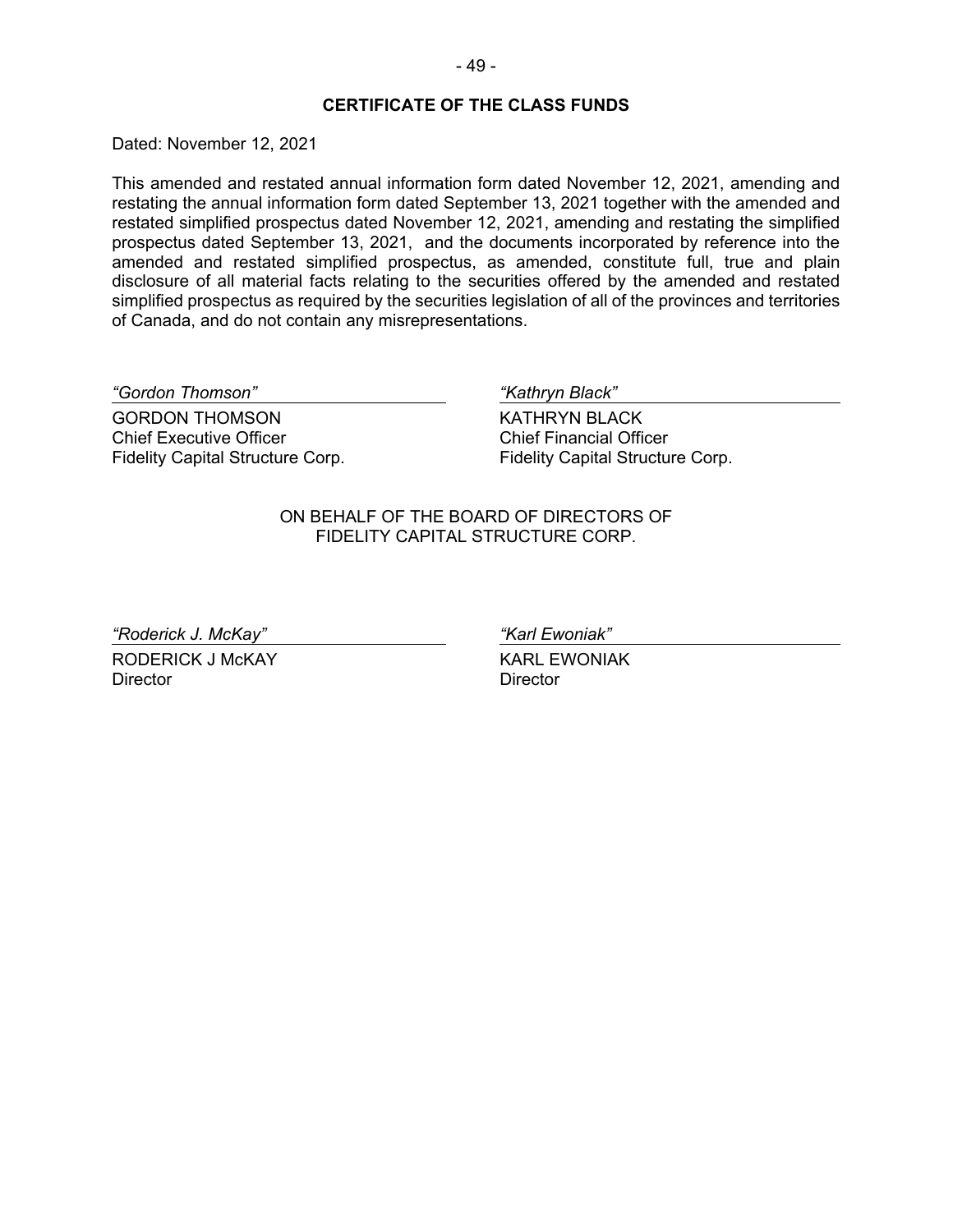#### **CERTIFICATE OF THE CLASS FUNDS**

Dated: November 12, 2021

 amended and restated simplified prospectus, as amended, constitute full, true and plain disclosure of all material facts relating to the securities offered by the amended and restated This amended and restated annual information form dated November 12, 2021, amending and restating the annual information form dated September 13, 2021 together with the amended and restated simplified prospectus dated November 12, 2021, amending and restating the simplified prospectus dated September 13, 2021, and the documents incorporated by reference into the simplified prospectus as required by the securities legislation of all of the provinces and territories of Canada, and do not contain any misrepresentations.

*"Gordon Thomson" "Kathryn Black"* 

GORDON THOMSON Chief Executive Officer Fidelity Capital Structure Corp.

KATHRYN BLACK Chief Financial Officer Fidelity Capital Structure Corp.

ON BEHALF OF THE BOARD OF DIRECTORS OF FIDELITY CAPITAL STRUCTURE CORP.

*"Roderick J. McKay" "Karl Ewoniak"* 

RODERICK J McKAY KARL EWONIAK Director Director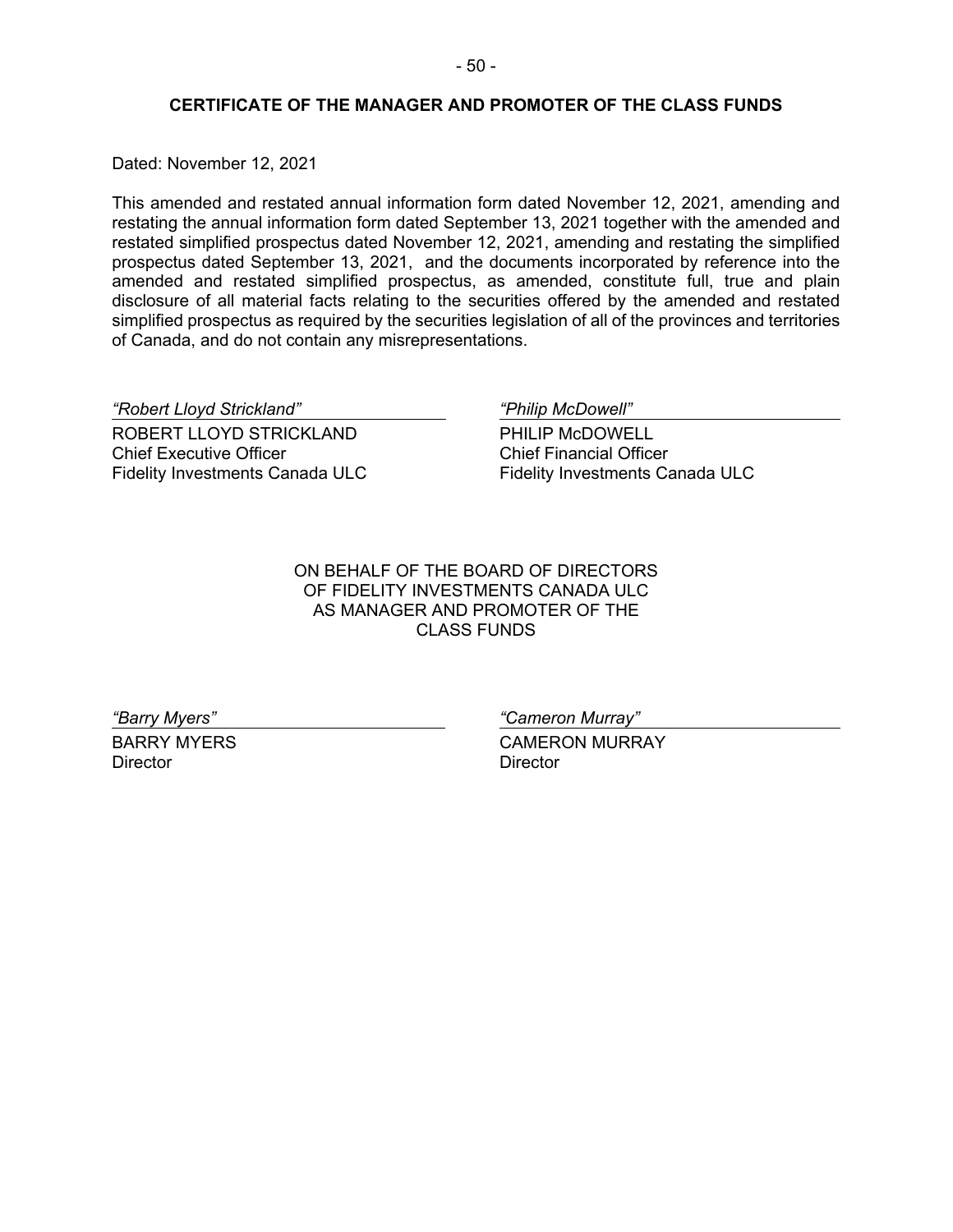## **CERTIFICATE OF THE MANAGER AND PROMOTER OF THE CLASS FUNDS**

<span id="page-51-0"></span>Dated: November 12, 2021

 prospectus dated September 13, 2021, and the documents incorporated by reference into the amended and restated simplified prospectus, as amended, constitute full, true and plain disclosure of all material facts relating to the securities offered by the amended and restated This amended and restated annual information form dated November 12, 2021, amending and restating the annual information form dated September 13, 2021 together with the amended and restated simplified prospectus dated November 12, 2021, amending and restating the simplified simplified prospectus as required by the securities legislation of all of the provinces and territories of Canada, and do not contain any misrepresentations.

*"Robert Lloyd Strickland" "Philip McDowell"* 

ROBERT LLOYD STRICKLAND Chief Executive Officer Fidelity Investments Canada ULC

PHILIP McDOWELL Chief Financial Officer Fidelity Investments Canada ULC

ON BEHALF OF THE BOARD OF DIRECTORS OF FIDELITY INVESTMENTS CANADA ULC AS MANAGER AND PROMOTER OF THE CLASS FUNDS

Director **Director** Director

*"Barry Myers" "Cameron Murray"* 

BARRY MYERS **CAMERON MURRAY**